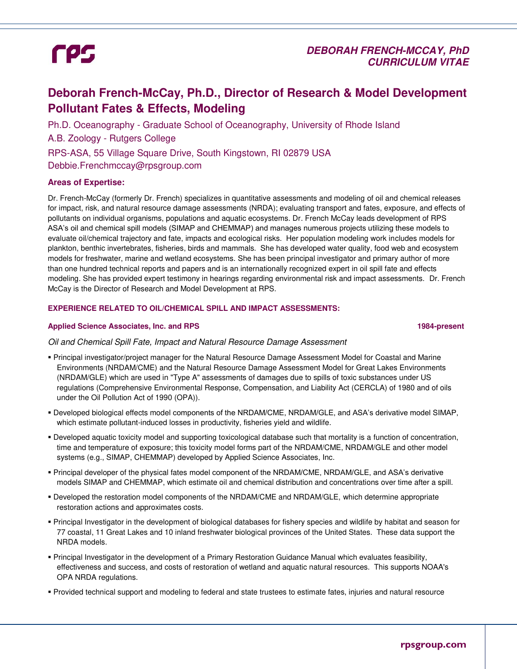## **DEBORAH FRENCH-MCCAY, PhD CURRICULUM VITAE**

## **Deborah French-McCay, Ph.D., Director of Research & Model Development Pollutant Fates & Effects, Modeling**

Ph.D. Oceanography - Graduate School of Oceanography, University of Rhode Island A.B. Zoology - Rutgers College RPS-ASA, 55 Village Square Drive, South Kingstown, RI 02879 USA Debbie.Frenchmccay@rpsgroup.com

#### **Areas of Expertise:**

Dr. French-McCay (formerly Dr. French) specializes in quantitative assessments and modeling of oil and chemical releases for impact, risk, and natural resource damage assessments (NRDA); evaluating transport and fates, exposure, and effects of pollutants on individual organisms, populations and aquatic ecosystems. Dr. French McCay leads development of RPS ASA's oil and chemical spill models (SIMAP and CHEMMAP) and manages numerous projects utilizing these models to evaluate oil/chemical trajectory and fate, impacts and ecological risks. Her population modeling work includes models for plankton, benthic invertebrates, fisheries, birds and mammals. She has developed water quality, food web and ecosystem models for freshwater, marine and wetland ecosystems. She has been principal investigator and primary author of more than one hundred technical reports and papers and is an internationally recognized expert in oil spill fate and effects modeling. She has provided expert testimony in hearings regarding environmental risk and impact assessments. Dr. French McCay is the Director of Research and Model Development at RPS.

#### **EXPERIENCE RELATED TO OIL/CHEMICAL SPILL AND IMPACT ASSESSMENTS:**

#### **Applied Science Associates, Inc. and RPS 1984-present**

#### Oil and Chemical Spill Fate, Impact and Natural Resource Damage Assessment

- Principal investigator/project manager for the Natural Resource Damage Assessment Model for Coastal and Marine Environments (NRDAM/CME) and the Natural Resource Damage Assessment Model for Great Lakes Environments (NRDAM/GLE) which are used in "Type A" assessments of damages due to spills of toxic substances under US regulations (Comprehensive Environmental Response, Compensation, and Liability Act (CERCLA) of 1980 and of oils under the Oil Pollution Act of 1990 (OPA)).
- Developed biological effects model components of the NRDAM/CME, NRDAM/GLE, and ASA's derivative model SIMAP, which estimate pollutant-induced losses in productivity, fisheries yield and wildlife.
- Developed aquatic toxicity model and supporting toxicological database such that mortality is a function of concentration, time and temperature of exposure; this toxicity model forms part of the NRDAM/CME, NRDAM/GLE and other model systems (e.g., SIMAP, CHEMMAP) developed by Applied Science Associates, Inc.
- Principal developer of the physical fates model component of the NRDAM/CME, NRDAM/GLE, and ASA's derivative models SIMAP and CHEMMAP, which estimate oil and chemical distribution and concentrations over time after a spill.
- Developed the restoration model components of the NRDAM/CME and NRDAM/GLE, which determine appropriate restoration actions and approximates costs.
- Principal Investigator in the development of biological databases for fishery species and wildlife by habitat and season for 77 coastal, 11 Great Lakes and 10 inland freshwater biological provinces of the United States. These data support the NRDA models.
- Principal Investigator in the development of a Primary Restoration Guidance Manual which evaluates feasibility, effectiveness and success, and costs of restoration of wetland and aquatic natural resources. This supports NOAA's OPA NRDA regulations.
- Provided technical support and modeling to federal and state trustees to estimate fates, injuries and natural resource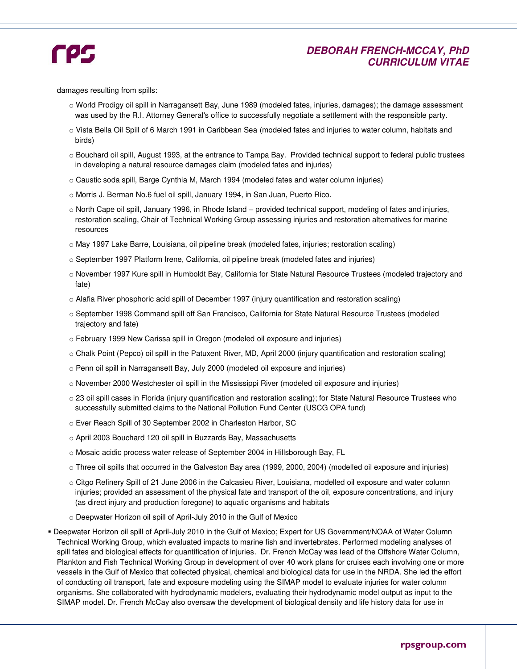

## **DEBORAH FRENCH-MCCAY, PhD CURRICULUM VITAE**

damages resulting from spills:

- o World Prodigy oil spill in Narragansett Bay, June 1989 (modeled fates, injuries, damages); the damage assessment was used by the R.I. Attorney General's office to successfully negotiate a settlement with the responsible party.
- o Vista Bella Oil Spill of 6 March 1991 in Caribbean Sea (modeled fates and injuries to water column, habitats and birds)
- o Bouchard oil spill, August 1993, at the entrance to Tampa Bay. Provided technical support to federal public trustees in developing a natural resource damages claim (modeled fates and injuries)
- o Caustic soda spill, Barge Cynthia M, March 1994 (modeled fates and water column injuries)
- o Morris J. Berman No.6 fuel oil spill, January 1994, in San Juan, Puerto Rico.
- o North Cape oil spill, January 1996, in Rhode Island provided technical support, modeling of fates and injuries, restoration scaling, Chair of Technical Working Group assessing injuries and restoration alternatives for marine resources
- o May 1997 Lake Barre, Louisiana, oil pipeline break (modeled fates, injuries; restoration scaling)
- o September 1997 Platform Irene, California, oil pipeline break (modeled fates and injuries)
- o November 1997 Kure spill in Humboldt Bay, California for State Natural Resource Trustees (modeled trajectory and fate)
- o Alafia River phosphoric acid spill of December 1997 (injury quantification and restoration scaling)
- o September 1998 Command spill off San Francisco, California for State Natural Resource Trustees (modeled trajectory and fate)
- o February 1999 New Carissa spill in Oregon (modeled oil exposure and injuries)
- o Chalk Point (Pepco) oil spill in the Patuxent River, MD, April 2000 (injury quantification and restoration scaling)
- o Penn oil spill in Narragansett Bay, July 2000 (modeled oil exposure and injuries)
- o November 2000 Westchester oil spill in the Mississippi River (modeled oil exposure and injuries)
- o 23 oil spill cases in Florida (injury quantification and restoration scaling); for State Natural Resource Trustees who successfully submitted claims to the National Pollution Fund Center (USCG OPA fund)
- o Ever Reach Spill of 30 September 2002 in Charleston Harbor, SC
- o April 2003 Bouchard 120 oil spill in Buzzards Bay, Massachusetts
- o Mosaic acidic process water release of September 2004 in Hillsborough Bay, FL
- o Three oil spills that occurred in the Galveston Bay area (1999, 2000, 2004) (modelled oil exposure and injuries)
- o Citgo Refinery Spill of 21 June 2006 in the Calcasieu River, Louisiana, modelled oil exposure and water column injuries; provided an assessment of the physical fate and transport of the oil, exposure concentrations, and injury (as direct injury and production foregone) to aquatic organisms and habitats
- o Deepwater Horizon oil spill of April-July 2010 in the Gulf of Mexico
- Deepwater Horizon oil spill of April-July 2010 in the Gulf of Mexico; Expert for US Government/NOAA of Water Column Technical Working Group, which evaluated impacts to marine fish and invertebrates. Performed modeling analyses of spill fates and biological effects for quantification of injuries. Dr. French McCay was lead of the Offshore Water Column, Plankton and Fish Technical Working Group in development of over 40 work plans for cruises each involving one or more vessels in the Gulf of Mexico that collected physical, chemical and biological data for use in the NRDA. She led the effort of conducting oil transport, fate and exposure modeling using the SIMAP model to evaluate injuries for water column organisms. She collaborated with hydrodynamic modelers, evaluating their hydrodynamic model output as input to the SIMAP model. Dr. French McCay also oversaw the development of biological density and life history data for use in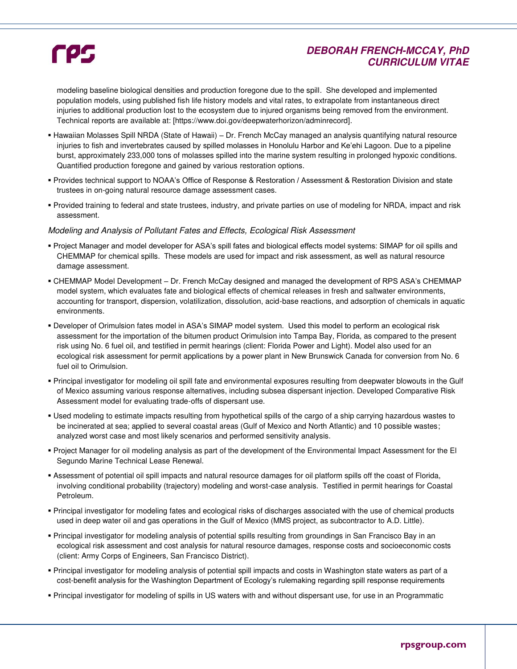## **DEBORAH FRENCH-MCCAY, PhD CURRICULUM VITAE**

modeling baseline biological densities and production foregone due to the spill. She developed and implemented population models, using published fish life history models and vital rates, to extrapolate from instantaneous direct injuries to additional production lost to the ecosystem due to injured organisms being removed from the environment. Technical reports are available at: [https://www.doi.gov/deepwaterhorizon/adminrecord].

- Hawaiian Molasses Spill NRDA (State of Hawaii) Dr. French McCay managed an analysis quantifying natural resource injuries to fish and invertebrates caused by spilled molasses in Honolulu Harbor and Ke'ehi Lagoon. Due to a pipeline burst, approximately 233,000 tons of molasses spilled into the marine system resulting in prolonged hypoxic conditions. Quantified production foregone and gained by various restoration options.
- Provides technical support to NOAA's Office of Response & Restoration / Assessment & Restoration Division and state trustees in on-going natural resource damage assessment cases.
- Provided training to federal and state trustees, industry, and private parties on use of modeling for NRDA, impact and risk assessment.

#### Modeling and Analysis of Pollutant Fates and Effects, Ecological Risk Assessment

- Project Manager and model developer for ASA's spill fates and biological effects model systems: SIMAP for oil spills and CHEMMAP for chemical spills. These models are used for impact and risk assessment, as well as natural resource damage assessment.
- CHEMMAP Model Development Dr. French McCay designed and managed the development of RPS ASA's CHEMMAP model system, which evaluates fate and biological effects of chemical releases in fresh and saltwater environments, accounting for transport, dispersion, volatilization, dissolution, acid-base reactions, and adsorption of chemicals in aquatic environments.
- Developer of Orimulsion fates model in ASA's SIMAP model system. Used this model to perform an ecological risk assessment for the importation of the bitumen product Orimulsion into Tampa Bay, Florida, as compared to the present risk using No. 6 fuel oil, and testified in permit hearings (client: Florida Power and Light). Model also used for an ecological risk assessment for permit applications by a power plant in New Brunswick Canada for conversion from No. 6 fuel oil to Orimulsion.
- Principal investigator for modeling oil spill fate and environmental exposures resulting from deepwater blowouts in the Gulf of Mexico assuming various response alternatives, including subsea dispersant injection. Developed Comparative Risk Assessment model for evaluating trade-offs of dispersant use.
- Used modeling to estimate impacts resulting from hypothetical spills of the cargo of a ship carrying hazardous wastes to be incinerated at sea; applied to several coastal areas (Gulf of Mexico and North Atlantic) and 10 possible wastes; analyzed worst case and most likely scenarios and performed sensitivity analysis.
- Project Manager for oil modeling analysis as part of the development of the Environmental Impact Assessment for the El Segundo Marine Technical Lease Renewal.
- Assessment of potential oil spill impacts and natural resource damages for oil platform spills off the coast of Florida, involving conditional probability (trajectory) modeling and worst-case analysis. Testified in permit hearings for Coastal Petroleum.
- Principal investigator for modeling fates and ecological risks of discharges associated with the use of chemical products used in deep water oil and gas operations in the Gulf of Mexico (MMS project, as subcontractor to A.D. Little).
- Principal investigator for modeling analysis of potential spills resulting from groundings in San Francisco Bay in an ecological risk assessment and cost analysis for natural resource damages, response costs and socioeconomic costs (client: Army Corps of Engineers, San Francisco District).
- Principal investigator for modeling analysis of potential spill impacts and costs in Washington state waters as part of a cost-benefit analysis for the Washington Department of Ecology's rulemaking regarding spill response requirements
- Principal investigator for modeling of spills in US waters with and without dispersant use, for use in an Programmatic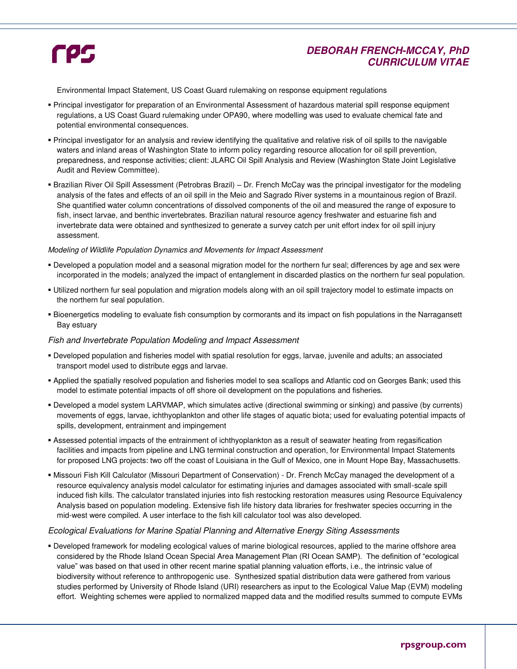## **DEBORAH FRENCH-MCCAY, PhD CURRICULUM VITAE**

Environmental Impact Statement, US Coast Guard rulemaking on response equipment regulations

- Principal investigator for preparation of an Environmental Assessment of hazardous material spill response equipment regulations, a US Coast Guard rulemaking under OPA90, where modelling was used to evaluate chemical fate and potential environmental consequences.
- Principal investigator for an analysis and review identifying the qualitative and relative risk of oil spills to the navigable waters and inland areas of Washington State to inform policy regarding resource allocation for oil spill prevention, preparedness, and response activities; client: JLARC Oil Spill Analysis and Review (Washington State Joint Legislative Audit and Review Committee).
- Brazilian River Oil Spill Assessment (Petrobras Brazil) Dr. French McCay was the principal investigator for the modeling analysis of the fates and effects of an oil spill in the Meio and Sagrado River systems in a mountainous region of Brazil. She quantified water column concentrations of dissolved components of the oil and measured the range of exposure to fish, insect larvae, and benthic invertebrates. Brazilian natural resource agency freshwater and estuarine fish and invertebrate data were obtained and synthesized to generate a survey catch per unit effort index for oil spill injury assessment.

#### Modeling of Wildlife Population Dynamics and Movements for Impact Assessment

- Developed a population model and a seasonal migration model for the northern fur seal; differences by age and sex were incorporated in the models; analyzed the impact of entanglement in discarded plastics on the northern fur seal population.
- Utilized northern fur seal population and migration models along with an oil spill trajectory model to estimate impacts on the northern fur seal population.
- Bioenergetics modeling to evaluate fish consumption by cormorants and its impact on fish populations in the Narragansett Bay estuary

#### Fish and Invertebrate Population Modeling and Impact Assessment

- Developed population and fisheries model with spatial resolution for eggs, larvae, juvenile and adults; an associated transport model used to distribute eggs and larvae.
- Applied the spatially resolved population and fisheries model to sea scallops and Atlantic cod on Georges Bank; used this model to estimate potential impacts of off shore oil development on the populations and fisheries.
- Developed a model system LARVMAP, which simulates active (directional swimming or sinking) and passive (by currents) movements of eggs, larvae, ichthyoplankton and other life stages of aquatic biota; used for evaluating potential impacts of spills, development, entrainment and impingement
- Assessed potential impacts of the entrainment of ichthyoplankton as a result of seawater heating from regasification facilities and impacts from pipeline and LNG terminal construction and operation, for Environmental Impact Statements for proposed LNG projects: two off the coast of Louisiana in the Gulf of Mexico, one in Mount Hope Bay, Massachusetts.
- Missouri Fish Kill Calculator (Missouri Department of Conservation) Dr. French McCay managed the development of a resource equivalency analysis model calculator for estimating injuries and damages associated with small-scale spill induced fish kills. The calculator translated injuries into fish restocking restoration measures using Resource Equivalency Analysis based on population modeling. Extensive fish life history data libraries for freshwater species occurring in the mid-west were compiled. A user interface to the fish kill calculator tool was also developed.

#### Ecological Evaluations for Marine Spatial Planning and Alternative Energy Siting Assessments

 Developed framework for modeling ecological values of marine biological resources, applied to the marine offshore area considered by the Rhode Island Ocean Special Area Management Plan (RI Ocean SAMP). The definition of "ecological value" was based on that used in other recent marine spatial planning valuation efforts, i.e., the intrinsic value of biodiversity without reference to anthropogenic use. Synthesized spatial distribution data were gathered from various studies performed by University of Rhode Island (URI) researchers as input to the Ecological Value Map (EVM) modeling effort. Weighting schemes were applied to normalized mapped data and the modified results summed to compute EVMs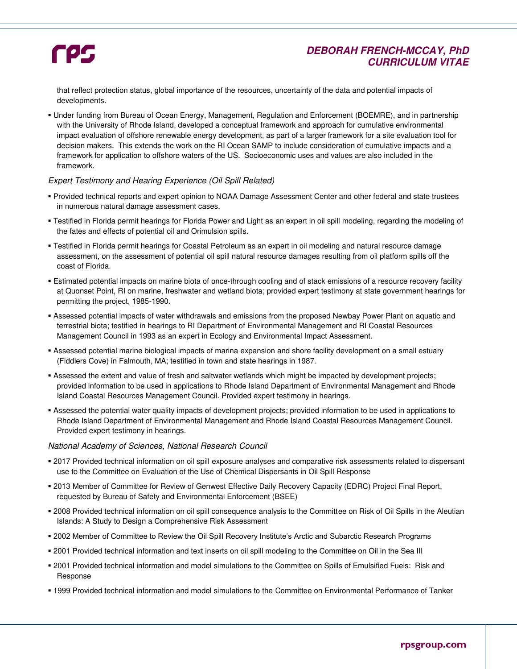## **DEBORAH FRENCH-MCCAY, PhD CURRICULUM VITAE**

that reflect protection status, global importance of the resources, uncertainty of the data and potential impacts of developments.

 Under funding from Bureau of Ocean Energy, Management, Regulation and Enforcement (BOEMRE), and in partnership with the University of Rhode Island, developed a conceptual framework and approach for cumulative environmental impact evaluation of offshore renewable energy development, as part of a larger framework for a site evaluation tool for decision makers. This extends the work on the RI Ocean SAMP to include consideration of cumulative impacts and a framework for application to offshore waters of the US. Socioeconomic uses and values are also included in the framework.

#### Expert Testimony and Hearing Experience (Oil Spill Related)

- Provided technical reports and expert opinion to NOAA Damage Assessment Center and other federal and state trustees in numerous natural damage assessment cases.
- Testified in Florida permit hearings for Florida Power and Light as an expert in oil spill modeling, regarding the modeling of the fates and effects of potential oil and Orimulsion spills.
- Testified in Florida permit hearings for Coastal Petroleum as an expert in oil modeling and natural resource damage assessment, on the assessment of potential oil spill natural resource damages resulting from oil platform spills off the coast of Florida.
- Estimated potential impacts on marine biota of once-through cooling and of stack emissions of a resource recovery facility at Quonset Point, RI on marine, freshwater and wetland biota; provided expert testimony at state government hearings for permitting the project, 1985-1990.
- Assessed potential impacts of water withdrawals and emissions from the proposed Newbay Power Plant on aquatic and terrestrial biota; testified in hearings to RI Department of Environmental Management and RI Coastal Resources Management Council in 1993 as an expert in Ecology and Environmental Impact Assessment.
- Assessed potential marine biological impacts of marina expansion and shore facility development on a small estuary (Fiddlers Cove) in Falmouth, MA; testified in town and state hearings in 1987.
- Assessed the extent and value of fresh and saltwater wetlands which might be impacted by development projects; provided information to be used in applications to Rhode Island Department of Environmental Management and Rhode Island Coastal Resources Management Council. Provided expert testimony in hearings.
- Assessed the potential water quality impacts of development projects; provided information to be used in applications to Rhode Island Department of Environmental Management and Rhode Island Coastal Resources Management Council. Provided expert testimony in hearings.

#### National Academy of Sciences, National Research Council

- 2017 Provided technical information on oil spill exposure analyses and comparative risk assessments related to dispersant use to the Committee on Evaluation of the Use of Chemical Dispersants in Oil Spill Response
- 2013 Member of Committee for Review of Genwest Effective Daily Recovery Capacity (EDRC) Project Final Report, requested by Bureau of Safety and Environmental Enforcement (BSEE)
- 2008 Provided technical information on oil spill consequence analysis to the Committee on Risk of Oil Spills in the Aleutian Islands: A Study to Design a Comprehensive Risk Assessment
- 2002 Member of Committee to Review the Oil Spill Recovery Institute's Arctic and Subarctic Research Programs
- 2001 Provided technical information and text inserts on oil spill modeling to the Committee on Oil in the Sea III
- 2001 Provided technical information and model simulations to the Committee on Spills of Emulsified Fuels: Risk and Response
- 1999 Provided technical information and model simulations to the Committee on Environmental Performance of Tanker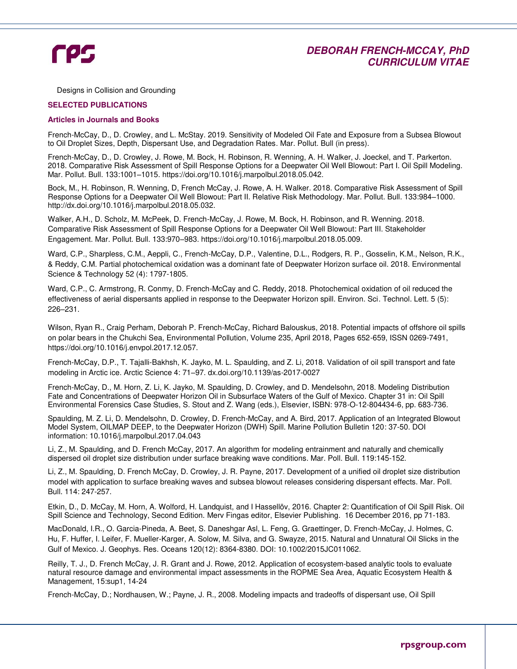## **DEBORAH FRENCH-MCCAY, PhD CURRICULUM VITAE**

Designs in Collision and Grounding

#### **SELECTED PUBLICATIONS**

#### **Articles in Journals and Books**

French-McCay, D., D. Crowley, and L. McStay. 2019. Sensitivity of Modeled Oil Fate and Exposure from a Subsea Blowout to Oil Droplet Sizes, Depth, Dispersant Use, and Degradation Rates. Mar. Pollut. Bull (in press).

French-McCay, D., D. Crowley, J. Rowe, M. Bock, H. Robinson, R. Wenning, A. H. Walker, J. Joeckel, and T. Parkerton. 2018. Comparative Risk Assessment of Spill Response Options for a Deepwater Oil Well Blowout: Part I. Oil Spill Modeling. Mar. Pollut. Bull. 133:1001–1015. https://doi.org/10.1016/j.marpolbul.2018.05.042.

Bock, M., H. Robinson, R. Wenning, D, French McCay, J. Rowe, A. H. Walker. 2018. Comparative Risk Assessment of Spill Response Options for a Deepwater Oil Well Blowout: Part II. Relative Risk Methodology. Mar. Pollut. Bull. 133:984–1000. http://dx.doi.org/10.1016/j.marpolbul.2018.05.032.

Walker, A.H., D. Scholz, M. McPeek, D. French-McCay, J. Rowe, M. Bock, H. Robinson, and R. Wenning. 2018. Comparative Risk Assessment of Spill Response Options for a Deepwater Oil Well Blowout: Part III. Stakeholder Engagement. Mar. Pollut. Bull. 133:970–983. https://doi.org/10.1016/j.marpolbul.2018.05.009.

Ward, C.P., Sharpless, C.M., Aeppli, C., French-McCay, D.P., Valentine, D.L., Rodgers, R. P., Gosselin, K.M., Nelson, R.K., & Reddy, C.M. Partial photochemical oxidation was a dominant fate of Deepwater Horizon surface oil. 2018. Environmental Science & Technology 52 (4): 1797-1805.

Ward, C.P., C. Armstrong, R. Conmy, D. French-McCay and C. Reddy, 2018. Photochemical oxidation of oil reduced the effectiveness of aerial dispersants applied in response to the Deepwater Horizon spill. Environ. Sci. Technol. Lett. 5 (5): 226–231.

Wilson, Ryan R., Craig Perham, Deborah P. French-McCay, Richard Balouskus, 2018. Potential impacts of offshore oil spills on polar bears in the Chukchi Sea, Environmental Pollution, Volume 235, April 2018, Pages 652-659, ISSN 0269-7491, https://doi.org/10.1016/j.envpol.2017.12.057.

French-McCay, D.P., T. Tajalli-Bakhsh, K. Jayko, M. L. Spaulding, and Z. Li, 2018. Validation of oil spill transport and fate modeling in Arctic ice. Arctic Science 4: 71–97. dx.doi.org/10.1139/as-2017-0027

French-McCay, D., M. Horn, Z. Li, K. Jayko, M. Spaulding, D. Crowley, and D. Mendelsohn, 2018. Modeling Distribution Fate and Concentrations of Deepwater Horizon Oil in Subsurface Waters of the Gulf of Mexico. Chapter 31 in: Oil Spill Environmental Forensics Case Studies, S. Stout and Z. Wang (eds.), Elsevier, ISBN: 978-O-12-804434-6, pp. 683-736.

Spaulding, M. Z. Li, D. Mendelsohn, D. Crowley, D. French-McCay, and A. Bird, 2017. Application of an Integrated Blowout Model System, OILMAP DEEP, to the Deepwater Horizon (DWH) Spill. Marine Pollution Bulletin 120: 37-50. DOI information: 10.1016/j.marpolbul.2017.04.043

Li, Z., M. Spaulding, and D. French McCay, 2017. An algorithm for modeling entrainment and naturally and chemically dispersed oil droplet size distribution under surface breaking wave conditions. Mar. Poll. Bull. 119:145-152.

Li, Z., M. Spaulding, D. French McCay, D. Crowley, J. R. Payne, 2017. Development of a unified oil droplet size distribution model with application to surface breaking waves and subsea blowout releases considering dispersant effects. Mar. Poll. Bull. 114: 247-257.

Etkin, D., D. McCay, M. Horn, A. Wolford, H. Landquist, and I Hassellöv, 2016. Chapter 2: Quantification of Oil Spill Risk. Oil Spill Science and Technology, Second Edition. Merv Fingas editor, Elsevier Publishing. 16 December 2016, pp 71-183.

MacDonald, I.R., O. Garcia-Pineda, A. Beet, S. Daneshgar Asl, L. Feng, G. Graettinger, D. French-McCay, J. Holmes, C. Hu, F. Huffer, I. Leifer, F. Mueller-Karger, A. Solow, M. Silva, and G. Swayze, 2015. Natural and Unnatural Oil Slicks in the Gulf of Mexico. J. Geophys. Res. Oceans 120(12): 8364-8380. DOI: 10.1002/2015JC011062.

Reilly, T. J., D. French McCay, J. R. Grant and J. Rowe, 2012. Application of ecosystem-based analytic tools to evaluate natural resource damage and environmental impact assessments in the ROPME Sea Area, Aquatic Ecosystem Health & Management, 15:sup1, 14-24

French-McCay, D.; Nordhausen, W.; Payne, J. R., 2008. Modeling impacts and tradeoffs of dispersant use, Oil Spill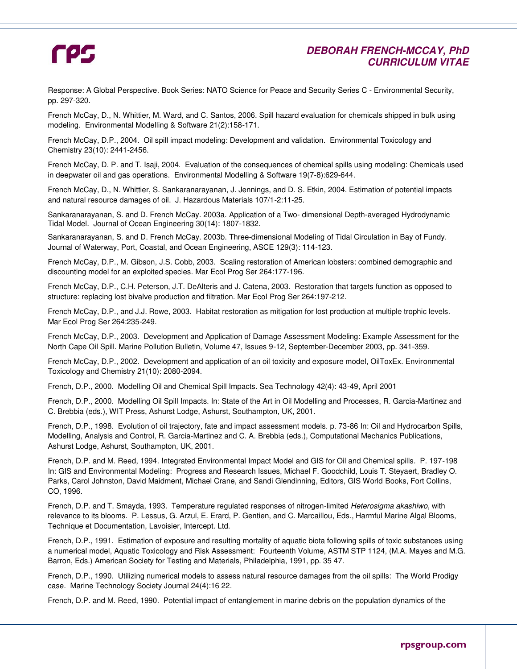## **DEBORAH FRENCH-MCCAY, PhD CURRICULUM VITAE**

Response: A Global Perspective. Book Series: NATO Science for Peace and Security Series C - Environmental Security, pp. 297-320.

French McCay, D., N. Whittier, M. Ward, and C. Santos, 2006. Spill hazard evaluation for chemicals shipped in bulk using modeling. Environmental Modelling & Software 21(2):158-171.

French McCay, D.P., 2004. Oil spill impact modeling: Development and validation. Environmental Toxicology and Chemistry 23(10): 2441-2456.

French McCay, D. P. and T. Isaji, 2004. Evaluation of the consequences of chemical spills using modeling: Chemicals used in deepwater oil and gas operations. Environmental Modelling & Software 19(7-8):629-644.

French McCay, D., N. Whittier, S. Sankaranarayanan, J. Jennings, and D. S. Etkin, 2004. Estimation of potential impacts and natural resource damages of oil. J. Hazardous Materials 107/1-2:11-25.

Sankaranarayanan, S. and D. French McCay. 2003a. Application of a Two- dimensional Depth-averaged Hydrodynamic Tidal Model. Journal of Ocean Engineering 30(14): 1807-1832.

Sankaranarayanan, S. and D. French McCay. 2003b. Three-dimensional Modeling of Tidal Circulation in Bay of Fundy. Journal of Waterway, Port, Coastal, and Ocean Engineering, ASCE 129(3): 114-123.

French McCay, D.P., M. Gibson, J.S. Cobb, 2003. Scaling restoration of American lobsters: combined demographic and discounting model for an exploited species. Mar Ecol Prog Ser 264:177-196.

French McCay, D.P., C.H. Peterson, J.T. DeAlteris and J. Catena, 2003. Restoration that targets function as opposed to structure: replacing lost bivalve production and filtration. Mar Ecol Prog Ser 264:197-212.

French McCay, D.P., and J.J. Rowe, 2003. Habitat restoration as mitigation for lost production at multiple trophic levels. Mar Ecol Prog Ser 264:235-249.

French McCay, D.P., 2003. Development and Application of Damage Assessment Modeling: Example Assessment for the North Cape Oil Spill. Marine Pollution Bulletin, Volume 47, Issues 9-12, September-December 2003, pp. 341-359.

French McCay, D.P., 2002. Development and application of an oil toxicity and exposure model, OilToxEx. Environmental Toxicology and Chemistry 21(10): 2080-2094.

French, D.P., 2000. Modelling Oil and Chemical Spill Impacts. Sea Technology 42(4): 43-49, April 2001

French, D.P., 2000. Modelling Oil Spill Impacts. In: State of the Art in Oil Modelling and Processes, R. Garcia-Martinez and C. Brebbia (eds.), WIT Press, Ashurst Lodge, Ashurst, Southampton, UK, 2001.

French, D.P., 1998. Evolution of oil trajectory, fate and impact assessment models. p. 73-86 In: Oil and Hydrocarbon Spills, Modelling, Analysis and Control, R. Garcia-Martinez and C. A. Brebbia (eds.), Computational Mechanics Publications, Ashurst Lodge, Ashurst, Southampton, UK, 2001.

French, D.P. and M. Reed, 1994. Integrated Environmental Impact Model and GIS for Oil and Chemical spills. P. 197-198 In: GIS and Environmental Modeling: Progress and Research Issues, Michael F. Goodchild, Louis T. Steyaert, Bradley O. Parks, Carol Johnston, David Maidment, Michael Crane, and Sandi Glendinning, Editors, GIS World Books, Fort Collins, CO, 1996.

French, D.P. and T. Smayda, 1993. Temperature regulated responses of nitrogen-limited Heterosigma akashiwo, with relevance to its blooms. P. Lessus, G. Arzul, E. Erard, P. Gentien, and C. Marcaillou, Eds., Harmful Marine Algal Blooms, Technique et Documentation, Lavoisier, Intercept. Ltd.

French, D.P., 1991. Estimation of exposure and resulting mortality of aquatic biota following spills of toxic substances using a numerical model, Aquatic Toxicology and Risk Assessment: Fourteenth Volume, ASTM STP 1124, (M.A. Mayes and M.G. Barron, Eds.) American Society for Testing and Materials, Philadelphia, 1991, pp. 35 47.

French, D.P., 1990. Utilizing numerical models to assess natural resource damages from the oil spills: The World Prodigy case. Marine Technology Society Journal 24(4):16 22.

French, D.P. and M. Reed, 1990. Potential impact of entanglement in marine debris on the population dynamics of the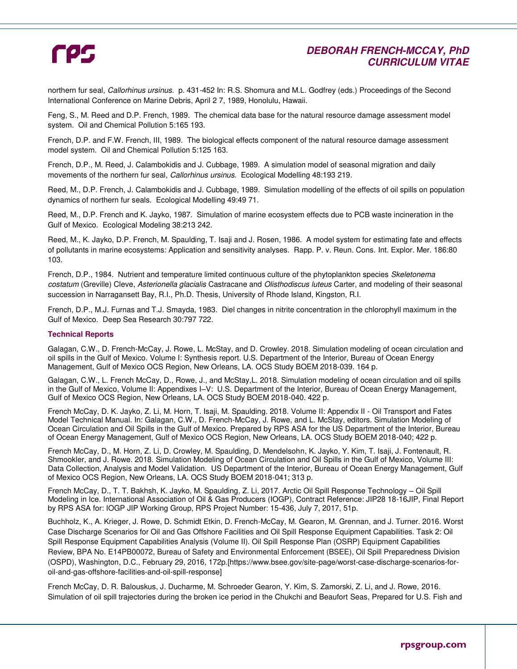## **DEBORAH FRENCH-MCCAY, PhD CURRICULUM VITAE**

northern fur seal, *Callorhinus ursinus.* p. 431-452 In: R.S. Shomura and M.L. Godfrey (eds.) Proceedings of the Second International Conference on Marine Debris, April 2 7, 1989, Honolulu, Hawaii.

Feng, S., M. Reed and D.P. French, 1989. The chemical data base for the natural resource damage assessment model system. Oil and Chemical Pollution 5:165 193.

French, D.P. and F.W. French, III, 1989. The biological effects component of the natural resource damage assessment model system. Oil and Chemical Pollution 5:125 163.

French, D.P., M. Reed, J. Calambokidis and J. Cubbage, 1989. A simulation model of seasonal migration and daily movements of the northern fur seal, Callorhinus ursinus. Ecological Modelling 48:193 219.

Reed, M., D.P. French, J. Calambokidis and J. Cubbage, 1989. Simulation modelling of the effects of oil spills on population dynamics of northern fur seals. Ecological Modelling 49:49 71.

Reed, M., D.P. French and K. Jayko, 1987. Simulation of marine ecosystem effects due to PCB waste incineration in the Gulf of Mexico. Ecological Modeling 38:213 242.

Reed, M., K. Jayko, D.P. French, M. Spaulding, T. Isaji and J. Rosen, 1986. A model system for estimating fate and effects of pollutants in marine ecosystems: Application and sensitivity analyses. Rapp. P. v. Reun. Cons. Int. Explor. Mer. 186:80 103.

French, D.P., 1984. Nutrient and temperature limited continuous culture of the phytoplankton species Skeletonema costatum (Greville) Cleve, Asterionella glacialis Castracane and Olisthodiscus luteus Carter, and modeling of their seasonal succession in Narragansett Bay, R.I., Ph.D. Thesis, University of Rhode Island, Kingston, R.I.

French, D.P., M.J. Furnas and T.J. Smayda, 1983. Diel changes in nitrite concentration in the chlorophyll maximum in the Gulf of Mexico. Deep Sea Research 30:797 722.

#### **Technical Reports**

Galagan, C.W., D. French-McCay, J. Rowe, L. McStay, and D. Crowley. 2018. Simulation modeling of ocean circulation and oil spills in the Gulf of Mexico. Volume I: Synthesis report. U.S. Department of the Interior, Bureau of Ocean Energy Management, Gulf of Mexico OCS Region, New Orleans, LA. OCS Study BOEM 2018-039. 164 p.

Galagan, C.W., L. French McCay, D., Rowe, J., and McStay,L. 2018. Simulation modeling of ocean circulation and oil spills in the Gulf of Mexico, Volume II: Appendixes I–V: U.S. Department of the Interior, Bureau of Ocean Energy Management, Gulf of Mexico OCS Region, New Orleans, LA. OCS Study BOEM 2018-040. 422 p.

French McCay, D. K. Jayko, Z. Li, M. Horn, T. Isaji, M. Spaulding. 2018. Volume II: Appendix II - Oil Transport and Fates Model Technical Manual. In: Galagan, C.W., D. French-McCay, J. Rowe, and L. McStay, editors. Simulation Modeling of Ocean Circulation and Oil Spills in the Gulf of Mexico. Prepared by RPS ASA for the US Department of the Interior, Bureau of Ocean Energy Management, Gulf of Mexico OCS Region, New Orleans, LA. OCS Study BOEM 2018-040; 422 p.

French McCay, D., M. Horn, Z. Li, D. Crowley, M. Spaulding, D. Mendelsohn, K. Jayko, Y. Kim, T. Isaji, J. Fontenault, R. Shmookler, and J. Rowe. 2018. Simulation Modeling of Ocean Circulation and Oil Spills in the Gulf of Mexico, Volume III: Data Collection, Analysis and Model Validation. US Department of the Interior, Bureau of Ocean Energy Management, Gulf of Mexico OCS Region, New Orleans, LA. OCS Study BOEM 2018-041; 313 p.

French McCay, D., T. T. Bakhsh, K. Jayko, M. Spaulding, Z. Li, 2017. Arctic Oil Spill Response Technology – Oil Spill Modeling in Ice. International Association of Oil & Gas Producers (IOGP), Contract Reference: JIP28 18-16JIP, Final Report by RPS ASA for: IOGP JIP Working Group, RPS Project Number: 15-436, July 7, 2017, 51p.

Buchholz, K., A. Krieger, J. Rowe, D. Schmidt Etkin, D. French-McCay, M. Gearon, M. Grennan, and J. Turner. 2016. Worst Case Discharge Scenarios for Oil and Gas Offshore Facilities and Oil Spill Response Equipment Capabilities. Task 2: Oil Spill Response Equipment Capabilities Analysis (Volume II). Oil Spill Response Plan (OSRP) Equipment Capabilities Review, BPA No. E14PB00072, Bureau of Safety and Environmental Enforcement (BSEE), Oil Spill Preparedness Division (OSPD), Washington, D.C., February 29, 2016, 172p.[https://www.bsee.gov/site-page/worst-case-discharge-scenarios-foroil-and-gas-offshore-facilities-and-oil-spill-response]

French McCay, D. R. Balouskus, J. Ducharme, M. Schroeder Gearon, Y. Kim, S. Zamorski, Z. Li, and J. Rowe, 2016. Simulation of oil spill trajectories during the broken ice period in the Chukchi and Beaufort Seas, Prepared for U.S. Fish and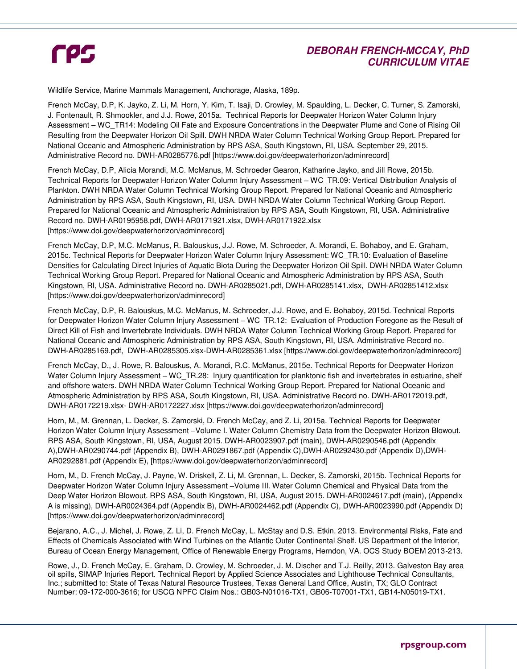## **DEBORAH FRENCH-MCCAY, PhD CURRICULUM VITAE**

Wildlife Service, Marine Mammals Management, Anchorage, Alaska, 189p.

French McCay, D.P, K. Jayko, Z. Li, M. Horn, Y. Kim, T. Isaji, D. Crowley, M. Spaulding, L. Decker, C. Turner, S. Zamorski, J. Fontenault, R. Shmookler, and J.J. Rowe, 2015a. Technical Reports for Deepwater Horizon Water Column Injury Assessment – WC\_TR14: Modeling Oil Fate and Exposure Concentrations in the Deepwater Plume and Cone of Rising Oil Resulting from the Deepwater Horizon Oil Spill. DWH NRDA Water Column Technical Working Group Report. Prepared for National Oceanic and Atmospheric Administration by RPS ASA, South Kingstown, RI, USA. September 29, 2015. Administrative Record no. DWH-AR0285776.pdf [https://www.doi.gov/deepwaterhorizon/adminrecord]

French McCay, D.P, Alicia Morandi, M.C. McManus, M. Schroeder Gearon, Katharine Jayko, and Jill Rowe, 2015b. Technical Reports for Deepwater Horizon Water Column Injury Assessment – WC\_TR.09: Vertical Distribution Analysis of Plankton. DWH NRDA Water Column Technical Working Group Report. Prepared for National Oceanic and Atmospheric Administration by RPS ASA, South Kingstown, RI, USA. DWH NRDA Water Column Technical Working Group Report. Prepared for National Oceanic and Atmospheric Administration by RPS ASA, South Kingstown, RI, USA. Administrative Record no. DWH-AR0195958.pdf, DWH-AR0171921.xlsx, DWH-AR0171922.xlsx [https://www.doi.gov/deepwaterhorizon/adminrecord]

French McCay, D.P, M.C. McManus, R. Balouskus, J.J. Rowe, M. Schroeder, A. Morandi, E. Bohaboy, and E. Graham, 2015c. Technical Reports for Deepwater Horizon Water Column Injury Assessment: WC\_TR.10: Evaluation of Baseline Densities for Calculating Direct Injuries of Aquatic Biota During the Deepwater Horizon Oil Spill. DWH NRDA Water Column Technical Working Group Report. Prepared for National Oceanic and Atmospheric Administration by RPS ASA, South Kingstown, RI, USA. Administrative Record no. DWH-AR0285021.pdf, DWH-AR0285141.xlsx, DWH-AR02851412.xlsx [https://www.doi.gov/deepwaterhorizon/adminrecord]

French McCay, D.P, R. Balouskus, M.C. McManus, M. Schroeder, J.J. Rowe, and E. Bohaboy, 2015d. Technical Reports for Deepwater Horizon Water Column Injury Assessment – WC TR.12: Evaluation of Production Foregone as the Result of Direct Kill of Fish and Invertebrate Individuals. DWH NRDA Water Column Technical Working Group Report. Prepared for National Oceanic and Atmospheric Administration by RPS ASA, South Kingstown, RI, USA. Administrative Record no. DWH-AR0285169.pdf, DWH-AR0285305.xlsx-DWH-AR0285361.xlsx [https://www.doi.gov/deepwaterhorizon/adminrecord]

French McCay, D., J. Rowe, R. Balouskus, A. Morandi, R.C. McManus, 2015e. Technical Reports for Deepwater Horizon Water Column Injury Assessment – WC\_TR.28: Injury quantification for planktonic fish and invertebrates in estuarine, shelf and offshore waters. DWH NRDA Water Column Technical Working Group Report. Prepared for National Oceanic and Atmospheric Administration by RPS ASA, South Kingstown, RI, USA. Administrative Record no. DWH-AR0172019.pdf, DWH-AR0172219.xlsx- DWH-AR0172227.xlsx [https://www.doi.gov/deepwaterhorizon/adminrecord]

Horn, M., M. Grennan, L. Decker, S. Zamorski, D. French McCay, and Z. Li, 2015a. Technical Reports for Deepwater Horizon Water Column Injury Assessment –Volume I. Water Column Chemistry Data from the Deepwater Horizon Blowout. RPS ASA, South Kingstown, RI, USA, August 2015. DWH-AR0023907.pdf (main), DWH-AR0290546.pdf (Appendix A),DWH-AR0290744.pdf (Appendix B), DWH-AR0291867.pdf (Appendix C),DWH-AR0292430.pdf (Appendix D),DWH-AR0292881.pdf (Appendix E), [https://www.doi.gov/deepwaterhorizon/adminrecord]

Horn, M., D. French McCay, J. Payne, W. Driskell, Z. Li, M. Grennan, L. Decker, S. Zamorski, 2015b. Technical Reports for Deepwater Horizon Water Column Injury Assessment –Volume III. Water Column Chemical and Physical Data from the Deep Water Horizon Blowout. RPS ASA, South Kingstown, RI, USA, August 2015. DWH-AR0024617.pdf (main), (Appendix A is missing), DWH-AR0024364.pdf (Appendix B), DWH-AR0024462.pdf (Appendix C), DWH-AR0023990.pdf (Appendix D) [https://www.doi.gov/deepwaterhorizon/adminrecord]

Bejarano, A.C., J. Michel, J. Rowe, Z. Li, D. French McCay, L. McStay and D.S. Etkin. 2013. Environmental Risks, Fate and Effects of Chemicals Associated with Wind Turbines on the Atlantic Outer Continental Shelf. US Department of the Interior, Bureau of Ocean Energy Management, Office of Renewable Energy Programs, Herndon, VA. OCS Study BOEM 2013-213.

Rowe, J., D. French McCay, E. Graham, D. Crowley, M. Schroeder, J. M. Discher and T.J. Reilly, 2013. Galveston Bay area oil spills, SIMAP Injuries Report. Technical Report by Applied Science Associates and Lighthouse Technical Consultants, Inc.; submitted to: State of Texas Natural Resource Trustees, Texas General Land Office, Austin, TX; GLO Contract Number: 09-172-000-3616; for USCG NPFC Claim Nos.: GB03-N01016-TX1, GB06-T07001-TX1, GB14-N05019-TX1.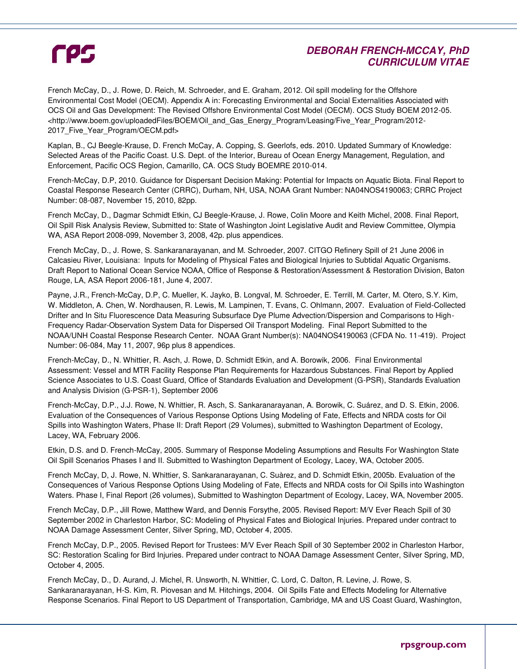## **DEBORAH FRENCH-MCCAY, PhD CURRICULUM VITAE**

French McCay, D., J. Rowe, D. Reich, M. Schroeder, and E. Graham, 2012. Oil spill modeling for the Offshore Environmental Cost Model (OECM). Appendix A in: Forecasting Environmental and Social Externalities Associated with OCS Oil and Gas Development: The Revised Offshore Environmental Cost Model (OECM). OCS Study BOEM 2012-05. <http://www.boem.gov/uploadedFiles/BOEM/Oil\_and\_Gas\_Energy\_Program/Leasing/Five\_Year\_Program/2012- 2017 Five Year Program/OECM.pdf>

Kaplan, B., CJ Beegle-Krause, D. French McCay, A. Copping, S. Geerlofs, eds. 2010. Updated Summary of Knowledge: Selected Areas of the Pacific Coast. U.S. Dept. of the Interior, Bureau of Ocean Energy Management, Regulation, and Enforcement, Pacific OCS Region, Camarillo, CA. OCS Study BOEMRE 2010-014.

French-McCay, D.P, 2010. Guidance for Dispersant Decision Making: Potential for Impacts on Aquatic Biota. Final Report to Coastal Response Research Center (CRRC), Durham, NH, USA, NOAA Grant Number: NA04NOS4190063; CRRC Project Number: 08-087, November 15, 2010, 82pp.

French McCay, D., Dagmar Schmidt Etkin, CJ Beegle-Krause, J. Rowe, Colin Moore and Keith Michel, 2008. Final Report, Oil Spill Risk Analysis Review, Submitted to: State of Washington Joint Legislative Audit and Review Committee, Olympia WA, ASA Report 2008-099, November 3, 2008, 42p. plus appendices.

French McCay, D., J. Rowe, S. Sankaranarayanan, and M. Schroeder, 2007. CITGO Refinery Spill of 21 June 2006 in Calcasieu River, Louisiana: Inputs for Modeling of Physical Fates and Biological Injuries to Subtidal Aquatic Organisms. Draft Report to National Ocean Service NOAA, Office of Response & Restoration/Assessment & Restoration Division, Baton Rouge, LA, ASA Report 2006-181, June 4, 2007.

Payne, J.R., French-McCay, D.P, C. Mueller, K. Jayko, B. Longval, M. Schroeder, E. Terrill, M. Carter, M. Otero, S.Y. Kim, W. Middleton, A. Chen, W. Nordhausen, R. Lewis, M. Lampinen, T. Evans, C. Ohlmann, 2007. Evaluation of Field-Collected Drifter and In Situ Fluorescence Data Measuring Subsurface Dye Plume Advection/Dispersion and Comparisons to High-Frequency Radar-Observation System Data for Dispersed Oil Transport Modeling. Final Report Submitted to the NOAA/UNH Coastal Response Research Center. NOAA Grant Number(s): NA04NOS4190063 (CFDA No. 11-419). Project Number: 06-084, May 11, 2007, 96p plus 8 appendices.

French-McCay, D., N. Whittier, R. Asch, J. Rowe, D. Schmidt Etkin, and A. Borowik, 2006. Final Environmental Assessment: Vessel and MTR Facility Response Plan Requirements for Hazardous Substances. Final Report by Applied Science Associates to U.S. Coast Guard, Office of Standards Evaluation and Development (G-PSR), Standards Evaluation and Analysis Division (G-PSR-1), September 2006

French-McCay, D.P., J.J. Rowe, N. Whittier, R. Asch, S. Sankaranarayanan, A. Borowik, C. Suárez, and D. S. Etkin, 2006. Evaluation of the Consequences of Various Response Options Using Modeling of Fate, Effects and NRDA costs for Oil Spills into Washington Waters, Phase II: Draft Report (29 Volumes), submitted to Washington Department of Ecology, Lacey, WA, February 2006.

Etkin, D.S. and D. French-McCay, 2005. Summary of Response Modeling Assumptions and Results For Washington State Oil Spill Scenarios Phases I and II. Submitted to Washington Department of Ecology, Lacey, WA, October 2005.

French McCay, D, J. Rowe, N. Whittier, S. Sankaranarayanan, C. Suàrez, and D. Schmidt Etkin, 2005b. Evaluation of the Consequences of Various Response Options Using Modeling of Fate, Effects and NRDA costs for Oil Spills into Washington Waters. Phase I, Final Report (26 volumes), Submitted to Washington Department of Ecology, Lacey, WA, November 2005.

French McCay, D.P., Jill Rowe, Matthew Ward, and Dennis Forsythe, 2005. Revised Report: M/V Ever Reach Spill of 30 September 2002 in Charleston Harbor, SC: Modeling of Physical Fates and Biological Injuries. Prepared under contract to NOAA Damage Assessment Center, Silver Spring, MD, October 4, 2005.

French McCay, D.P., 2005. Revised Report for Trustees: M/V Ever Reach Spill of 30 September 2002 in Charleston Harbor, SC: Restoration Scaling for Bird Injuries. Prepared under contract to NOAA Damage Assessment Center, Silver Spring, MD, October 4, 2005.

French McCay, D., D. Aurand, J. Michel, R. Unsworth, N. Whittier, C. Lord, C. Dalton, R. Levine, J. Rowe, S. Sankaranarayanan, H-S. Kim, R. Piovesan and M. Hitchings, 2004. Oil Spills Fate and Effects Modeling for Alternative Response Scenarios. Final Report to US Department of Transportation, Cambridge, MA and US Coast Guard, Washington,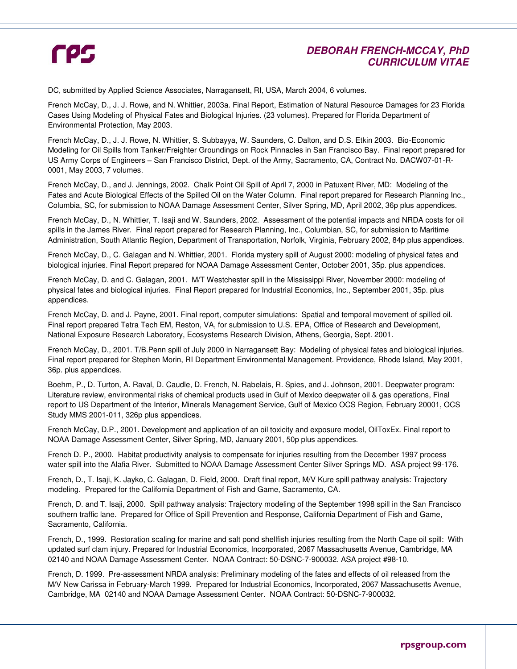## **DEBORAH FRENCH-MCCAY, PhD CURRICULUM VITAE**

DC, submitted by Applied Science Associates, Narragansett, RI, USA, March 2004, 6 volumes.

French McCay, D., J. J. Rowe, and N. Whittier, 2003a. Final Report, Estimation of Natural Resource Damages for 23 Florida Cases Using Modeling of Physical Fates and Biological Injuries. (23 volumes). Prepared for Florida Department of Environmental Protection, May 2003.

French McCay, D., J. J. Rowe, N. Whittier, S. Subbayya, W. Saunders, C. Dalton, and D.S. Etkin 2003. Bio-Economic Modeling for Oil Spills from Tanker/Freighter Groundings on Rock Pinnacles in San Francisco Bay. Final report prepared for US Army Corps of Engineers – San Francisco District, Dept. of the Army, Sacramento, CA, Contract No. DACW07-01-R-0001, May 2003, 7 volumes.

French McCay, D., and J. Jennings, 2002. Chalk Point Oil Spill of April 7, 2000 in Patuxent River, MD: Modeling of the Fates and Acute Biological Effects of the Spilled Oil on the Water Column. Final report prepared for Research Planning Inc., Columbia, SC, for submission to NOAA Damage Assessment Center, Silver Spring, MD, April 2002, 36p plus appendices.

French McCay, D., N. Whittier, T. Isaji and W. Saunders, 2002. Assessment of the potential impacts and NRDA costs for oil spills in the James River. Final report prepared for Research Planning, Inc., Columbian, SC, for submission to Maritime Administration, South Atlantic Region, Department of Transportation, Norfolk, Virginia, February 2002, 84p plus appendices.

French McCay, D., C. Galagan and N. Whittier, 2001. Florida mystery spill of August 2000: modeling of physical fates and biological injuries. Final Report prepared for NOAA Damage Assessment Center, October 2001, 35p. plus appendices.

French McCay, D. and C. Galagan, 2001. M/T Westchester spill in the Mississippi River, November 2000: modeling of physical fates and biological injuries. Final Report prepared for Industrial Economics, Inc., September 2001, 35p. plus appendices.

French McCay, D. and J. Payne, 2001. Final report, computer simulations: Spatial and temporal movement of spilled oil. Final report prepared Tetra Tech EM, Reston, VA, for submission to U.S. EPA, Office of Research and Development, National Exposure Research Laboratory, Ecosystems Research Division, Athens, Georgia, Sept. 2001.

French McCay, D., 2001. T/B.Penn spill of July 2000 in Narragansett Bay: Modeling of physical fates and biological injuries. Final report prepared for Stephen Morin, RI Department Environmental Management. Providence, Rhode Island, May 2001, 36p. plus appendices.

Boehm, P., D. Turton, A. Raval, D. Caudle, D. French, N. Rabelais, R. Spies, and J. Johnson, 2001. Deepwater program: Literature review, environmental risks of chemical products used in Gulf of Mexico deepwater oil & gas operations, Final report to US Department of the Interior, Minerals Management Service, Gulf of Mexico OCS Region, February 20001, OCS Study MMS 2001-011, 326p plus appendices.

French McCay, D.P., 2001. Development and application of an oil toxicity and exposure model, OilToxEx. Final report to NOAA Damage Assessment Center, Silver Spring, MD, January 2001, 50p plus appendices.

French D. P., 2000. Habitat productivity analysis to compensate for injuries resulting from the December 1997 process water spill into the Alafia River. Submitted to NOAA Damage Assessment Center Silver Springs MD. ASA project 99-176.

French, D., T. Isaji, K. Jayko, C. Galagan, D. Field, 2000. Draft final report, M/V Kure spill pathway analysis: Trajectory modeling. Prepared for the California Department of Fish and Game, Sacramento, CA.

French, D. and T. Isaji, 2000. Spill pathway analysis: Trajectory modeling of the September 1998 spill in the San Francisco southern traffic lane. Prepared for Office of Spill Prevention and Response, California Department of Fish and Game, Sacramento, California.

French, D., 1999. Restoration scaling for marine and salt pond shellfish injuries resulting from the North Cape oil spill: With updated surf clam injury. Prepared for Industrial Economics, Incorporated, 2067 Massachusetts Avenue, Cambridge, MA 02140 and NOAA Damage Assessment Center. NOAA Contract: 50-DSNC-7-900032. ASA project #98-10.

French, D. 1999. Pre-assessment NRDA analysis: Preliminary modeling of the fates and effects of oil released from the M/V New Carissa in February-March 1999. Prepared for Industrial Economics, Incorporated, 2067 Massachusetts Avenue, Cambridge, MA 02140 and NOAA Damage Assessment Center. NOAA Contract: 50-DSNC-7-900032.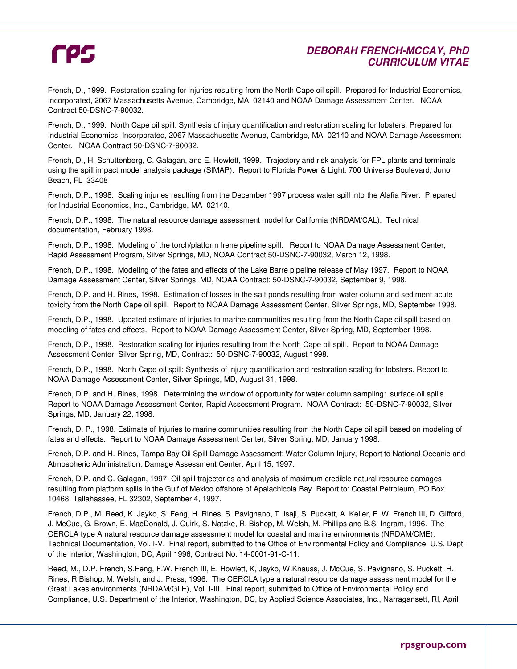## **DEBORAH FRENCH-MCCAY, PhD CURRICULUM VITAE**

French, D., 1999. Restoration scaling for injuries resulting from the North Cape oil spill. Prepared for Industrial Economics, Incorporated, 2067 Massachusetts Avenue, Cambridge, MA 02140 and NOAA Damage Assessment Center. NOAA Contract 50-DSNC-7-90032.

French, D., 1999. North Cape oil spill: Synthesis of injury quantification and restoration scaling for lobsters. Prepared for Industrial Economics, Incorporated, 2067 Massachusetts Avenue, Cambridge, MA 02140 and NOAA Damage Assessment Center. NOAA Contract 50-DSNC-7-90032.

French, D., H. Schuttenberg, C. Galagan, and E. Howlett, 1999. Trajectory and risk analysis for FPL plants and terminals using the spill impact model analysis package (SIMAP). Report to Florida Power & Light, 700 Universe Boulevard, Juno Beach, FL 33408

French, D.P., 1998. Scaling injuries resulting from the December 1997 process water spill into the Alafia River. Prepared for Industrial Economics, Inc., Cambridge, MA 02140.

French, D.P., 1998. The natural resource damage assessment model for California (NRDAM/CAL). Technical documentation, February 1998.

French, D.P., 1998. Modeling of the torch/platform Irene pipeline spill. Report to NOAA Damage Assessment Center, Rapid Assessment Program, Silver Springs, MD, NOAA Contract 50-DSNC-7-90032, March 12, 1998.

French, D.P., 1998. Modeling of the fates and effects of the Lake Barre pipeline release of May 1997. Report to NOAA Damage Assessment Center, Silver Springs, MD, NOAA Contract: 50-DSNC-7-90032, September 9, 1998.

French, D.P. and H. Rines, 1998. Estimation of losses in the salt ponds resulting from water column and sediment acute toxicity from the North Cape oil spill. Report to NOAA Damage Assessment Center, Silver Springs, MD, September 1998.

French, D.P., 1998. Updated estimate of injuries to marine communities resulting from the North Cape oil spill based on modeling of fates and effects. Report to NOAA Damage Assessment Center, Silver Spring, MD, September 1998.

French, D.P., 1998. Restoration scaling for injuries resulting from the North Cape oil spill. Report to NOAA Damage Assessment Center, Silver Spring, MD, Contract: 50-DSNC-7-90032, August 1998.

French, D.P., 1998. North Cape oil spill: Synthesis of injury quantification and restoration scaling for lobsters. Report to NOAA Damage Assessment Center, Silver Springs, MD, August 31, 1998.

French, D.P. and H. Rines, 1998. Determining the window of opportunity for water column sampling: surface oil spills. Report to NOAA Damage Assessment Center, Rapid Assessment Program. NOAA Contract: 50-DSNC-7-90032, Silver Springs, MD, January 22, 1998.

French, D. P., 1998. Estimate of Injuries to marine communities resulting from the North Cape oil spill based on modeling of fates and effects. Report to NOAA Damage Assessment Center, Silver Spring, MD, January 1998.

French, D.P. and H. Rines, Tampa Bay Oil Spill Damage Assessment: Water Column Injury, Report to National Oceanic and Atmospheric Administration, Damage Assessment Center, April 15, 1997.

French, D.P. and C. Galagan, 1997. Oil spill trajectories and analysis of maximum credible natural resource damages resulting from platform spills in the Gulf of Mexico offshore of Apalachicola Bay. Report to: Coastal Petroleum, PO Box 10468, Tallahassee, FL 32302, September 4, 1997.

French, D.P., M. Reed, K. Jayko, S. Feng, H. Rines, S. Pavignano, T. Isaji, S. Puckett, A. Keller, F. W. French III, D. Gifford, J. McCue, G. Brown, E. MacDonald, J. Quirk, S. Natzke, R. Bishop, M. Welsh, M. Phillips and B.S. Ingram, 1996. The CERCLA type A natural resource damage assessment model for coastal and marine environments (NRDAM/CME), Technical Documentation, Vol. I-V. Final report, submitted to the Office of Environmental Policy and Compliance, U.S. Dept. of the Interior, Washington, DC, April 1996, Contract No. 14-0001-91-C-11.

Reed, M., D.P. French, S.Feng, F.W. French III, E. Howlett, K, Jayko, W.Knauss, J. McCue, S. Pavignano, S. Puckett, H. Rines, R.Bishop, M. Welsh, and J. Press, 1996. The CERCLA type a natural resource damage assessment model for the Great Lakes environments (NRDAM/GLE), Vol. I-III. Final report, submitted to Office of Environmental Policy and Compliance, U.S. Department of the Interior, Washington, DC, by Applied Science Associates, Inc., Narragansett, RI, April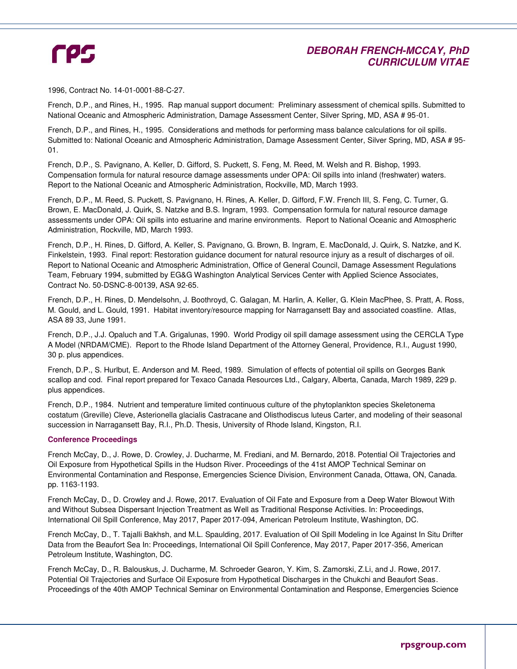## **DEBORAH FRENCH-MCCAY, PhD CURRICULUM VITAE**

1996, Contract No. 14-01-0001-88-C-27.

French, D.P., and Rines, H., 1995. Rap manual support document: Preliminary assessment of chemical spills. Submitted to National Oceanic and Atmospheric Administration, Damage Assessment Center, Silver Spring, MD, ASA # 95-01.

French, D.P., and Rines, H., 1995. Considerations and methods for performing mass balance calculations for oil spills. Submitted to: National Oceanic and Atmospheric Administration, Damage Assessment Center, Silver Spring, MD, ASA # 95- 01.

French, D.P., S. Pavignano, A. Keller, D. Gifford, S. Puckett, S. Feng, M. Reed, M. Welsh and R. Bishop, 1993. Compensation formula for natural resource damage assessments under OPA: Oil spills into inland (freshwater) waters. Report to the National Oceanic and Atmospheric Administration, Rockville, MD, March 1993.

French, D.P., M. Reed, S. Puckett, S. Pavignano, H. Rines, A. Keller, D. Gifford, F.W. French III, S. Feng, C. Turner, G. Brown, E. MacDonald, J. Quirk, S. Natzke and B.S. Ingram, 1993. Compensation formula for natural resource damage assessments under OPA: Oil spills into estuarine and marine environments. Report to National Oceanic and Atmospheric Administration, Rockville, MD, March 1993.

French, D.P., H. Rines, D. Gifford, A. Keller, S. Pavignano, G. Brown, B. Ingram, E. MacDonald, J. Quirk, S. Natzke, and K. Finkelstein, 1993. Final report: Restoration guidance document for natural resource injury as a result of discharges of oil. Report to National Oceanic and Atmospheric Administration, Office of General Council, Damage Assessment Regulations Team, February 1994, submitted by EG&G Washington Analytical Services Center with Applied Science Associates, Contract No. 50-DSNC-8-00139, ASA 92-65.

French, D.P., H. Rines, D. Mendelsohn, J. Boothroyd, C. Galagan, M. Harlin, A. Keller, G. Klein MacPhee, S. Pratt, A. Ross, M. Gould, and L. Gould, 1991. Habitat inventory/resource mapping for Narragansett Bay and associated coastline. Atlas, ASA 89 33, June 1991.

French, D.P., J.J. Opaluch and T.A. Grigalunas, 1990. World Prodigy oil spill damage assessment using the CERCLA Type A Model (NRDAM/CME). Report to the Rhode Island Department of the Attorney General, Providence, R.I., August 1990, 30 p. plus appendices.

French, D.P., S. Hurlbut, E. Anderson and M. Reed, 1989. Simulation of effects of potential oil spills on Georges Bank scallop and cod. Final report prepared for Texaco Canada Resources Ltd., Calgary, Alberta, Canada, March 1989, 229 p. plus appendices.

French, D.P., 1984. Nutrient and temperature limited continuous culture of the phytoplankton species Skeletonema costatum (Greville) Cleve, Asterionella glacialis Castracane and Olisthodiscus luteus Carter, and modeling of their seasonal succession in Narragansett Bay, R.I., Ph.D. Thesis, University of Rhode Island, Kingston, R.I.

#### **Conference Proceedings**

French McCay, D., J. Rowe, D. Crowley, J. Ducharme, M. Frediani, and M. Bernardo, 2018. Potential Oil Trajectories and Oil Exposure from Hypothetical Spills in the Hudson River. Proceedings of the 41st AMOP Technical Seminar on Environmental Contamination and Response, Emergencies Science Division, Environment Canada, Ottawa, ON, Canada. pp. 1163-1193.

French McCay, D., D. Crowley and J. Rowe, 2017. Evaluation of Oil Fate and Exposure from a Deep Water Blowout With and Without Subsea Dispersant Injection Treatment as Well as Traditional Response Activities. In: Proceedings, International Oil Spill Conference, May 2017, Paper 2017-094, American Petroleum Institute, Washington, DC.

French McCay, D., T. Tajalli Bakhsh, and M.L. Spaulding, 2017. Evaluation of Oil Spill Modeling in Ice Against In Situ Drifter Data from the Beaufort Sea In: Proceedings, International Oil Spill Conference, May 2017, Paper 2017-356, American Petroleum Institute, Washington, DC.

French McCay, D., R. Balouskus, J. Ducharme, M. Schroeder Gearon, Y. Kim, S. Zamorski, Z.Li, and J. Rowe, 2017. Potential Oil Trajectories and Surface Oil Exposure from Hypothetical Discharges in the Chukchi and Beaufort Seas. Proceedings of the 40th AMOP Technical Seminar on Environmental Contamination and Response, Emergencies Science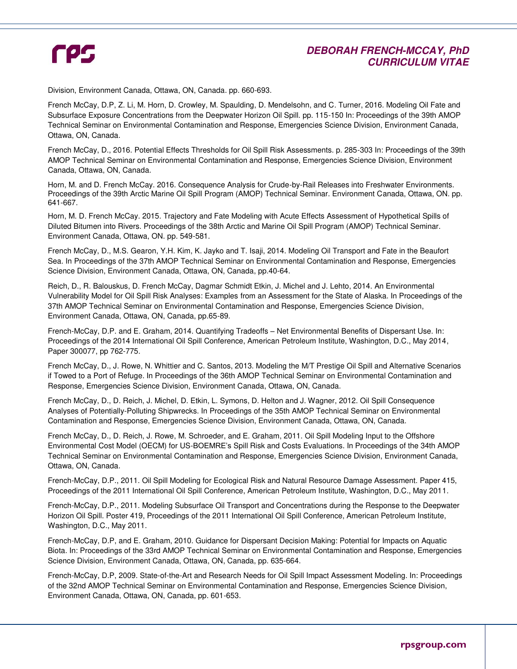## **DEBORAH FRENCH-MCCAY, PhD CURRICULUM VITAE**

Division, Environment Canada, Ottawa, ON, Canada. pp. 660-693.

French McCay, D.P, Z. Li, M. Horn, D. Crowley, M. Spaulding, D. Mendelsohn, and C. Turner, 2016. Modeling Oil Fate and Subsurface Exposure Concentrations from the Deepwater Horizon Oil Spill. pp. 115-150 In: Proceedings of the 39th AMOP Technical Seminar on Environmental Contamination and Response, Emergencies Science Division, Environment Canada, Ottawa, ON, Canada.

French McCay, D., 2016. Potential Effects Thresholds for Oil Spill Risk Assessments. p. 285-303 In: Proceedings of the 39th AMOP Technical Seminar on Environmental Contamination and Response, Emergencies Science Division, Environment Canada, Ottawa, ON, Canada.

Horn, M. and D. French McCay. 2016. Consequence Analysis for Crude-by-Rail Releases into Freshwater Environments. Proceedings of the 39th Arctic Marine Oil Spill Program (AMOP) Technical Seminar. Environment Canada, Ottawa, ON. pp. 641-667.

Horn, M. D. French McCay. 2015. Trajectory and Fate Modeling with Acute Effects Assessment of Hypothetical Spills of Diluted Bitumen into Rivers. Proceedings of the 38th Arctic and Marine Oil Spill Program (AMOP) Technical Seminar. Environment Canada, Ottawa, ON. pp. 549-581.

French McCay, D., M.S. Gearon, Y.H. Kim, K. Jayko and T. Isaji, 2014. Modeling Oil Transport and Fate in the Beaufort Sea. In Proceedings of the 37th AMOP Technical Seminar on Environmental Contamination and Response, Emergencies Science Division, Environment Canada, Ottawa, ON, Canada, pp.40-64.

Reich, D., R. Balouskus, D. French McCay, Dagmar Schmidt Etkin, J. Michel and J. Lehto, 2014. An Environmental Vulnerability Model for Oil Spill Risk Analyses: Examples from an Assessment for the State of Alaska. In Proceedings of the 37th AMOP Technical Seminar on Environmental Contamination and Response, Emergencies Science Division, Environment Canada, Ottawa, ON, Canada, pp.65-89.

French-McCay, D.P. and E. Graham, 2014. Quantifying Tradeoffs – Net Environmental Benefits of Dispersant Use. In: Proceedings of the 2014 International Oil Spill Conference, American Petroleum Institute, Washington, D.C., May 2014, Paper 300077, pp 762-775.

French McCay, D., J. Rowe, N. Whittier and C. Santos, 2013. Modeling the M/T Prestige Oil Spill and Alternative Scenarios if Towed to a Port of Refuge. In Proceedings of the 36th AMOP Technical Seminar on Environmental Contamination and Response, Emergencies Science Division, Environment Canada, Ottawa, ON, Canada.

French McCay, D., D. Reich, J. Michel, D. Etkin, L. Symons, D. Helton and J. Wagner, 2012. Oil Spill Consequence Analyses of Potentially-Polluting Shipwrecks. In Proceedings of the 35th AMOP Technical Seminar on Environmental Contamination and Response, Emergencies Science Division, Environment Canada, Ottawa, ON, Canada.

French McCay, D., D. Reich, J. Rowe, M. Schroeder, and E. Graham, 2011. Oil Spill Modeling Input to the Offshore Environmental Cost Model (OECM) for US-BOEMRE's Spill Risk and Costs Evaluations. In Proceedings of the 34th AMOP Technical Seminar on Environmental Contamination and Response, Emergencies Science Division, Environment Canada, Ottawa, ON, Canada.

French-McCay, D.P., 2011. Oil Spill Modeling for Ecological Risk and Natural Resource Damage Assessment. Paper 415, Proceedings of the 2011 International Oil Spill Conference, American Petroleum Institute, Washington, D.C., May 2011.

French-McCay, D.P., 2011. Modeling Subsurface Oil Transport and Concentrations during the Response to the Deepwater Horizon Oil Spill. Poster 419, Proceedings of the 2011 International Oil Spill Conference, American Petroleum Institute, Washington, D.C., May 2011.

French-McCay, D.P, and E. Graham, 2010. Guidance for Dispersant Decision Making: Potential for Impacts on Aquatic Biota. In: Proceedings of the 33rd AMOP Technical Seminar on Environmental Contamination and Response, Emergencies Science Division, Environment Canada, Ottawa, ON, Canada, pp. 635-664.

French-McCay, D.P, 2009. State-of-the-Art and Research Needs for Oil Spill Impact Assessment Modeling. In: Proceedings of the 32nd AMOP Technical Seminar on Environmental Contamination and Response, Emergencies Science Division, Environment Canada, Ottawa, ON, Canada, pp. 601-653.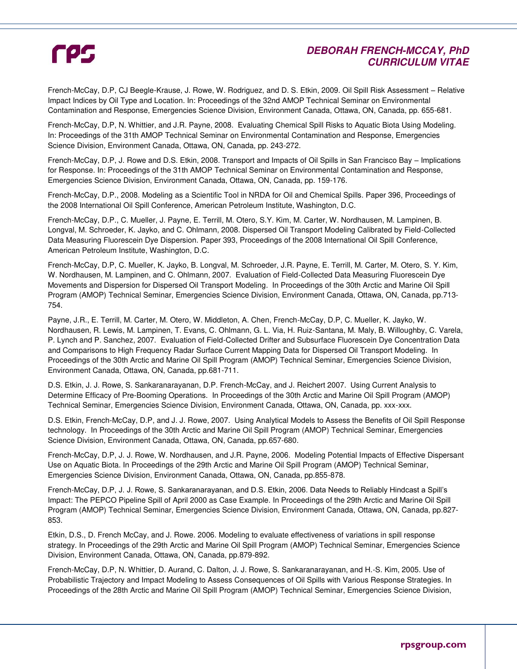## **DEBORAH FRENCH-MCCAY, PhD CURRICULUM VITAE**

French-McCay, D.P, CJ Beegle-Krause, J. Rowe, W. Rodriguez, and D. S. Etkin, 2009. Oil Spill Risk Assessment – Relative Impact Indices by Oil Type and Location. In: Proceedings of the 32nd AMOP Technical Seminar on Environmental Contamination and Response, Emergencies Science Division, Environment Canada, Ottawa, ON, Canada, pp. 655-681.

French-McCay, D.P, N. Whittier, and J.R. Payne, 2008. Evaluating Chemical Spill Risks to Aquatic Biota Using Modeling. In: Proceedings of the 31th AMOP Technical Seminar on Environmental Contamination and Response, Emergencies Science Division, Environment Canada, Ottawa, ON, Canada, pp. 243-272.

French-McCay, D.P, J. Rowe and D.S. Etkin, 2008. Transport and Impacts of Oil Spills in San Francisco Bay – Implications for Response. In: Proceedings of the 31th AMOP Technical Seminar on Environmental Contamination and Response, Emergencies Science Division, Environment Canada, Ottawa, ON, Canada, pp. 159-176.

French-McCay, D.P., 2008. Modeling as a Scientific Tool in NRDA for Oil and Chemical Spills. Paper 396, Proceedings of the 2008 International Oil Spill Conference, American Petroleum Institute, Washington, D.C.

French-McCay, D.P., C. Mueller, J. Payne, E. Terrill, M. Otero, S.Y. Kim, M. Carter, W. Nordhausen, M. Lampinen, B. Longval, M. Schroeder, K. Jayko, and C. Ohlmann, 2008. Dispersed Oil Transport Modeling Calibrated by Field-Collected Data Measuring Fluorescein Dye Dispersion. Paper 393, Proceedings of the 2008 International Oil Spill Conference, American Petroleum Institute, Washington, D.C.

French-McCay, D.P, C. Mueller, K. Jayko, B. Longval, M. Schroeder, J.R. Payne, E. Terrill, M. Carter, M. Otero, S. Y. Kim, W. Nordhausen, M. Lampinen, and C. Ohlmann, 2007. Evaluation of Field-Collected Data Measuring Fluorescein Dye Movements and Dispersion for Dispersed Oil Transport Modeling. In Proceedings of the 30th Arctic and Marine Oil Spill Program (AMOP) Technical Seminar, Emergencies Science Division, Environment Canada, Ottawa, ON, Canada, pp.713- 754.

Payne, J.R., E. Terrill, M. Carter, M. Otero, W. Middleton, A. Chen, French-McCay, D.P, C. Mueller, K. Jayko, W. Nordhausen, R. Lewis, M. Lampinen, T. Evans, C. Ohlmann, G. L. Via, H. Ruiz-Santana, M. Maly, B. Willoughby, C. Varela, P. Lynch and P. Sanchez, 2007. Evaluation of Field-Collected Drifter and Subsurface Fluorescein Dye Concentration Data and Comparisons to High Frequency Radar Surface Current Mapping Data for Dispersed Oil Transport Modeling. In Proceedings of the 30th Arctic and Marine Oil Spill Program (AMOP) Technical Seminar, Emergencies Science Division, Environment Canada, Ottawa, ON, Canada, pp.681-711.

D.S. Etkin, J. J. Rowe, S. Sankaranarayanan, D.P. French-McCay, and J. Reichert 2007. Using Current Analysis to Determine Efficacy of Pre-Booming Operations. In Proceedings of the 30th Arctic and Marine Oil Spill Program (AMOP) Technical Seminar, Emergencies Science Division, Environment Canada, Ottawa, ON, Canada, pp. xxx-xxx.

D.S. Etkin, French-McCay, D.P, and J. J. Rowe, 2007. Using Analytical Models to Assess the Benefits of Oil Spill Response technology. In Proceedings of the 30th Arctic and Marine Oil Spill Program (AMOP) Technical Seminar, Emergencies Science Division, Environment Canada, Ottawa, ON, Canada, pp.657-680.

French-McCay, D.P, J. J. Rowe, W. Nordhausen, and J.R. Payne, 2006. Modeling Potential Impacts of Effective Dispersant Use on Aquatic Biota. In Proceedings of the 29th Arctic and Marine Oil Spill Program (AMOP) Technical Seminar, Emergencies Science Division, Environment Canada, Ottawa, ON, Canada, pp.855-878.

French-McCay, D.P, J. J. Rowe, S. Sankaranarayanan, and D.S. Etkin, 2006. Data Needs to Reliably Hindcast a Spill's Impact: The PEPCO Pipeline Spill of April 2000 as Case Example. In Proceedings of the 29th Arctic and Marine Oil Spill Program (AMOP) Technical Seminar, Emergencies Science Division, Environment Canada, Ottawa, ON, Canada, pp.827- 853.

Etkin, D.S., D. French McCay, and J. Rowe. 2006. Modeling to evaluate effectiveness of variations in spill response strategy. In Proceedings of the 29th Arctic and Marine Oil Spill Program (AMOP) Technical Seminar, Emergencies Science Division, Environment Canada, Ottawa, ON, Canada, pp.879-892.

French-McCay, D.P, N. Whittier, D. Aurand, C. Dalton, J. J. Rowe, S. Sankaranarayanan, and H.-S. Kim, 2005. Use of Probabilistic Trajectory and Impact Modeling to Assess Consequences of Oil Spills with Various Response Strategies. In Proceedings of the 28th Arctic and Marine Oil Spill Program (AMOP) Technical Seminar, Emergencies Science Division,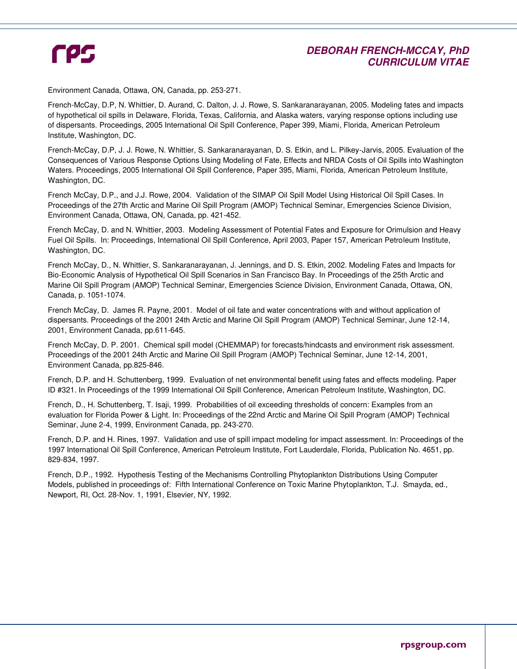## **DEBORAH FRENCH-MCCAY, PhD CURRICULUM VITAE**

Environment Canada, Ottawa, ON, Canada, pp. 253-271.

French-McCay, D.P, N. Whittier, D. Aurand, C. Dalton, J. J. Rowe, S. Sankaranarayanan, 2005. Modeling fates and impacts of hypothetical oil spills in Delaware, Florida, Texas, California, and Alaska waters, varying response options including use of dispersants. Proceedings, 2005 International Oil Spill Conference, Paper 399, Miami, Florida, American Petroleum Institute, Washington, DC.

French-McCay, D.P, J. J. Rowe, N. Whittier, S. Sankaranarayanan, D. S. Etkin, and L. Pilkey-Jarvis, 2005. Evaluation of the Consequences of Various Response Options Using Modeling of Fate, Effects and NRDA Costs of Oil Spills into Washington Waters. Proceedings, 2005 International Oil Spill Conference, Paper 395, Miami, Florida, American Petroleum Institute, Washington, DC.

French McCay, D.P., and J.J. Rowe, 2004. Validation of the SIMAP Oil Spill Model Using Historical Oil Spill Cases. In Proceedings of the 27th Arctic and Marine Oil Spill Program (AMOP) Technical Seminar, Emergencies Science Division, Environment Canada, Ottawa, ON, Canada, pp. 421-452.

French McCay, D. and N. Whittier, 2003. Modeling Assessment of Potential Fates and Exposure for Orimulsion and Heavy Fuel Oil Spills. In: Proceedings, International Oil Spill Conference, April 2003, Paper 157, American Petroleum Institute, Washington, DC.

French McCay, D., N. Whittier, S. Sankaranarayanan, J. Jennings, and D. S. Etkin, 2002. Modeling Fates and Impacts for Bio-Economic Analysis of Hypothetical Oil Spill Scenarios in San Francisco Bay. In Proceedings of the 25th Arctic and Marine Oil Spill Program (AMOP) Technical Seminar, Emergencies Science Division, Environment Canada, Ottawa, ON, Canada, p. 1051-1074.

French McCay, D. James R. Payne, 2001. Model of oil fate and water concentrations with and without application of dispersants. Proceedings of the 2001 24th Arctic and Marine Oil Spill Program (AMOP) Technical Seminar, June 12-14, 2001, Environment Canada, pp.611-645.

French McCay, D. P. 2001. Chemical spill model (CHEMMAP) for forecasts/hindcasts and environment risk assessment. Proceedings of the 2001 24th Arctic and Marine Oil Spill Program (AMOP) Technical Seminar, June 12-14, 2001, Environment Canada, pp.825-846.

French, D.P. and H. Schuttenberg, 1999. Evaluation of net environmental benefit using fates and effects modeling. Paper ID #321. In Proceedings of the 1999 International Oil Spill Conference, American Petroleum Institute, Washington, DC.

French, D., H. Schuttenberg, T. Isaji, 1999. Probabilities of oil exceeding thresholds of concern: Examples from an evaluation for Florida Power & Light. In: Proceedings of the 22nd Arctic and Marine Oil Spill Program (AMOP) Technical Seminar, June 2-4, 1999, Environment Canada, pp. 243-270.

French, D.P. and H. Rines, 1997. Validation and use of spill impact modeling for impact assessment. In: Proceedings of the 1997 International Oil Spill Conference, American Petroleum Institute, Fort Lauderdale, Florida, Publication No. 4651, pp. 829-834, 1997.

French, D.P., 1992. Hypothesis Testing of the Mechanisms Controlling Phytoplankton Distributions Using Computer Models, published in proceedings of: Fifth International Conference on Toxic Marine Phytoplankton, T.J. Smayda, ed., Newport, RI, Oct. 28-Nov. 1, 1991, Elsevier, NY, 1992.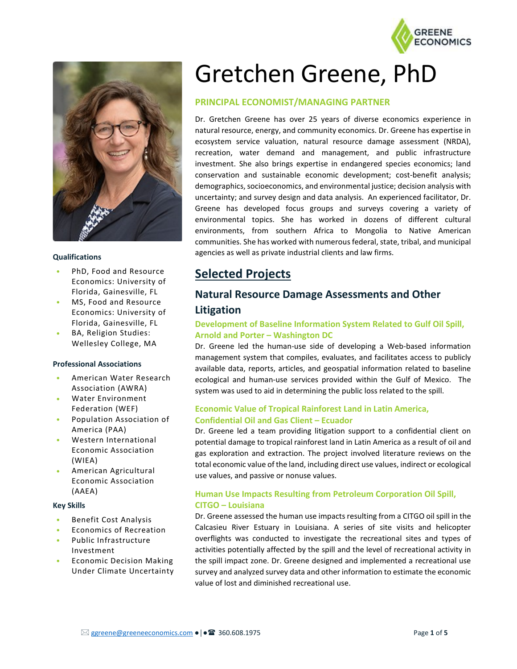



#### **Qualifications**

- PhD, Food and Resource Economics: University of Florida, Gainesville, FL
- MS, Food and Resource Economics: University of Florida, Gainesville, FL
- BA, Religion Studies: Wellesley College, MA

#### **Professional Associations**

- American Water Research Association (AWRA)
- Water Environment Federation (WEF)
- Population Association of America (PAA)
- Western International Economic Association (WIEA)
- American Agricultural Economic Association (AAEA)

#### **Key Skills**

- Benefit Cost Analysis
- Economics of Recreation
- Public Infrastructure Investment
- Economic Decision Making Under Climate Uncertainty

# Gretchen Greene, PhD

#### **PRINCIPAL ECONOMIST/MANAGING PARTNER**

Dr. Gretchen Greene has over 25 years of diverse economics experience in natural resource, energy, and community economics. Dr. Greene has expertise in ecosystem service valuation, natural resource damage assessment (NRDA), recreation, water demand and management, and public infrastructure investment. She also brings expertise in endangered species economics; land conservation and sustainable economic development; cost-benefit analysis; demographics, socioeconomics, and environmental justice; decision analysis with uncertainty; and survey design and data analysis. An experienced facilitator, Dr. Greene has developed focus groups and surveys covering a variety of environmental topics. She has worked in dozens of different cultural environments, from southern Africa to Mongolia to Native American communities. She has worked with numerous federal, state, tribal, and municipal agencies as well as private industrial clients and law firms.

## **Selected Projects**

## **Natural Resource Damage Assessments and Other Litigation**

#### **Development of Baseline Information System Related to Gulf Oil Spill, Arnold and Porter – Washington DC**

Dr. Greene led the human-use side of developing a Web-based information management system that compiles, evaluates, and facilitates access to publicly available data, reports, articles, and geospatial information related to baseline ecological and human-use services provided within the Gulf of Mexico. The system was used to aid in determining the public loss related to the spill.

#### **Economic Value of Tropical Rainforest Land in Latin America, Confidential Oil and Gas Client – Ecuador**

Dr. Greene led a team providing litigation support to a confidential client on potential damage to tropical rainforest land in Latin America as a result of oil and gas exploration and extraction. The project involved literature reviews on the total economic value of the land, including direct use values, indirect or ecological use values, and passive or nonuse values.

#### **Human Use Impacts Resulting from Petroleum Corporation Oil Spill, CITGO – Louisiana**

Dr. Greene assessed the human use impacts resulting from a CITGO oil spill in the Calcasieu River Estuary in Louisiana. A series of site visits and helicopter overflights was conducted to investigate the recreational sites and types of activities potentially affected by the spill and the level of recreational activity in the spill impact zone. Dr. Greene designed and implemented a recreational use survey and analyzed survey data and other information to estimate the economic value of lost and diminished recreational use.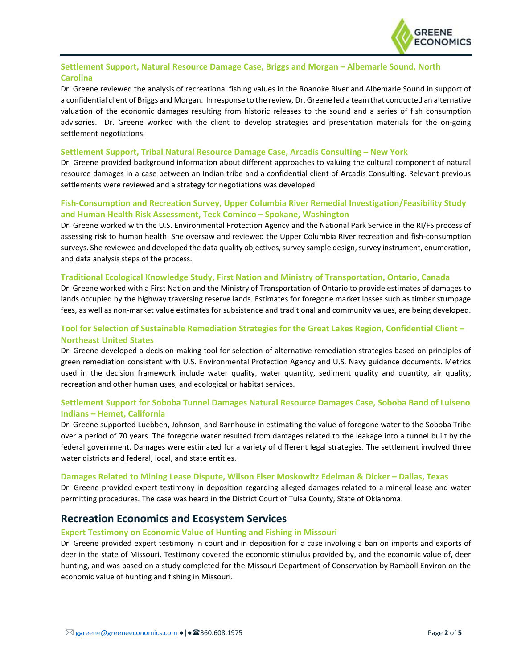

#### **Settlement Support, Natural Resource Damage Case, Briggs and Morgan – Albemarle Sound, North Carolina**

Dr. Greene reviewed the analysis of recreational fishing values in the Roanoke River and Albemarle Sound in support of a confidential client of Briggs and Morgan. In response to the review, Dr. Greene led a team that conducted an alternative valuation of the economic damages resulting from historic releases to the sound and a series of fish consumption advisories. Dr. Greene worked with the client to develop strategies and presentation materials for the on-going settlement negotiations.

#### **Settlement Support, Tribal Natural Resource Damage Case, Arcadis Consulting – New York**

Dr. Greene provided background information about different approaches to valuing the cultural component of natural resource damages in a case between an Indian tribe and a confidential client of Arcadis Consulting. Relevant previous settlements were reviewed and a strategy for negotiations was developed.

#### **Fish-Consumption and Recreation Survey, Upper Columbia River Remedial Investigation/Feasibility Study and Human Health Risk Assessment, Teck Cominco – Spokane, Washington**

Dr. Greene worked with the U.S. Environmental Protection Agency and the National Park Service in the RI/FS process of assessing risk to human health. She oversaw and reviewed the Upper Columbia River recreation and fish-consumption surveys. She reviewed and developed the data quality objectives, survey sample design, survey instrument, enumeration, and data analysis steps of the process.

#### **Traditional Ecological Knowledge Study, First Nation and Ministry of Transportation, Ontario, Canada**

Dr. Greene worked with a First Nation and the Ministry of Transportation of Ontario to provide estimates of damages to lands occupied by the highway traversing reserve lands. Estimates for foregone market losses such as timber stumpage fees, as well as non-market value estimates for subsistence and traditional and community values, are being developed.

#### **Tool for Selection of Sustainable Remediation Strategies for the Great Lakes Region, Confidential Client – Northeast United States**

Dr. Greene developed a decision-making tool for selection of alternative remediation strategies based on principles of green remediation consistent with U.S. Environmental Protection Agency and U.S. Navy guidance documents. Metrics used in the decision framework include water quality, water quantity, sediment quality and quantity, air quality, recreation and other human uses, and ecological or habitat services.

#### **Settlement Support for Soboba Tunnel Damages Natural Resource Damages Case, Soboba Band of Luiseno Indians – Hemet, California**

Dr. Greene supported Luebben, Johnson, and Barnhouse in estimating the value of foregone water to the Soboba Tribe over a period of 70 years. The foregone water resulted from damages related to the leakage into a tunnel built by the federal government. Damages were estimated for a variety of different legal strategies. The settlement involved three water districts and federal, local, and state entities.

#### **Damages Related to Mining Lease Dispute, Wilson Elser Moskowitz Edelman & Dicker – Dallas, Texas**

Dr. Greene provided expert testimony in deposition regarding alleged damages related to a mineral lease and water permitting procedures. The case was heard in the District Court of Tulsa County, State of Oklahoma.

### **Recreation Economics and Ecosystem Services**

#### **Expert Testimony on Economic Value of Hunting and Fishing in Missouri**

Dr. Greene provided expert testimony in court and in deposition for a case involving a ban on imports and exports of deer in the state of Missouri. Testimony covered the economic stimulus provided by, and the economic value of, deer hunting, and was based on a study completed for the Missouri Department of Conservation by Ramboll Environ on the economic value of hunting and fishing in Missouri.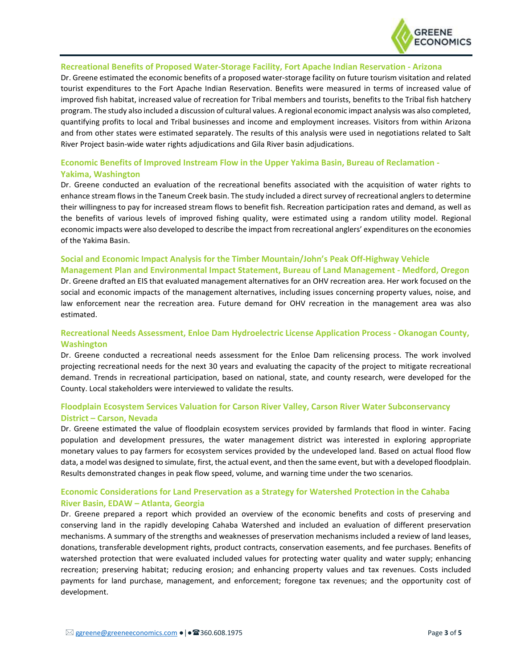

#### **Recreational Benefits of Proposed Water-Storage Facility, Fort Apache Indian Reservation - Arizona**

Dr. Greene estimated the economic benefits of a proposed water-storage facility on future tourism visitation and related tourist expenditures to the Fort Apache Indian Reservation. Benefits were measured in terms of increased value of improved fish habitat, increased value of recreation for Tribal members and tourists, benefits to the Tribal fish hatchery program. The study also included a discussion of cultural values. A regional economic impact analysis was also completed, quantifying profits to local and Tribal businesses and income and employment increases. Visitors from within Arizona and from other states were estimated separately. The results of this analysis were used in negotiations related to Salt River Project basin-wide water rights adjudications and Gila River basin adjudications.

#### **Economic Benefits of Improved Instream Flow in the Upper Yakima Basin, Bureau of Reclamation - Yakima, Washington**

Dr. Greene conducted an evaluation of the recreational benefits associated with the acquisition of water rights to enhance stream flows in the Taneum Creek basin. The study included a direct survey of recreational anglers to determine their willingness to pay for increased stream flows to benefit fish. Recreation participation rates and demand, as well as the benefits of various levels of improved fishing quality, were estimated using a random utility model. Regional economic impacts were also developed to describe the impact from recreational anglers' expenditures on the economies of the Yakima Basin.

#### **Social and Economic Impact Analysis for the Timber Mountain/John's Peak Off-Highway Vehicle Management Plan and Environmental Impact Statement, Bureau of Land Management - Medford, Oregon**

Dr. Greene drafted an EIS that evaluated management alternatives for an OHV recreation area. Her work focused on the social and economic impacts of the management alternatives, including issues concerning property values, noise, and law enforcement near the recreation area. Future demand for OHV recreation in the management area was also estimated.

#### **Recreational Needs Assessment, Enloe Dam Hydroelectric License Application Process - Okanogan County, Washington**

Dr. Greene conducted a recreational needs assessment for the Enloe Dam relicensing process. The work involved projecting recreational needs for the next 30 years and evaluating the capacity of the project to mitigate recreational demand. Trends in recreational participation, based on national, state, and county research, were developed for the County. Local stakeholders were interviewed to validate the results.

#### **Floodplain Ecosystem Services Valuation for Carson River Valley, Carson River Water Subconservancy District – Carson, Nevada**

Dr. Greene estimated the value of floodplain ecosystem services provided by farmlands that flood in winter. Facing population and development pressures, the water management district was interested in exploring appropriate monetary values to pay farmers for ecosystem services provided by the undeveloped land. Based on actual flood flow data, a model was designed to simulate, first, the actual event, and then the same event, but with a developed floodplain. Results demonstrated changes in peak flow speed, volume, and warning time under the two scenarios.

#### **Economic Considerations for Land Preservation as a Strategy for Watershed Protection in the Cahaba River Basin, EDAW – Atlanta, Georgia**

Dr. Greene prepared a report which provided an overview of the economic benefits and costs of preserving and conserving land in the rapidly developing Cahaba Watershed and included an evaluation of different preservation mechanisms. A summary of the strengths and weaknesses of preservation mechanisms included a review of land leases, donations, transferable development rights, product contracts, conservation easements, and fee purchases. Benefits of watershed protection that were evaluated included values for protecting water quality and water supply; enhancing recreation; preserving habitat; reducing erosion; and enhancing property values and tax revenues. Costs included payments for land purchase, management, and enforcement; foregone tax revenues; and the opportunity cost of development.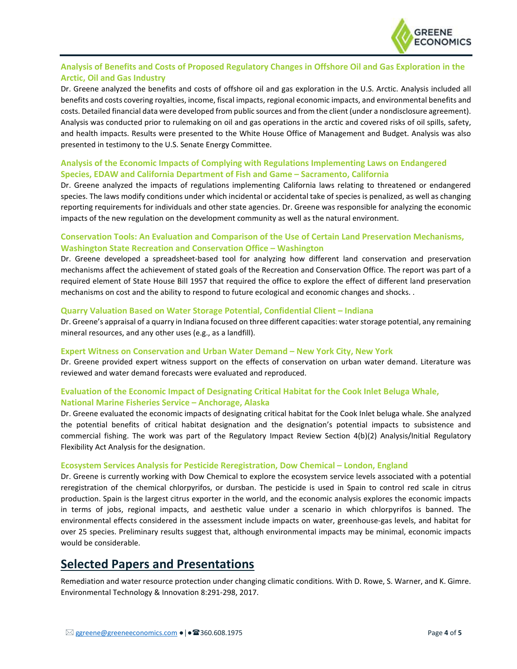

#### **Analysis of Benefits and Costs of Proposed Regulatory Changes in Offshore Oil and Gas Exploration in the Arctic, Oil and Gas Industry**

Dr. Greene analyzed the benefits and costs of offshore oil and gas exploration in the U.S. Arctic. Analysis included all benefits and costs covering royalties, income, fiscal impacts, regional economic impacts, and environmental benefits and costs. Detailed financial data were developed from public sources and from the client (under a nondisclosure agreement). Analysis was conducted prior to rulemaking on oil and gas operations in the arctic and covered risks of oil spills, safety, and health impacts. Results were presented to the White House Office of Management and Budget. Analysis was also presented in testimony to the U.S. Senate Energy Committee.

#### **Analysis of the Economic Impacts of Complying with Regulations Implementing Laws on Endangered Species, EDAW and California Department of Fish and Game – Sacramento, California**

Dr. Greene analyzed the impacts of regulations implementing California laws relating to threatened or endangered species. The laws modify conditions under which incidental or accidental take of species is penalized, as well as changing reporting requirements for individuals and other state agencies. Dr. Greene was responsible for analyzing the economic impacts of the new regulation on the development community as well as the natural environment.

#### **Conservation Tools: An Evaluation and Comparison of the Use of Certain Land Preservation Mechanisms, Washington State Recreation and Conservation Office – Washington**

Dr. Greene developed a spreadsheet-based tool for analyzing how different land conservation and preservation mechanisms affect the achievement of stated goals of the Recreation and Conservation Office. The report was part of a required element of State House Bill 1957 that required the office to explore the effect of different land preservation mechanisms on cost and the ability to respond to future ecological and economic changes and shocks. .

#### **Quarry Valuation Based on Water Storage Potential, Confidential Client – Indiana**

Dr. Greene's appraisal of a quarry in Indiana focused on three different capacities: water storage potential, any remaining mineral resources, and any other uses (e.g., as a landfill).

#### **Expert Witness on Conservation and Urban Water Demand – New York City, New York**

Dr. Greene provided expert witness support on the effects of conservation on urban water demand. Literature was reviewed and water demand forecasts were evaluated and reproduced.

#### **Evaluation of the Economic Impact of Designating Critical Habitat for the Cook Inlet Beluga Whale, National Marine Fisheries Service – Anchorage, Alaska**

Dr. Greene evaluated the economic impacts of designating critical habitat for the Cook Inlet beluga whale. She analyzed the potential benefits of critical habitat designation and the designation's potential impacts to subsistence and commercial fishing. The work was part of the Regulatory Impact Review Section 4(b)(2) Analysis/Initial Regulatory Flexibility Act Analysis for the designation.

#### **Ecosystem Services Analysis for Pesticide Reregistration, Dow Chemical – London, England**

Dr. Greene is currently working with Dow Chemical to explore the ecosystem service levels associated with a potential reregistration of the chemical chlorpyrifos, or dursban. The pesticide is used in Spain to control red scale in citrus production. Spain is the largest citrus exporter in the world, and the economic analysis explores the economic impacts in terms of jobs, regional impacts, and aesthetic value under a scenario in which chlorpyrifos is banned. The environmental effects considered in the assessment include impacts on water, greenhouse-gas levels, and habitat for over 25 species. Preliminary results suggest that, although environmental impacts may be minimal, economic impacts would be considerable.

## **Selected Papers and Presentations**

Remediation and water resource protection under changing climatic conditions. With D. Rowe, S. Warner, and K. Gimre. Environmental Technology & Innovation 8:291-298, 2017.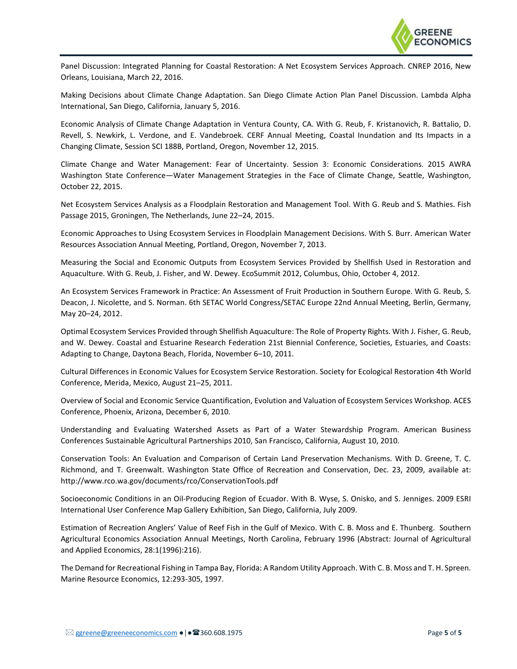

Panel Discussion: Integrated Planning for Coastal Restoration: A Net Ecosystem Services Approach. CNREP 2016, New Orleans, Louisiana, March 22, 2016.

Making Decisions about Climate Change Adaptation. San Diego Climate Action Plan Panel Discussion. Lambda Alpha International, San Diego, California, January 5, 2016.

Economic Analysis of Climate Change Adaptation in Ventura County, CA. With G. Reub, F. Kristanovich, R. Battalio, D. Revell, S. Newkirk, L. Verdone, and E. Vandebroek. CERF Annual Meeting, Coastal Inundation and Its Impacts in a Changing Climate, Session SCI 188B, Portland, Oregon, November 12, 2015.

Climate Change and Water Management: Fear of Uncertainty. Session 3: Economic Considerations. 2015 AWRA Washington State Conference—Water Management Strategies in the Face of Climate Change, Seattle, Washington, October 22, 2015.

Net Ecosystem Services Analysis as a Floodplain Restoration and Management Tool. With G. Reub and S. Mathies. Fish Passage 2015, Groningen, The Netherlands, June 22–24, 2015.

Economic Approaches to Using Ecosystem Services in Floodplain Management Decisions. With S. Burr. American Water Resources Association Annual Meeting, Portland, Oregon, November 7, 2013.

Measuring the Social and Economic Outputs from Ecosystem Services Provided by Shellfish Used in Restoration and Aquaculture. With G. Reub, J. Fisher, and W. Dewey. EcoSummit 2012, Columbus, Ohio, October 4, 2012.

An Ecosystem Services Framework in Practice: An Assessment of Fruit Production in Southern Europe. With G. Reub, S. Deacon, J. Nicolette, and S. Norman. 6th SETAC World Congress/SETAC Europe 22nd Annual Meeting, Berlin, Germany, May 20–24, 2012.

Optimal Ecosystem Services Provided through Shellfish Aquaculture: The Role of Property Rights. With J. Fisher, G. Reub, and W. Dewey. Coastal and Estuarine Research Federation 21st Biennial Conference, Societies, Estuaries, and Coasts: Adapting to Change, Daytona Beach, Florida, November 6–10, 2011.

Cultural Differences in Economic Values for Ecosystem Service Restoration. Society for Ecological Restoration 4th World Conference, Merida, Mexico, August 21–25, 2011.

Overview of Social and Economic Service Quantification, Evolution and Valuation of Ecosystem Services Workshop. ACES Conference, Phoenix, Arizona, December 6, 2010.

Understanding and Evaluating Watershed Assets as Part of a Water Stewardship Program. American Business Conferences Sustainable Agricultural Partnerships 2010, San Francisco, California, August 10, 2010.

Conservation Tools: An Evaluation and Comparison of Certain Land Preservation Mechanisms. With D. Greene, T. C. Richmond, and T. Greenwalt. Washington State Office of Recreation and Conservation, Dec. 23, 2009, available at: http://www.rco.wa.gov/documents/rco/ConservationTools.pdf

Socioeconomic Conditions in an Oil-Producing Region of Ecuador. With B. Wyse, S. Onisko, and S. Jenniges. 2009 ESRI International User Conference Map Gallery Exhibition, San Diego, California, July 2009.

Estimation of Recreation Anglers' Value of Reef Fish in the Gulf of Mexico. With C. B. Moss and E. Thunberg. Southern Agricultural Economics Association Annual Meetings, North Carolina, February 1996 (Abstract: Journal of Agricultural and Applied Economics, 28:1(1996):216).

The Demand for Recreational Fishing in Tampa Bay, Florida: A Random Utility Approach. With C. B. Moss and T. H. Spreen. Marine Resource Economics, 12:293-305, 1997.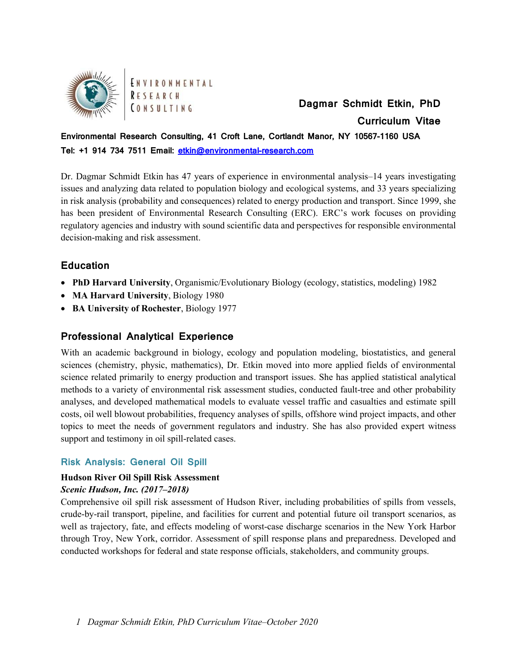

ENVIRONMENTAL RESEARCH **CONSULTING** 

**Dagmar Schmidt Etkin, PhD Curriculum Vitae**

## **Environmental Research Consulting, 41 Croft Lane, Cortlandt Manor, NY 10567-1160 USA Tel: +1 914 734 7511 Email: [etkin@environmental-research.com](mailto:etkin@environmental-research.com)**

Dr. Dagmar Schmidt Etkin has 47 years of experience in environmental analysis–14 years investigating issues and analyzing data related to population biology and ecological systems, and 33 years specializing in risk analysis (probability and consequences) related to energy production and transport. Since 1999, she has been president of Environmental Research Consulting (ERC). ERC's work focuses on providing regulatory agencies and industry with sound scientific data and perspectives for responsible environmental decision-making and risk assessment.

## **Education**

- **PhD Harvard University**, Organismic/Evolutionary Biology (ecology, statistics, modeling) 1982
- **MA Harvard University**, Biology 1980
- **BA University of Rochester**, Biology 1977

## **Professional Analytical Experience**

With an academic background in biology, ecology and population modeling, biostatistics, and general sciences (chemistry, physic, mathematics), Dr. Etkin moved into more applied fields of environmental science related primarily to energy production and transport issues. She has applied statistical analytical methods to a variety of environmental risk assessment studies, conducted fault-tree and other probability analyses, and developed mathematical models to evaluate vessel traffic and casualties and estimate spill costs, oil well blowout probabilities, frequency analyses of spills, offshore wind project impacts, and other topics to meet the needs of government regulators and industry. She has also provided expert witness support and testimony in oil spill-related cases.

## **Risk Analysis: General Oil Spill**

### **Hudson River Oil Spill Risk Assessment**

### *Scenic Hudson, Inc. (2017–2018)*

Comprehensive oil spill risk assessment of Hudson River, including probabilities of spills from vessels, crude-by-rail transport, pipeline, and facilities for current and potential future oil transport scenarios, as well as trajectory, fate, and effects modeling of worst-case discharge scenarios in the New York Harbor through Troy, New York, corridor. Assessment of spill response plans and preparedness. Developed and conducted workshops for federal and state response officials, stakeholders, and community groups.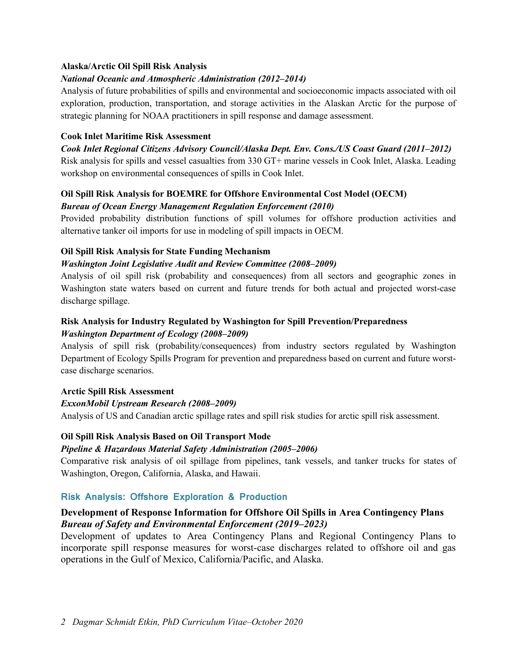#### **Alaska/Arctic Oil Spill Risk Analysis**

#### *National Oceanic and Atmospheric Administration (2012–2014)*

Analysis of future probabilities of spills and environmental and socioeconomic impacts associated with oil exploration, production, transportation, and storage activities in the Alaskan Arctic for the purpose of strategic planning for NOAA practitioners in spill response and damage assessment.

#### **Cook Inlet Maritime Risk Assessment**

*Cook Inlet Regional Citizens Advisory Council/Alaska Dept. Env. Cons./US Coast Guard (2011–2012)*  Risk analysis for spills and vessel casualties from 330 GT+ marine vessels in Cook Inlet, Alaska. Leading workshop on environmental consequences of spills in Cook Inlet.

### **Oil Spill Risk Analysis for BOEMRE for Offshore Environmental Cost Model (OECM)** *Bureau of Ocean Energy Management Regulation Enforcement (2010)*

Provided probability distribution functions of spill volumes for offshore production activities and alternative tanker oil imports for use in modeling of spill impacts in OECM.

#### **Oil Spill Risk Analysis for State Funding Mechanism**

#### *Washington Joint Legislative Audit and Review Committee (2008–2009)*

Analysis of oil spill risk (probability and consequences) from all sectors and geographic zones in Washington state waters based on current and future trends for both actual and projected worst-case discharge spillage.

#### **Risk Analysis for Industry Regulated by Washington for Spill Prevention/Preparedness** *Washington Department of Ecology (2008–2009)*

Analysis of spill risk (probability/consequences) from industry sectors regulated by Washington Department of Ecology Spills Program for prevention and preparedness based on current and future worstcase discharge scenarios.

### **Arctic Spill Risk Assessment**

### *ExxonMobil Upstream Research (2008–2009)*

Analysis of US and Canadian arctic spillage rates and spill risk studies for arctic spill risk assessment.

### **Oil Spill Risk Analysis Based on Oil Transport Mode**

### *Pipeline & Hazardous Material Safety Administration (2005–2006)*

Comparative risk analysis of oil spillage from pipelines, tank vessels, and tanker trucks for states of Washington, Oregon, California, Alaska, and Hawaii.

### **Risk Analysis: Offshore Exploration & Production**

## **Development of Response Information for Offshore Oil Spills in Area Contingency Plans**  *Bureau of Safety and Environmental Enforcement (2019–2023)*

Development of updates to Area Contingency Plans and Regional Contingency Plans to incorporate spill response measures for worst-case discharges related to offshore oil and gas operations in the Gulf of Mexico, California/Pacific, and Alaska.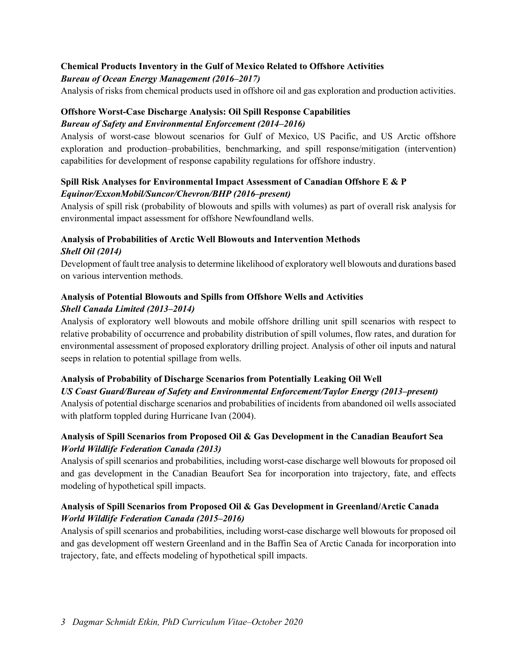## **Chemical Products Inventory in the Gulf of Mexico Related to Offshore Activities**

### *Bureau of Ocean Energy Management (2016–2017)*

Analysis of risks from chemical products used in offshore oil and gas exploration and production activities.

## **Offshore Worst-Case Discharge Analysis: Oil Spill Response Capabilities** *Bureau of Safety and Environmental Enforcement (2014–2016)*

Analysis of worst-case blowout scenarios for Gulf of Mexico, US Pacific, and US Arctic offshore exploration and production–probabilities, benchmarking, and spill response/mitigation (intervention) capabilities for development of response capability regulations for offshore industry.

## **Spill Risk Analyses for Environmental Impact Assessment of Canadian Offshore E & P** *Equinor/ExxonMobil/Suncor/Chevron/BHP (2016–present)*

Analysis of spill risk (probability of blowouts and spills with volumes) as part of overall risk analysis for environmental impact assessment for offshore Newfoundland wells.

## **Analysis of Probabilities of Arctic Well Blowouts and Intervention Methods** *Shell Oil (2014)*

Development of fault tree analysis to determine likelihood of exploratory well blowouts and durations based on various intervention methods.

### **Analysis of Potential Blowouts and Spills from Offshore Wells and Activities** *Shell Canada Limited (2013–2014)*

Analysis of exploratory well blowouts and mobile offshore drilling unit spill scenarios with respect to relative probability of occurrence and probability distribution of spill volumes, flow rates, and duration for environmental assessment of proposed exploratory drilling project. Analysis of other oil inputs and natural seeps in relation to potential spillage from wells.

## **Analysis of Probability of Discharge Scenarios from Potentially Leaking Oil Well**

### *US Coast Guard/Bureau of Safety and Environmental Enforcement/Taylor Energy (2013–present)*

Analysis of potential discharge scenarios and probabilities of incidents from abandoned oil wells associated with platform toppled during Hurricane Ivan (2004).

## **Analysis of Spill Scenarios from Proposed Oil & Gas Development in the Canadian Beaufort Sea** *World Wildlife Federation Canada (2013)*

Analysis of spill scenarios and probabilities, including worst-case discharge well blowouts for proposed oil and gas development in the Canadian Beaufort Sea for incorporation into trajectory, fate, and effects modeling of hypothetical spill impacts.

## **Analysis of Spill Scenarios from Proposed Oil & Gas Development in Greenland/Arctic Canada** *World Wildlife Federation Canada (2015–2016)*

Analysis of spill scenarios and probabilities, including worst-case discharge well blowouts for proposed oil and gas development off western Greenland and in the Baffin Sea of Arctic Canada for incorporation into trajectory, fate, and effects modeling of hypothetical spill impacts.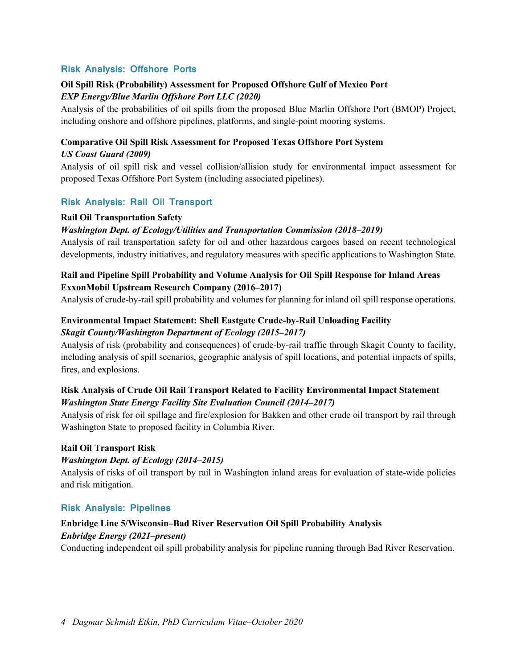### **Risk Analysis: Offshore Ports**

#### **Oil Spill Risk (Probability) Assessment for Proposed Offshore Gulf of Mexico Port** *EXP Energy/Blue Marlin Offshore Port LLC (2020)*

Analysis of the probabilities of oil spills from the proposed Blue Marlin Offshore Port (BMOP) Project, including onshore and offshore pipelines, platforms, and single-point mooring systems.

### **Comparative Oil Spill Risk Assessment for Proposed Texas Offshore Port System**  *US Coast Guard (2009)*

Analysis of oil spill risk and vessel collision/allision study for environmental impact assessment for proposed Texas Offshore Port System (including associated pipelines).

### **Risk Analysis: Rail Oil Transport**

#### **Rail Oil Transportation Safety**

#### *Washington Dept. of Ecology/Utilities and Transportation Commission (2018–2019)*

Analysis of rail transportation safety for oil and other hazardous cargoes based on recent technological developments, industry initiatives, and regulatory measures with specific applications to Washington State.

## **Rail and Pipeline Spill Probability and Volume Analysis for Oil Spill Response for Inland Areas ExxonMobil Upstream Research Company (2016–2017)**

Analysis of crude-by-rail spill probability and volumes for planning for inland oil spill response operations.

## **Environmental Impact Statement: Shell Eastgate Crude-by-Rail Unloading Facility**  *Skagit County/Washington Department of Ecology (2015–2017)*

Analysis of risk (probability and consequences) of crude-by-rail traffic through Skagit County to facility, including analysis of spill scenarios, geographic analysis of spill locations, and potential impacts of spills, fires, and explosions.

### **Risk Analysis of Crude Oil Rail Transport Related to Facility Environmental Impact Statement** *Washington State Energy Facility Site Evaluation Council (2014–2017)*

Analysis of risk for oil spillage and fire/explosion for Bakken and other crude oil transport by rail through Washington State to proposed facility in Columbia River.

#### **Rail Oil Transport Risk**

#### *Washington Dept. of Ecology (2014–2015)*

Analysis of risks of oil transport by rail in Washington inland areas for evaluation of state-wide policies and risk mitigation.

#### **Risk Analysis: Pipelines**

## **Enbridge Line 5/Wisconsin–Bad River Reservation Oil Spill Probability Analysis**  *Enbridge Energy (2021–present)*

Conducting independent oil spill probability analysis for pipeline running through Bad River Reservation.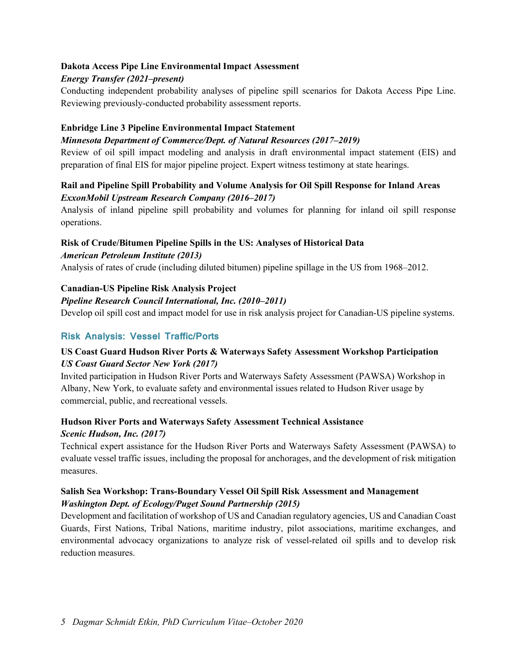### **Dakota Access Pipe Line Environmental Impact Assessment**

## *Energy Transfer (2021–present)*

Conducting independent probability analyses of pipeline spill scenarios for Dakota Access Pipe Line. Reviewing previously-conducted probability assessment reports.

## **Enbridge Line 3 Pipeline Environmental Impact Statement**

## *Minnesota Department of Commerce/Dept. of Natural Resources (2017–2019)*

Review of oil spill impact modeling and analysis in draft environmental impact statement (EIS) and preparation of final EIS for major pipeline project. Expert witness testimony at state hearings.

## **Rail and Pipeline Spill Probability and Volume Analysis for Oil Spill Response for Inland Areas** *ExxonMobil Upstream Research Company (2016–2017)*

Analysis of inland pipeline spill probability and volumes for planning for inland oil spill response operations.

#### **Risk of Crude/Bitumen Pipeline Spills in the US: Analyses of Historical Data**  *American Petroleum Institute (2013)*

Analysis of rates of crude (including diluted bitumen) pipeline spillage in the US from 1968–2012.

## **Canadian-US Pipeline Risk Analysis Project**

### *Pipeline Research Council International, Inc. (2010–2011)*

Develop oil spill cost and impact model for use in risk analysis project for Canadian-US pipeline systems.

## **Risk Analysis: Vessel Traffic/Ports**

## **US Coast Guard Hudson River Ports & Waterways Safety Assessment Workshop Participation**  *US Coast Guard Sector New York (2017)*

Invited participation in Hudson River Ports and Waterways Safety Assessment (PAWSA) Workshop in Albany, New York, to evaluate safety and environmental issues related to Hudson River usage by commercial, public, and recreational vessels.

### **Hudson River Ports and Waterways Safety Assessment Technical Assistance** *Scenic Hudson, Inc. (2017)*

Technical expert assistance for the Hudson River Ports and Waterways Safety Assessment (PAWSA) to evaluate vessel traffic issues, including the proposal for anchorages, and the development of risk mitigation measures.

## **Salish Sea Workshop: Trans-Boundary Vessel Oil Spill Risk Assessment and Management** *Washington Dept. of Ecology/Puget Sound Partnership (2015)*

Development and facilitation of workshop of US and Canadian regulatory agencies, US and Canadian Coast Guards, First Nations, Tribal Nations, maritime industry, pilot associations, maritime exchanges, and environmental advocacy organizations to analyze risk of vessel-related oil spills and to develop risk reduction measures.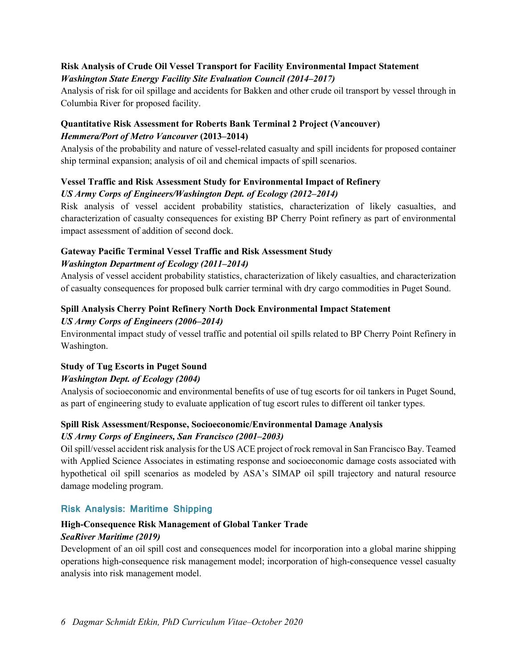### **Risk Analysis of Crude Oil Vessel Transport for Facility Environmental Impact Statement** *Washington State Energy Facility Site Evaluation Council (2014–2017)*

Analysis of risk for oil spillage and accidents for Bakken and other crude oil transport by vessel through in Columbia River for proposed facility.

## **Quantitative Risk Assessment for Roberts Bank Terminal 2 Project (Vancouver)** *Hemmera/Port of Metro Vancouver* **(2013–2014)**

Analysis of the probability and nature of vessel-related casualty and spill incidents for proposed container ship terminal expansion; analysis of oil and chemical impacts of spill scenarios.

## **Vessel Traffic and Risk Assessment Study for Environmental Impact of Refinery**

## *US Army Corps of Engineers/Washington Dept. of Ecology (2012–2014)*

Risk analysis of vessel accident probability statistics, characterization of likely casualties, and characterization of casualty consequences for existing BP Cherry Point refinery as part of environmental impact assessment of addition of second dock.

## **Gateway Pacific Terminal Vessel Traffic and Risk Assessment Study** *Washington Department of Ecology (2011–2014)*

Analysis of vessel accident probability statistics, characterization of likely casualties, and characterization of casualty consequences for proposed bulk carrier terminal with dry cargo commodities in Puget Sound.

## **Spill Analysis Cherry Point Refinery North Dock Environmental Impact Statement** *US Army Corps of Engineers (2006–2014)*

Environmental impact study of vessel traffic and potential oil spills related to BP Cherry Point Refinery in Washington.

## **Study of Tug Escorts in Puget Sound**

## *Washington Dept. of Ecology (2004)*

Analysis of socioeconomic and environmental benefits of use of tug escorts for oil tankers in Puget Sound, as part of engineering study to evaluate application of tug escort rules to different oil tanker types.

## **Spill Risk Assessment/Response, Socioeconomic/Environmental Damage Analysis**  *US Army Corps of Engineers, San Francisco (2001–2003)*

Oil spill/vessel accident risk analysis for the US ACE project of rock removal in San Francisco Bay. Teamed with Applied Science Associates in estimating response and socioeconomic damage costs associated with hypothetical oil spill scenarios as modeled by ASA's SIMAP oil spill trajectory and natural resource damage modeling program.

## **Risk Analysis: Maritime Shipping**

## **High-Consequence Risk Management of Global Tanker Trade** *SeaRiver Maritime (2019)*

Development of an oil spill cost and consequences model for incorporation into a global marine shipping operations high-consequence risk management model; incorporation of high-consequence vessel casualty analysis into risk management model.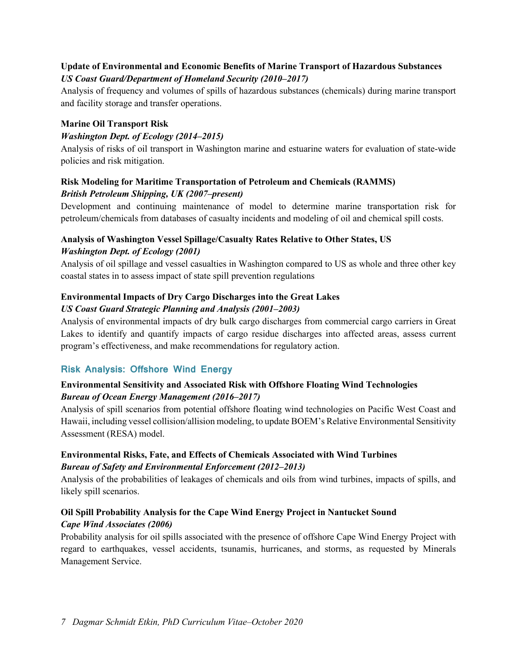### **Update of Environmental and Economic Benefits of Marine Transport of Hazardous Substances** *US Coast Guard/Department of Homeland Security (2010–2017)*

Analysis of frequency and volumes of spills of hazardous substances (chemicals) during marine transport and facility storage and transfer operations.

## **Marine Oil Transport Risk**

## *Washington Dept. of Ecology (2014–2015)*

Analysis of risks of oil transport in Washington marine and estuarine waters for evaluation of state-wide policies and risk mitigation.

## **Risk Modeling for Maritime Transportation of Petroleum and Chemicals (RAMMS)** *British Petroleum Shipping, UK (2007–present)*

Development and continuing maintenance of model to determine marine transportation risk for petroleum/chemicals from databases of casualty incidents and modeling of oil and chemical spill costs.

## **Analysis of Washington Vessel Spillage/Casualty Rates Relative to Other States, US**  *Washington Dept. of Ecology (2001)*

Analysis of oil spillage and vessel casualties in Washington compared to US as whole and three other key coastal states in to assess impact of state spill prevention regulations

## **Environmental Impacts of Dry Cargo Discharges into the Great Lakes**

### *US Coast Guard Strategic Planning and Analysis (2001–2003)*

Analysis of environmental impacts of dry bulk cargo discharges from commercial cargo carriers in Great Lakes to identify and quantify impacts of cargo residue discharges into affected areas, assess current program's effectiveness, and make recommendations for regulatory action.

## **Risk Analysis: Offshore Wind Energy**

## **Environmental Sensitivity and Associated Risk with Offshore Floating Wind Technologies** *Bureau of Ocean Energy Management (2016–2017)*

Analysis of spill scenarios from potential offshore floating wind technologies on Pacific West Coast and Hawaii, including vessel collision/allision modeling, to update BOEM's Relative Environmental Sensitivity Assessment (RESA) model.

## **Environmental Risks, Fate, and Effects of Chemicals Associated with Wind Turbines** *Bureau of Safety and Environmental Enforcement (2012–2013)*

Analysis of the probabilities of leakages of chemicals and oils from wind turbines, impacts of spills, and likely spill scenarios.

## **Oil Spill Probability Analysis for the Cape Wind Energy Project in Nantucket Sound** *Cape Wind Associates (2006)*

Probability analysis for oil spills associated with the presence of offshore Cape Wind Energy Project with regard to earthquakes, vessel accidents, tsunamis, hurricanes, and storms, as requested by Minerals Management Service.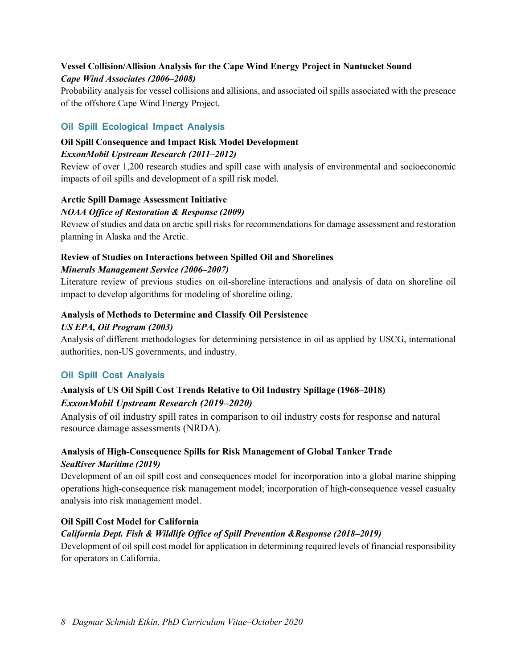## **Vessel Collision/Allision Analysis for the Cape Wind Energy Project in Nantucket Sound** *Cape Wind Associates (2006–2008)*

Probability analysis for vessel collisions and allisions, and associated oil spills associated with the presence of the offshore Cape Wind Energy Project.

## **Oil Spill Ecological Impact Analysis**

#### **Oil Spill Consequence and Impact Risk Model Development** *ExxonMobil Upstream Research (2011–2012)*

Review of over 1,200 research studies and spill case with analysis of environmental and socioeconomic impacts of oil spills and development of a spill risk model.

### **Arctic Spill Damage Assessment Initiative**

### *NOAA Office of Restoration & Response (2009)*

Review of studies and data on arctic spill risks for recommendations for damage assessment and restoration planning in Alaska and the Arctic.

## **Review of Studies on Interactions between Spilled Oil and Shorelines** *Minerals Management Service (2006–2007)*

Literature review of previous studies on oil-shoreline interactions and analysis of data on shoreline oil impact to develop algorithms for modeling of shoreline oiling.

#### **Analysis of Methods to Determine and Classify Oil Persistence**

#### *US EPA, Oil Program (2003)*

Analysis of different methodologies for determining persistence in oil as applied by USCG, international authorities, non-US governments, and industry.

## **Oil Spill Cost Analysis**

## **Analysis of US Oil Spill Cost Trends Relative to Oil Industry Spillage (1968–2018)**  *ExxonMobil Upstream Research (2019–2020)*

Analysis of oil industry spill rates in comparison to oil industry costs for response and natural resource damage assessments (NRDA).

## **Analysis of High-Consequence Spills for Risk Management of Global Tanker Trade**  *SeaRiver Maritime (2019)*

Development of an oil spill cost and consequences model for incorporation into a global marine shipping operations high-consequence risk management model; incorporation of high-consequence vessel casualty analysis into risk management model.

### **Oil Spill Cost Model for California**

### *California Dept. Fish & Wildlife Office of Spill Prevention &Response (2018–2019)*

Development of oil spill cost model for application in determining required levels of financial responsibility for operators in California.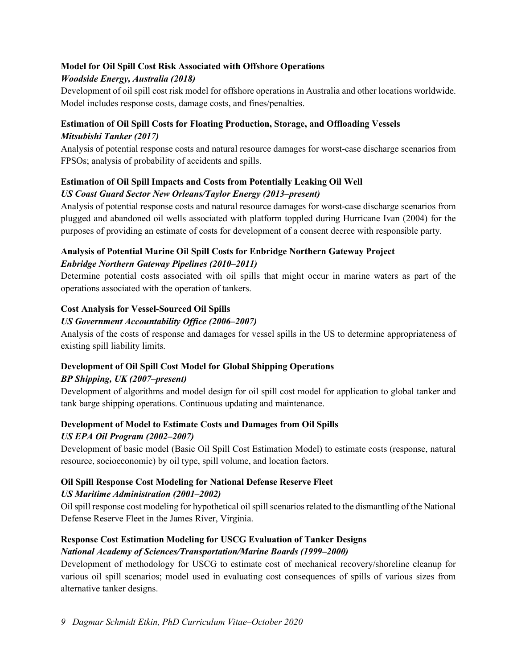## **Model for Oil Spill Cost Risk Associated with Offshore Operations**

## *Woodside Energy, Australia (2018)*

Development of oil spill cost risk model for offshore operations in Australia and other locations worldwide. Model includes response costs, damage costs, and fines/penalties.

## **Estimation of Oil Spill Costs for Floating Production, Storage, and Offloading Vessels**  *Mitsubishi Tanker (2017)*

Analysis of potential response costs and natural resource damages for worst-case discharge scenarios from FPSOs; analysis of probability of accidents and spills.

## **Estimation of Oil Spill Impacts and Costs from Potentially Leaking Oil Well**

## *US Coast Guard Sector New Orleans/Taylor Energy (2013–present)*

Analysis of potential response costs and natural resource damages for worst-case discharge scenarios from plugged and abandoned oil wells associated with platform toppled during Hurricane Ivan (2004) for the purposes of providing an estimate of costs for development of a consent decree with responsible party.

## **Analysis of Potential Marine Oil Spill Costs for Enbridge Northern Gateway Project** *Enbridge Northern Gateway Pipelines (2010–2011)*

Determine potential costs associated with oil spills that might occur in marine waters as part of the operations associated with the operation of tankers.

## **Cost Analysis for Vessel-Sourced Oil Spills**

## *US Government Accountability Office (2006–2007)*

Analysis of the costs of response and damages for vessel spills in the US to determine appropriateness of existing spill liability limits.

## **Development of Oil Spill Cost Model for Global Shipping Operations**

## *BP Shipping, UK (2007–present)*

Development of algorithms and model design for oil spill cost model for application to global tanker and tank barge shipping operations. Continuous updating and maintenance.

## **Development of Model to Estimate Costs and Damages from Oil Spills**

## *US EPA Oil Program (2002–2007)*

Development of basic model (Basic Oil Spill Cost Estimation Model) to estimate costs (response, natural resource, socioeconomic) by oil type, spill volume, and location factors.

## **Oil Spill Response Cost Modeling for National Defense Reserve Fleet**

### *US Maritime Administration (2001–2002)*

Oil spill response cost modeling for hypothetical oil spill scenarios related to the dismantling of the National Defense Reserve Fleet in the James River, Virginia.

## **Response Cost Estimation Modeling for USCG Evaluation of Tanker Designs**

## *National Academy of Sciences/Transportation/Marine Boards (1999–2000)*

Development of methodology for USCG to estimate cost of mechanical recovery/shoreline cleanup for various oil spill scenarios; model used in evaluating cost consequences of spills of various sizes from alternative tanker designs.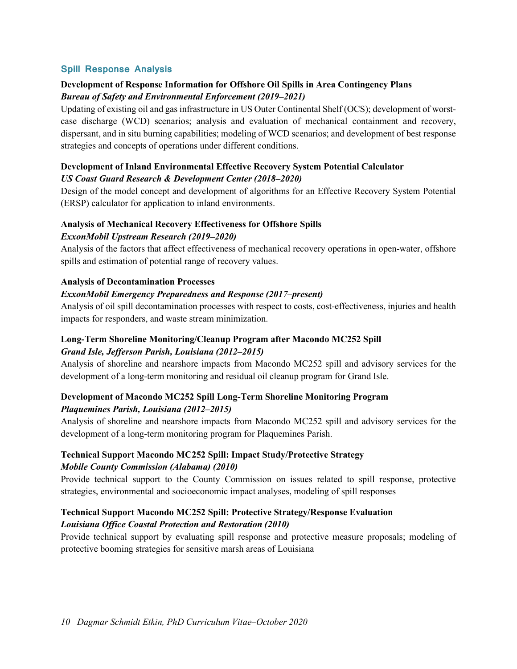## **Spill Response Analysis**

## **Development of Response Information for Offshore Oil Spills in Area Contingency Plans** *Bureau of Safety and Environmental Enforcement (2019–2021)*

Updating of existing oil and gas infrastructure in US Outer Continental Shelf (OCS); development of worstcase discharge (WCD) scenarios; analysis and evaluation of mechanical containment and recovery, dispersant, and in situ burning capabilities; modeling of WCD scenarios; and development of best response strategies and concepts of operations under different conditions.

#### **Development of Inland Environmental Effective Recovery System Potential Calculator**  *US Coast Guard Research & Development Center (2018–2020)*

Design of the model concept and development of algorithms for an Effective Recovery System Potential (ERSP) calculator for application to inland environments.

## **Analysis of Mechanical Recovery Effectiveness for Offshore Spills**

#### *ExxonMobil Upstream Research (2019–2020)*

Analysis of the factors that affect effectiveness of mechanical recovery operations in open-water, offshore spills and estimation of potential range of recovery values.

#### **Analysis of Decontamination Processes**

#### *ExxonMobil Emergency Preparedness and Response (2017–present)*

Analysis of oil spill decontamination processes with respect to costs, cost-effectiveness, injuries and health impacts for responders, and waste stream minimization.

## **Long-Term Shoreline Monitoring/Cleanup Program after Macondo MC252 Spill** *Grand Isle, Jefferson Parish, Louisiana (2012–2015)*

Analysis of shoreline and nearshore impacts from Macondo MC252 spill and advisory services for the development of a long-term monitoring and residual oil cleanup program for Grand Isle.

### **Development of Macondo MC252 Spill Long-Term Shoreline Monitoring Program**  *Plaquemines Parish, Louisiana (2012–2015)*

Analysis of shoreline and nearshore impacts from Macondo MC252 spill and advisory services for the development of a long-term monitoring program for Plaquemines Parish.

## **Technical Support Macondo MC252 Spill: Impact Study/Protective Strategy**  *Mobile County Commission (Alabama) (2010)*

Provide technical support to the County Commission on issues related to spill response, protective strategies, environmental and socioeconomic impact analyses, modeling of spill responses

## **Technical Support Macondo MC252 Spill: Protective Strategy/Response Evaluation**  *Louisiana Office Coastal Protection and Restoration (2010)*

Provide technical support by evaluating spill response and protective measure proposals; modeling of protective booming strategies for sensitive marsh areas of Louisiana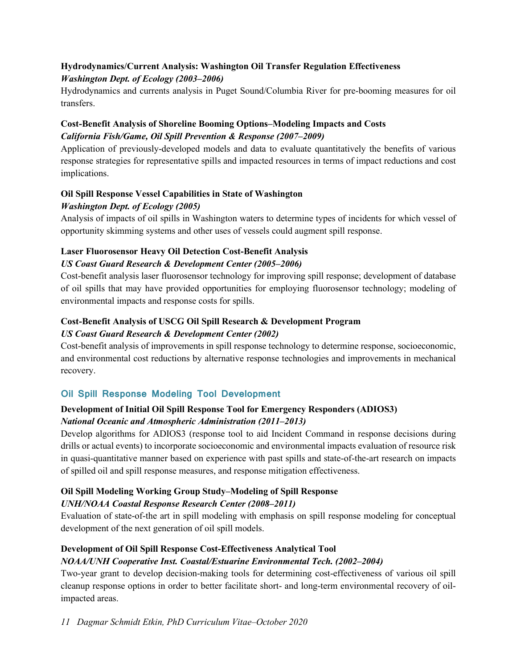## **Hydrodynamics/Current Analysis: Washington Oil Transfer Regulation Effectiveness** *Washington Dept. of Ecology (2003–2006)*

Hydrodynamics and currents analysis in Puget Sound/Columbia River for pre-booming measures for oil transfers.

## **Cost-Benefit Analysis of Shoreline Booming Options–Modeling Impacts and Costs** *California Fish/Game, Oil Spill Prevention & Response (2007–2009)*

Application of previously-developed models and data to evaluate quantitatively the benefits of various response strategies for representative spills and impacted resources in terms of impact reductions and cost implications.

### **Oil Spill Response Vessel Capabilities in State of Washington** *Washington Dept. of Ecology (2005)*

Analysis of impacts of oil spills in Washington waters to determine types of incidents for which vessel of opportunity skimming systems and other uses of vessels could augment spill response.

## **Laser Fluorosensor Heavy Oil Detection Cost-Benefit Analysis**

## *US Coast Guard Research & Development Center (2005–2006)*

Cost-benefit analysis laser fluorosensor technology for improving spill response; development of database of oil spills that may have provided opportunities for employing fluorosensor technology; modeling of environmental impacts and response costs for spills.

## **Cost-Benefit Analysis of USCG Oil Spill Research & Development Program**

## *US Coast Guard Research & Development Center (2002)*

Cost-benefit analysis of improvements in spill response technology to determine response, socioeconomic, and environmental cost reductions by alternative response technologies and improvements in mechanical recovery.

## **Oil Spill Response Modeling Tool Development**

## **Development of Initial Oil Spill Response Tool for Emergency Responders (ADIOS3)** *National Oceanic and Atmospheric Administration (2011–2013)*

Develop algorithms for ADIOS3 (response tool to aid Incident Command in response decisions during drills or actual events) to incorporate socioeconomic and environmental impacts evaluation of resource risk in quasi-quantitative manner based on experience with past spills and state-of-the-art research on impacts of spilled oil and spill response measures, and response mitigation effectiveness.

## **Oil Spill Modeling Working Group Study–Modeling of Spill Response**

## *UNH/NOAA Coastal Response Research Center (2008–2011)*

Evaluation of state-of-the art in spill modeling with emphasis on spill response modeling for conceptual development of the next generation of oil spill models.

## **Development of Oil Spill Response Cost-Effectiveness Analytical Tool**

## *NOAA/UNH Cooperative Inst. Coastal/Estuarine Environmental Tech. (2002–2004)*

Two-year grant to develop decision-making tools for determining cost-effectiveness of various oil spill cleanup response options in order to better facilitate short- and long-term environmental recovery of oilimpacted areas.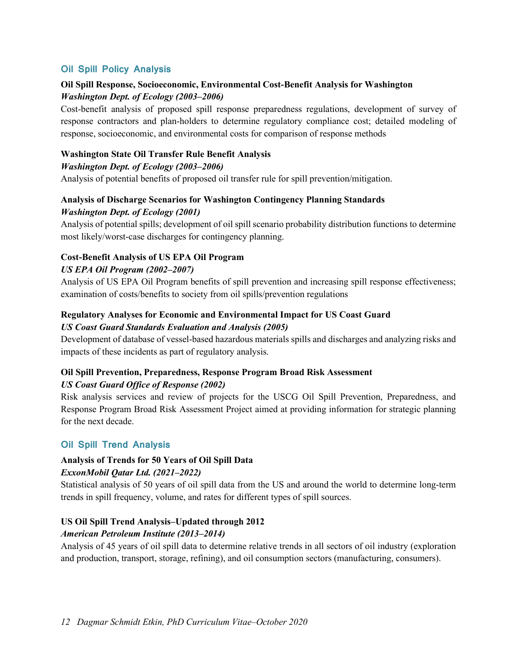## **Oil Spill Policy Analysis**

## **Oil Spill Response, Socioeconomic, Environmental Cost-Benefit Analysis for Washington**  *Washington Dept. of Ecology (2003–2006)*

Cost-benefit analysis of proposed spill response preparedness regulations, development of survey of response contractors and plan-holders to determine regulatory compliance cost; detailed modeling of response, socioeconomic, and environmental costs for comparison of response methods

#### **Washington State Oil Transfer Rule Benefit Analysis**

#### *Washington Dept. of Ecology (2003–2006)*

Analysis of potential benefits of proposed oil transfer rule for spill prevention/mitigation.

## **Analysis of Discharge Scenarios for Washington Contingency Planning Standards** *Washington Dept. of Ecology (2001)*

Analysis of potential spills; development of oil spill scenario probability distribution functions to determine most likely/worst-case discharges for contingency planning.

## **Cost-Benefit Analysis of US EPA Oil Program**

### *US EPA Oil Program (2002–2007)*

Analysis of US EPA Oil Program benefits of spill prevention and increasing spill response effectiveness; examination of costs/benefits to society from oil spills/prevention regulations

#### **Regulatory Analyses for Economic and Environmental Impact for US Coast Guard** *US Coast Guard Standards Evaluation and Analysis (2005)*

Development of database of vessel-based hazardous materials spills and discharges and analyzing risks and impacts of these incidents as part of regulatory analysis.

## **Oil Spill Prevention, Preparedness, Response Program Broad Risk Assessment**

### *US Coast Guard Office of Response (2002)*

Risk analysis services and review of projects for the USCG Oil Spill Prevention, Preparedness, and Response Program Broad Risk Assessment Project aimed at providing information for strategic planning for the next decade.

### **Oil Spill Trend Analysis**

### **Analysis of Trends for 50 Years of Oil Spill Data**

#### *ExxonMobil Qatar Ltd. (2021–2022)*

Statistical analysis of 50 years of oil spill data from the US and around the world to determine long-term trends in spill frequency, volume, and rates for different types of spill sources.

#### **US Oil Spill Trend Analysis–Updated through 2012**

### *American Petroleum Institute (2013–2014)*

Analysis of 45 years of oil spill data to determine relative trends in all sectors of oil industry (exploration and production, transport, storage, refining), and oil consumption sectors (manufacturing, consumers).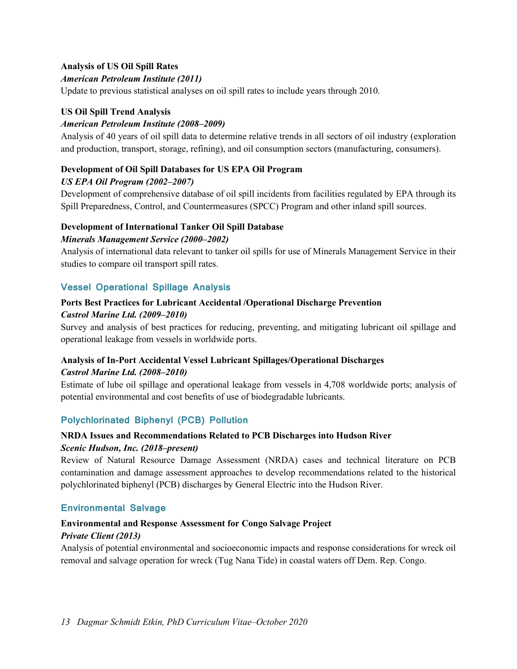### **Analysis of US Oil Spill Rates**

#### *American Petroleum Institute (2011)*

Update to previous statistical analyses on oil spill rates to include years through 2010.

#### **US Oil Spill Trend Analysis**

#### *American Petroleum Institute (2008–2009)*

Analysis of 40 years of oil spill data to determine relative trends in all sectors of oil industry (exploration and production, transport, storage, refining), and oil consumption sectors (manufacturing, consumers).

#### **Development of Oil Spill Databases for US EPA Oil Program**

#### *US EPA Oil Program (2002–2007)*

Development of comprehensive database of oil spill incidents from facilities regulated by EPA through its Spill Preparedness, Control, and Countermeasures (SPCC) Program and other inland spill sources.

#### **Development of International Tanker Oil Spill Database**

#### *Minerals Management Service (2000–2002)*

Analysis of international data relevant to tanker oil spills for use of Minerals Management Service in their studies to compare oil transport spill rates.

### **Vessel Operational Spillage Analysis**

## **Ports Best Practices for Lubricant Accidental /Operational Discharge Prevention** *Castrol Marine Ltd. (2009–2010)*

Survey and analysis of best practices for reducing, preventing, and mitigating lubricant oil spillage and operational leakage from vessels in worldwide ports.

## **Analysis of In-Port Accidental Vessel Lubricant Spillages/Operational Discharges**  *Castrol Marine Ltd. (2008–2010)*

Estimate of lube oil spillage and operational leakage from vessels in 4,708 worldwide ports; analysis of potential environmental and cost benefits of use of biodegradable lubricants.

### **Polychlorinated Biphenyl (PCB) Pollution**

#### **NRDA Issues and Recommendations Related to PCB Discharges into Hudson River**

#### *Scenic Hudson, Inc. (2018–present)*

Review of Natural Resource Damage Assessment (NRDA) cases and technical literature on PCB contamination and damage assessment approaches to develop recommendations related to the historical polychlorinated biphenyl (PCB) discharges by General Electric into the Hudson River.

### **Environmental Salvage**

#### **Environmental and Response Assessment for Congo Salvage Project**

#### *Private Client (2013)*

Analysis of potential environmental and socioeconomic impacts and response considerations for wreck oil removal and salvage operation for wreck (Tug Nana Tide) in coastal waters off Dem. Rep. Congo.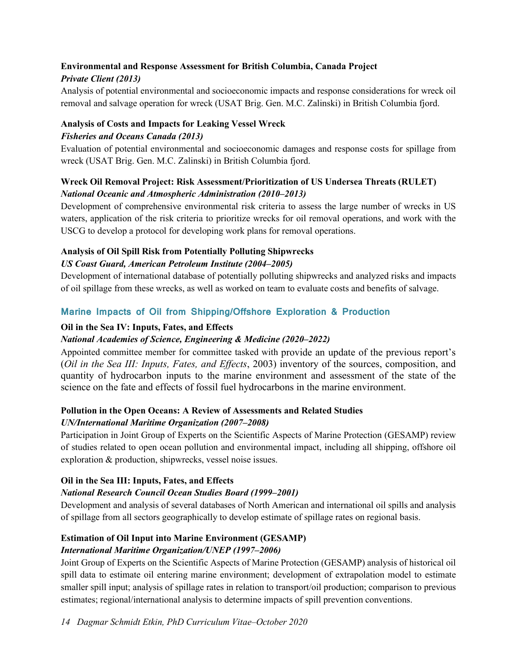## **Environmental and Response Assessment for British Columbia, Canada Project**

## *Private Client (2013)*

Analysis of potential environmental and socioeconomic impacts and response considerations for wreck oil removal and salvage operation for wreck (USAT Brig. Gen. M.C. Zalinski) in British Columbia fjord.

## **Analysis of Costs and Impacts for Leaking Vessel Wreck**

## *Fisheries and Oceans Canada (2013)*

Evaluation of potential environmental and socioeconomic damages and response costs for spillage from wreck (USAT Brig. Gen. M.C. Zalinski) in British Columbia fjord.

## **Wreck Oil Removal Project: Risk Assessment/Prioritization of US Undersea Threats (RULET)** *National Oceanic and Atmospheric Administration (2010–2013)*

Development of comprehensive environmental risk criteria to assess the large number of wrecks in US waters, application of the risk criteria to prioritize wrecks for oil removal operations, and work with the USCG to develop a protocol for developing work plans for removal operations.

## **Analysis of Oil Spill Risk from Potentially Polluting Shipwrecks**

## *US Coast Guard, American Petroleum Institute (2004–2005)*

Development of international database of potentially polluting shipwrecks and analyzed risks and impacts of oil spillage from these wrecks, as well as worked on team to evaluate costs and benefits of salvage.

## **Marine Impacts of Oil from Shipping/Offshore Exploration & Production**

## **Oil in the Sea IV: Inputs, Fates, and Effects**

## *National Academies of Science, Engineering & Medicine (2020–2022)*

Appointed committee member for committee tasked with provide an update of the previous report's (*Oil in the Sea III: Inputs, Fates, and Effects*, 2003) inventory of the sources, composition, and quantity of hydrocarbon inputs to the marine environment and assessment of the state of the science on the fate and effects of fossil fuel hydrocarbons in the marine environment.

#### **Pollution in the Open Oceans: A Review of Assessments and Related Studies** *UN/International Maritime Organization (2007–2008)*

Participation in Joint Group of Experts on the Scientific Aspects of Marine Protection (GESAMP) review of studies related to open ocean pollution and environmental impact, including all shipping, offshore oil exploration & production, shipwrecks, vessel noise issues.

## **Oil in the Sea III: Inputs, Fates, and Effects**

## *National Research Council Ocean Studies Board (1999–2001)*

Development and analysis of several databases of North American and international oil spills and analysis of spillage from all sectors geographically to develop estimate of spillage rates on regional basis.

## **Estimation of Oil Input into Marine Environment (GESAMP)**

## *International Maritime Organization/UNEP (1997–2006)*

Joint Group of Experts on the Scientific Aspects of Marine Protection (GESAMP) analysis of historical oil spill data to estimate oil entering marine environment; development of extrapolation model to estimate smaller spill input; analysis of spillage rates in relation to transport/oil production; comparison to previous estimates; regional/international analysis to determine impacts of spill prevention conventions.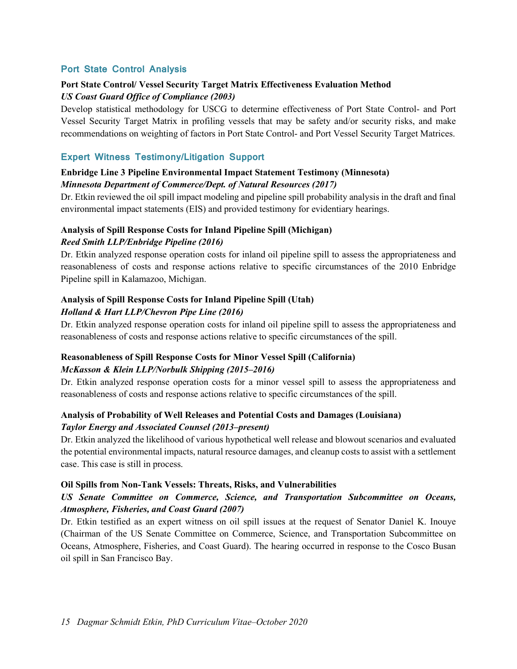### **Port State Control Analysis**

### **Port State Control/ Vessel Security Target Matrix Effectiveness Evaluation Method** *US Coast Guard Office of Compliance (2003)*

Develop statistical methodology for USCG to determine effectiveness of Port State Control- and Port Vessel Security Target Matrix in profiling vessels that may be safety and/or security risks, and make recommendations on weighting of factors in Port State Control- and Port Vessel Security Target Matrices.

#### **Expert Witness Testimony/Litigation Support**

### **Enbridge Line 3 Pipeline Environmental Impact Statement Testimony (Minnesota)** *Minnesota Department of Commerce/Dept. of Natural Resources (2017)*

Dr. Etkin reviewed the oil spill impact modeling and pipeline spill probability analysis in the draft and final environmental impact statements (EIS) and provided testimony for evidentiary hearings.

## **Analysis of Spill Response Costs for Inland Pipeline Spill (Michigan)** *Reed Smith LLP/Enbridge Pipeline (2016)*

Dr. Etkin analyzed response operation costs for inland oil pipeline spill to assess the appropriateness and reasonableness of costs and response actions relative to specific circumstances of the 2010 Enbridge Pipeline spill in Kalamazoo, Michigan.

## **Analysis of Spill Response Costs for Inland Pipeline Spill (Utah)** *Holland & Hart LLP/Chevron Pipe Line (2016)*

Dr. Etkin analyzed response operation costs for inland oil pipeline spill to assess the appropriateness and reasonableness of costs and response actions relative to specific circumstances of the spill.

## **Reasonableness of Spill Response Costs for Minor Vessel Spill (California)** *McKasson & Klein LLP/Norbulk Shipping (2015–2016)*

Dr. Etkin analyzed response operation costs for a minor vessel spill to assess the appropriateness and reasonableness of costs and response actions relative to specific circumstances of the spill.

## **Analysis of Probability of Well Releases and Potential Costs and Damages (Louisiana)**  *Taylor Energy and Associated Counsel (2013–present)*

Dr. Etkin analyzed the likelihood of various hypothetical well release and blowout scenarios and evaluated the potential environmental impacts, natural resource damages, and cleanup costs to assist with a settlement case. This case is still in process.

#### **Oil Spills from Non-Tank Vessels: Threats, Risks, and Vulnerabilities**

## *US Senate Committee on Commerce, Science, and Transportation Subcommittee on Oceans, Atmosphere, Fisheries, and Coast Guard (2007)*

Dr. Etkin testified as an expert witness on oil spill issues at the request of Senator Daniel K. Inouye (Chairman of the US Senate Committee on Commerce, Science, and Transportation Subcommittee on Oceans, Atmosphere, Fisheries, and Coast Guard). The hearing occurred in response to the Cosco Busan oil spill in San Francisco Bay.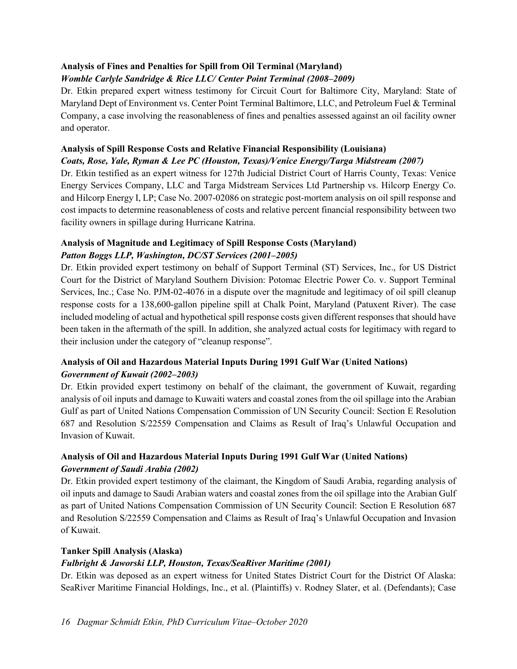## **Analysis of Fines and Penalties for Spill from Oil Terminal (Maryland)**

## *Womble Carlyle Sandridge & Rice LLC/ Center Point Terminal (2008–2009)*

Dr. Etkin prepared expert witness testimony for Circuit Court for Baltimore City, Maryland: State of Maryland Dept of Environment vs. Center Point Terminal Baltimore, LLC, and Petroleum Fuel & Terminal Company, a case involving the reasonableness of fines and penalties assessed against an oil facility owner and operator.

## **Analysis of Spill Response Costs and Relative Financial Responsibility (Louisiana)**

## *Coats, Rose, Yale, Ryman & Lee PC (Houston, Texas)/Venice Energy/Targa Midstream (2007)*

Dr. Etkin testified as an expert witness for 127th Judicial District Court of Harris County, Texas: Venice Energy Services Company, LLC and Targa Midstream Services Ltd Partnership vs. Hilcorp Energy Co. and Hilcorp Energy I, LP; Case No. 2007-02086 on strategic post-mortem analysis on oil spill response and cost impacts to determine reasonableness of costs and relative percent financial responsibility between two facility owners in spillage during Hurricane Katrina.

## **Analysis of Magnitude and Legitimacy of Spill Response Costs (Maryland)**  *Patton Boggs LLP, Washington, DC/ST Services (2001–2005)*

Dr. Etkin provided expert testimony on behalf of Support Terminal (ST) Services, Inc., for US District Court for the District of Maryland Southern Division: Potomac Electric Power Co. v. Support Terminal Services, Inc.; Case No. PJM-02-4076 in a dispute over the magnitude and legitimacy of oil spill cleanup response costs for a 138,600-gallon pipeline spill at Chalk Point, Maryland (Patuxent River). The case included modeling of actual and hypothetical spill response costs given different responses that should have been taken in the aftermath of the spill. In addition, she analyzed actual costs for legitimacy with regard to their inclusion under the category of "cleanup response".

## **Analysis of Oil and Hazardous Material Inputs During 1991 Gulf War (United Nations)**  *Government of Kuwait (2002–2003)*

Dr. Etkin provided expert testimony on behalf of the claimant, the government of Kuwait, regarding analysis of oil inputs and damage to Kuwaiti waters and coastal zones from the oil spillage into the Arabian Gulf as part of United Nations Compensation Commission of UN Security Council: Section E Resolution 687 and Resolution S/22559 Compensation and Claims as Result of Iraq's Unlawful Occupation and Invasion of Kuwait.

## **Analysis of Oil and Hazardous Material Inputs During 1991 Gulf War (United Nations)**  *Government of Saudi Arabia (2002)*

Dr. Etkin provided expert testimony of the claimant, the Kingdom of Saudi Arabia, regarding analysis of oil inputs and damage to Saudi Arabian waters and coastal zones from the oil spillage into the Arabian Gulf as part of United Nations Compensation Commission of UN Security Council: Section E Resolution 687 and Resolution S/22559 Compensation and Claims as Result of Iraq's Unlawful Occupation and Invasion of Kuwait.

## **Tanker Spill Analysis (Alaska)**

## *Fulbright & Jaworski LLP, Houston, Texas/SeaRiver Maritime (2001)*

Dr. Etkin was deposed as an expert witness for United States District Court for the District Of Alaska: SeaRiver Maritime Financial Holdings, Inc., et al. (Plaintiffs) v. Rodney Slater, et al. (Defendants); Case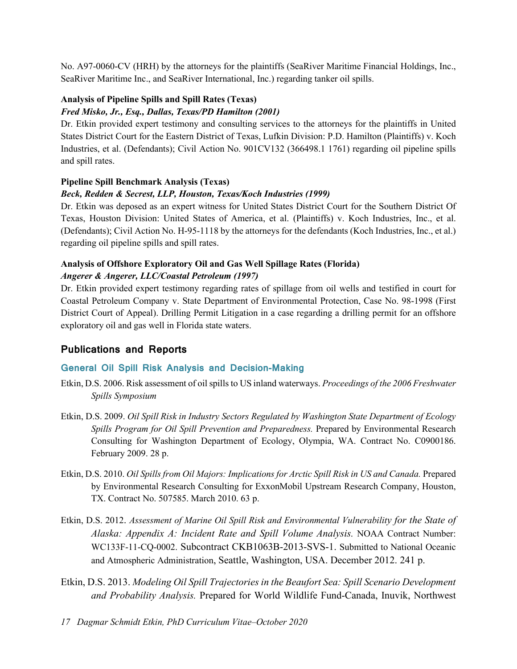No. A97-0060-CV (HRH) by the attorneys for the plaintiffs (SeaRiver Maritime Financial Holdings, Inc., SeaRiver Maritime Inc., and SeaRiver International, Inc.) regarding tanker oil spills.

## **Analysis of Pipeline Spills and Spill Rates (Texas)**

## *Fred Misko, Jr., Esq., Dallas, Texas/PD Hamilton (2001)*

Dr. Etkin provided expert testimony and consulting services to the attorneys for the plaintiffs in United States District Court for the Eastern District of Texas, Lufkin Division: P.D. Hamilton (Plaintiffs) v. Koch Industries, et al. (Defendants); Civil Action No. 901CV132 (366498.1 1761) regarding oil pipeline spills and spill rates.

### **Pipeline Spill Benchmark Analysis (Texas)**

## *Beck, Redden & Secrest, LLP, Houston, Texas/Koch Industries (1999)*

Dr. Etkin was deposed as an expert witness for United States District Court for the Southern District Of Texas, Houston Division: United States of America, et al. (Plaintiffs) v. Koch Industries, Inc., et al. (Defendants); Civil Action No. H-95-1118 by the attorneys for the defendants (Koch Industries, Inc., et al.) regarding oil pipeline spills and spill rates.

#### **Analysis of Offshore Exploratory Oil and Gas Well Spillage Rates (Florida)** *Angerer & Angerer, LLC/Coastal Petroleum (1997)*

Dr. Etkin provided expert testimony regarding rates of spillage from oil wells and testified in court for Coastal Petroleum Company v. State Department of Environmental Protection, Case No. 98-1998 (First District Court of Appeal). Drilling Permit Litigation in a case regarding a drilling permit for an offshore exploratory oil and gas well in Florida state waters.

## **Publications and Reports**

## **General Oil Spill Risk Analysis and Decision-Making**

- Etkin, D.S. 2006. Risk assessment of oil spills to US inland waterways. *Proceedings of the 2006 Freshwater Spills Symposium*
- Etkin, D.S. 2009. *Oil Spill Risk in Industry Sectors Regulated by Washington State Department of Ecology Spills Program for Oil Spill Prevention and Preparedness.* Prepared by Environmental Research Consulting for Washington Department of Ecology, Olympia, WA. Contract No. C0900186. February 2009. 28 p.
- Etkin, D.S. 2010. *Oil Spills from Oil Majors: Implications for Arctic Spill Risk in US and Canada.* Prepared by Environmental Research Consulting for ExxonMobil Upstream Research Company, Houston, TX. Contract No. 507585. March 2010. 63 p.
- Etkin, D.S. 2012. *Assessment of Marine Oil Spill Risk and Environmental Vulnerability for the State of Alaska: Appendix A: Incident Rate and Spill Volume Analysis.* NOAA Contract Number: WC133F-11-CQ-0002. Subcontract CKB1063B-2013-SVS-1. Submitted to National Oceanic and Atmospheric Administration, Seattle, Washington, USA. December 2012. 241 p.
- Etkin, D.S. 2013. *Modeling Oil Spill Trajectories in the Beaufort Sea: Spill Scenario Development and Probability Analysis.* Prepared for World Wildlife Fund-Canada, Inuvik, Northwest
- *17 Dagmar Schmidt Etkin, PhD Curriculum Vitae–October 2020*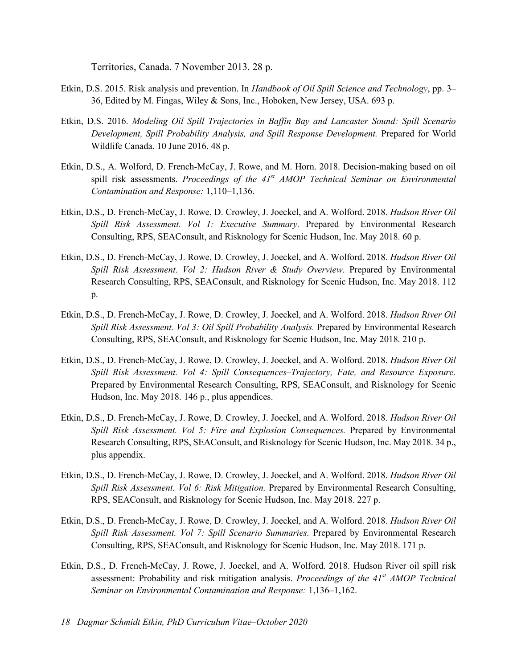Territories, Canada. 7 November 2013. 28 p.

- Etkin, D.S. 2015. Risk analysis and prevention. In *Handbook of Oil Spill Science and Technology*, pp. 3– 36, Edited by M. Fingas, Wiley & Sons, Inc., Hoboken, New Jersey, USA. 693 p.
- Etkin, D.S. 2016. *Modeling Oil Spill Trajectories in Baffin Bay and Lancaster Sound: Spill Scenario Development, Spill Probability Analysis, and Spill Response Development.* Prepared for World Wildlife Canada. 10 June 2016. 48 p.
- Etkin, D.S., A. Wolford, D. French-McCay, J. Rowe, and M. Horn. 2018. Decision-making based on oil spill risk assessments. *Proceedings of the 41st AMOP Technical Seminar on Environmental Contamination and Response:* 1,110–1,136.
- Etkin, D.S., D. French-McCay, J. Rowe, D. Crowley, J. Joeckel, and A. Wolford. 2018. *Hudson River Oil Spill Risk Assessment. Vol 1: Executive Summary.* Prepared by Environmental Research Consulting, RPS, SEAConsult, and Risknology for Scenic Hudson, Inc. May 2018. 60 p.
- Etkin, D.S., D. French-McCay, J. Rowe, D. Crowley, J. Joeckel, and A. Wolford. 2018. *Hudson River Oil Spill Risk Assessment. Vol 2: Hudson River & Study Overview.* Prepared by Environmental Research Consulting, RPS, SEAConsult, and Risknology for Scenic Hudson, Inc. May 2018. 112 p.
- Etkin, D.S., D. French-McCay, J. Rowe, D. Crowley, J. Joeckel, and A. Wolford. 2018. *Hudson River Oil Spill Risk Assessment. Vol 3: Oil Spill Probability Analysis.* Prepared by Environmental Research Consulting, RPS, SEAConsult, and Risknology for Scenic Hudson, Inc. May 2018. 210 p.
- Etkin, D.S., D. French-McCay, J. Rowe, D. Crowley, J. Joeckel, and A. Wolford. 2018. *Hudson River Oil Spill Risk Assessment. Vol 4: Spill Consequences–Trajectory, Fate, and Resource Exposure.*  Prepared by Environmental Research Consulting, RPS, SEAConsult, and Risknology for Scenic Hudson, Inc. May 2018. 146 p., plus appendices.
- Etkin, D.S., D. French-McCay, J. Rowe, D. Crowley, J. Joeckel, and A. Wolford. 2018. *Hudson River Oil Spill Risk Assessment. Vol 5: Fire and Explosion Consequences.* Prepared by Environmental Research Consulting, RPS, SEAConsult, and Risknology for Scenic Hudson, Inc. May 2018. 34 p., plus appendix.
- Etkin, D.S., D. French-McCay, J. Rowe, D. Crowley, J. Joeckel, and A. Wolford. 2018. *Hudson River Oil Spill Risk Assessment. Vol 6: Risk Mitigation.* Prepared by Environmental Research Consulting, RPS, SEAConsult, and Risknology for Scenic Hudson, Inc. May 2018. 227 p.
- Etkin, D.S., D. French-McCay, J. Rowe, D. Crowley, J. Joeckel, and A. Wolford. 2018. *Hudson River Oil Spill Risk Assessment. Vol 7: Spill Scenario Summaries.* Prepared by Environmental Research Consulting, RPS, SEAConsult, and Risknology for Scenic Hudson, Inc. May 2018. 171 p.
- Etkin, D.S., D. French-McCay, J. Rowe, J. Joeckel, and A. Wolford. 2018. Hudson River oil spill risk assessment: Probability and risk mitigation analysis. *Proceedings of the 41st AMOP Technical Seminar on Environmental Contamination and Response:* 1,136–1,162.
- *18 Dagmar Schmidt Etkin, PhD Curriculum Vitae–October 2020*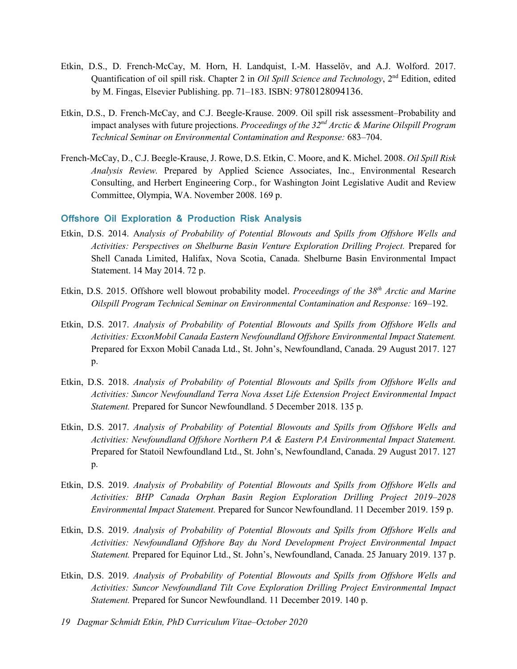- Etkin, D.S., D. French-McCay, M. Horn, H. Landquist, I.-M. Hasselöv, and A.J. Wolford. 2017. Quantification of oil spill risk. Chapter 2 in *Oil Spill Science and Technology*, 2<sup>nd</sup> Edition, edited by M. Fingas, Elsevier Publishing. pp. 71–183. ISBN: 9780128094136.
- Etkin, D.S., D. French-McCay, and C.J. Beegle-Krause. 2009. Oil spill risk assessment–Probability and impact analyses with future projections. *Proceedings of the 32nd Arctic & Marine Oilspill Program Technical Seminar on Environmental Contamination and Response:* 683–704.
- French-McCay, D., C.J. Beegle-Krause, J. Rowe, D.S. Etkin, C. Moore, and K. Michel. 2008. *Oil Spill Risk Analysis Review.* Prepared by Applied Science Associates, Inc., Environmental Research Consulting, and Herbert Engineering Corp., for Washington Joint Legislative Audit and Review Committee, Olympia, WA. November 2008. 169 p.

#### **Offshore Oil Exploration & Production Risk Analysis**

- Etkin, D.S. 2014. A*nalysis of Probability of Potential Blowouts and Spills from Offshore Wells and Activities: Perspectives on Shelburne Basin Venture Exploration Drilling Project.* Prepared for Shell Canada Limited, Halifax, Nova Scotia, Canada. Shelburne Basin Environmental Impact Statement. 14 May 2014. 72 p.
- Etkin, D.S. 2015. Offshore well blowout probability model. *Proceedings of the 38th Arctic and Marine Oilspill Program Technical Seminar on Environmental Contamination and Response:* 169–192.
- Etkin, D.S. 2017. *Analysis of Probability of Potential Blowouts and Spills from Offshore Wells and Activities: ExxonMobil Canada Eastern Newfoundland Offshore Environmental Impact Statement.*  Prepared for Exxon Mobil Canada Ltd., St. John's, Newfoundland, Canada. 29 August 2017. 127 p.
- Etkin, D.S. 2018. *Analysis of Probability of Potential Blowouts and Spills from Offshore Wells and Activities: Suncor Newfoundland Terra Nova Asset Life Extension Project Environmental Impact Statement.* Prepared for Suncor Newfoundland. 5 December 2018. 135 p.
- Etkin, D.S. 2017. *Analysis of Probability of Potential Blowouts and Spills from Offshore Wells and Activities: Newfoundland Offshore Northern PA & Eastern PA Environmental Impact Statement.*  Prepared for Statoil Newfoundland Ltd., St. John's, Newfoundland, Canada. 29 August 2017. 127 p.
- Etkin, D.S. 2019. *Analysis of Probability of Potential Blowouts and Spills from Offshore Wells and Activities: BHP Canada Orphan Basin Region Exploration Drilling Project 2019–2028 Environmental Impact Statement.* Prepared for Suncor Newfoundland. 11 December 2019. 159 p.
- Etkin, D.S. 2019. *Analysis of Probability of Potential Blowouts and Spills from Offshore Wells and Activities: Newfoundland Offshore Bay du Nord Development Project Environmental Impact Statement.* Prepared for Equinor Ltd., St. John's, Newfoundland, Canada. 25 January 2019. 137 p.
- Etkin, D.S. 2019. *Analysis of Probability of Potential Blowouts and Spills from Offshore Wells and Activities: Suncor Newfoundland Tilt Cove Exploration Drilling Project Environmental Impact Statement.* Prepared for Suncor Newfoundland. 11 December 2019. 140 p.
- *19 Dagmar Schmidt Etkin, PhD Curriculum Vitae–October 2020*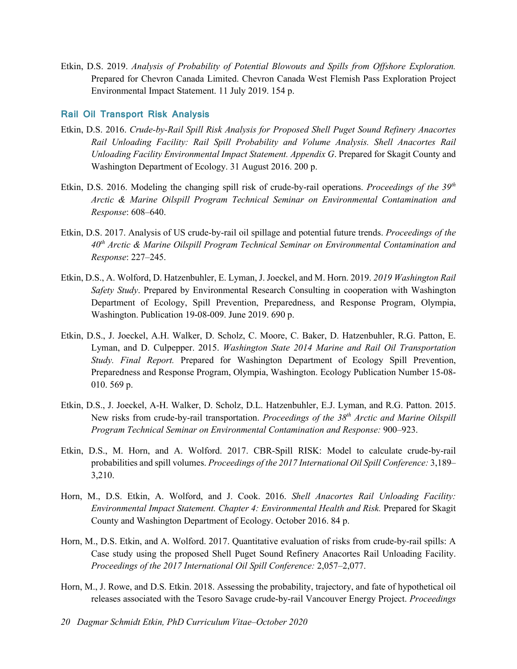Etkin, D.S. 2019. *Analysis of Probability of Potential Blowouts and Spills from Offshore Exploration.*  Prepared for Chevron Canada Limited. Chevron Canada West Flemish Pass Exploration Project Environmental Impact Statement. 11 July 2019. 154 p.

### **Rail Oil Transport Risk Analysis**

- Etkin, D.S. 2016. *Crude-by-Rail Spill Risk Analysis for Proposed Shell Puget Sound Refinery Anacortes Rail Unloading Facility: Rail Spill Probability and Volume Analysis. Shell Anacortes Rail Unloading Facility Environmental Impact Statement. Appendix G*. Prepared for Skagit County and Washington Department of Ecology. 31 August 2016. 200 p.
- Etkin, D.S. 2016. Modeling the changing spill risk of crude-by-rail operations. *Proceedings of the 39th Arctic & Marine Oilspill Program Technical Seminar on Environmental Contamination and Response*: 608–640.
- Etkin, D.S. 2017. Analysis of US crude-by-rail oil spillage and potential future trends. *Proceedings of the 40th Arctic & Marine Oilspill Program Technical Seminar on Environmental Contamination and Response*: 227–245.
- Etkin, D.S., A. Wolford, D. Hatzenbuhler, E. Lyman, J. Joeckel, and M. Horn. 2019. *2019 Washington Rail Safety Study*. Prepared by Environmental Research Consulting in cooperation with Washington Department of Ecology, Spill Prevention, Preparedness, and Response Program, Olympia, Washington. Publication 19-08-009. June 2019. 690 p.
- Etkin, D.S., J. Joeckel, A.H. Walker, D. Scholz, C. Moore, C. Baker, D. Hatzenbuhler, R.G. Patton, E. Lyman, and D. Culpepper. 2015. *Washington State 2014 Marine and Rail Oil Transportation Study. Final Report.* Prepared for Washington Department of Ecology Spill Prevention, Preparedness and Response Program, Olympia, Washington. Ecology Publication Number 15-08- 010. 569 p.
- Etkin, D.S., J. Joeckel, A-H. Walker, D. Scholz, D.L. Hatzenbuhler, E.J. Lyman, and R.G. Patton. 2015. New risks from crude-by-rail transportation. *Proceedings of the 38th Arctic and Marine Oilspill Program Technical Seminar on Environmental Contamination and Response:* 900–923.
- Etkin, D.S., M. Horn, and A. Wolford. 2017. CBR-Spill RISK: Model to calculate crude-by-rail probabilities and spill volumes. *Proceedings of the 2017 International Oil Spill Conference:* 3,189– 3,210.
- Horn, M., D.S. Etkin, A. Wolford, and J. Cook. 2016. *Shell Anacortes Rail Unloading Facility: Environmental Impact Statement. Chapter 4: Environmental Health and Risk.* Prepared for Skagit County and Washington Department of Ecology. October 2016. 84 p.
- Horn, M., D.S. Etkin, and A. Wolford. 2017. Quantitative evaluation of risks from crude-by-rail spills: A Case study using the proposed Shell Puget Sound Refinery Anacortes Rail Unloading Facility. *Proceedings of the 2017 International Oil Spill Conference:* 2,057–2,077.
- Horn, M., J. Rowe, and D.S. Etkin. 2018. Assessing the probability, trajectory, and fate of hypothetical oil releases associated with the Tesoro Savage crude-by-rail Vancouver Energy Project. *Proceedings*
- *20 Dagmar Schmidt Etkin, PhD Curriculum Vitae–October 2020*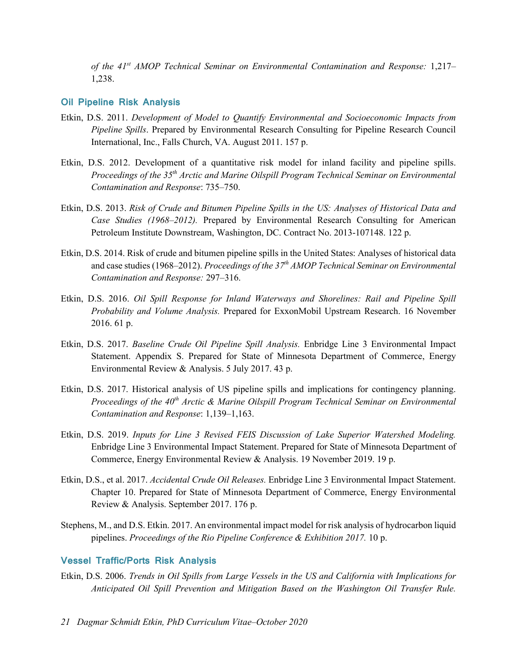*of the 41st AMOP Technical Seminar on Environmental Contamination and Response:* 1,217– 1,238.

#### **Oil Pipeline Risk Analysis**

- Etkin, D.S. 2011. *Development of Model to Quantify Environmental and Socioeconomic Impacts from Pipeline Spills*. Prepared by Environmental Research Consulting for Pipeline Research Council International, Inc., Falls Church, VA. August 2011. 157 p.
- Etkin, D.S. 2012. Development of a quantitative risk model for inland facility and pipeline spills. *Proceedings of the 35th Arctic and Marine Oilspill Program Technical Seminar on Environmental Contamination and Response*: 735–750.
- Etkin, D.S. 2013. *Risk of Crude and Bitumen Pipeline Spills in the US: Analyses of Historical Data and Case Studies (1968–2012).* Prepared by Environmental Research Consulting for American Petroleum Institute Downstream, Washington, DC. Contract No. 2013-107148. 122 p.
- Etkin, D.S. 2014. Risk of crude and bitumen pipeline spills in the United States: Analyses of historical data and case studies (1968–2012). *Proceedings of the 37th AMOP Technical Seminar on Environmental Contamination and Response:* 297–316.
- Etkin, D.S. 2016. *Oil Spill Response for Inland Waterways and Shorelines: Rail and Pipeline Spill Probability and Volume Analysis.* Prepared for ExxonMobil Upstream Research. 16 November 2016. 61 p.
- Etkin, D.S. 2017. *Baseline Crude Oil Pipeline Spill Analysis.* Enbridge Line 3 Environmental Impact Statement. Appendix S. Prepared for State of Minnesota Department of Commerce, Energy Environmental Review & Analysis. 5 July 2017. 43 p.
- Etkin, D.S. 2017. Historical analysis of US pipeline spills and implications for contingency planning. *Proceedings of the 40th Arctic & Marine Oilspill Program Technical Seminar on Environmental Contamination and Response*: 1,139–1,163.
- Etkin, D.S. 2019. *Inputs for Line 3 Revised FEIS Discussion of Lake Superior Watershed Modeling.*  Enbridge Line 3 Environmental Impact Statement. Prepared for State of Minnesota Department of Commerce, Energy Environmental Review & Analysis. 19 November 2019. 19 p.
- Etkin, D.S., et al. 2017. *Accidental Crude Oil Releases.* Enbridge Line 3 Environmental Impact Statement. Chapter 10. Prepared for State of Minnesota Department of Commerce, Energy Environmental Review & Analysis. September 2017. 176 p.
- Stephens, M., and D.S. Etkin. 2017. An environmental impact model for risk analysis of hydrocarbon liquid pipelines. *Proceedings of the Rio Pipeline Conference & Exhibition 2017.* 10 p.

#### **Vessel Traffic/Ports Risk Analysis**

- Etkin, D.S. 2006. *Trends in Oil Spills from Large Vessels in the US and California with Implications for Anticipated Oil Spill Prevention and Mitigation Based on the Washington Oil Transfer Rule.*
- *21 Dagmar Schmidt Etkin, PhD Curriculum Vitae–October 2020*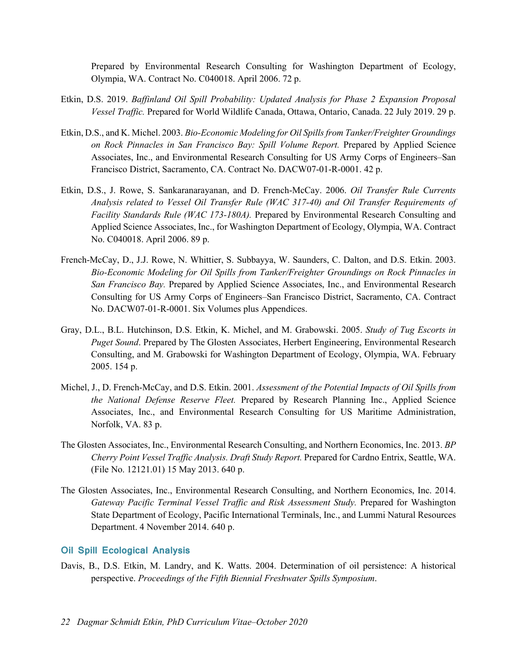Prepared by Environmental Research Consulting for Washington Department of Ecology, Olympia, WA. Contract No. C040018. April 2006. 72 p.

- Etkin, D.S. 2019. *Baffinland Oil Spill Probability: Updated Analysis for Phase 2 Expansion Proposal Vessel Traffic.* Prepared for World Wildlife Canada, Ottawa, Ontario, Canada. 22 July 2019. 29 p.
- Etkin, D.S., and K. Michel. 2003. *Bio-Economic Modeling for Oil Spills from Tanker/Freighter Groundings on Rock Pinnacles in San Francisco Bay: Spill Volume Report.* Prepared by Applied Science Associates, Inc., and Environmental Research Consulting for US Army Corps of Engineers–San Francisco District, Sacramento, CA. Contract No. DACW07-01-R-0001. 42 p.
- Etkin, D.S., J. Rowe, S. Sankaranarayanan, and D. French-McCay. 2006. *Oil Transfer Rule Currents Analysis related to Vessel Oil Transfer Rule (WAC 317-40) and Oil Transfer Requirements of Facility Standards Rule (WAC 173-180A).* Prepared by Environmental Research Consulting and Applied Science Associates, Inc., for Washington Department of Ecology, Olympia, WA. Contract No. C040018. April 2006. 89 p.
- French-McCay, D., J.J. Rowe, N. Whittier, S. Subbayya, W. Saunders, C. Dalton, and D.S. Etkin. 2003. *Bio-Economic Modeling for Oil Spills from Tanker/Freighter Groundings on Rock Pinnacles in San Francisco Bay.* Prepared by Applied Science Associates, Inc., and Environmental Research Consulting for US Army Corps of Engineers–San Francisco District, Sacramento, CA. Contract No. DACW07-01-R-0001. Six Volumes plus Appendices.
- Gray, D.L., B.L. Hutchinson, D.S. Etkin, K. Michel, and M. Grabowski. 2005. *Study of Tug Escorts in Puget Sound*. Prepared by The Glosten Associates, Herbert Engineering, Environmental Research Consulting, and M. Grabowski for Washington Department of Ecology, Olympia, WA. February 2005. 154 p.
- Michel, J., D. French-McCay, and D.S. Etkin. 2001. *Assessment of the Potential Impacts of Oil Spills from the National Defense Reserve Fleet.* Prepared by Research Planning Inc., Applied Science Associates, Inc., and Environmental Research Consulting for US Maritime Administration, Norfolk, VA. 83 p.
- The Glosten Associates, Inc., Environmental Research Consulting, and Northern Economics, Inc. 2013. *BP Cherry Point Vessel Traffic Analysis. Draft Study Report.* Prepared for Cardno Entrix, Seattle, WA. (File No. 12121.01) 15 May 2013. 640 p.
- The Glosten Associates, Inc., Environmental Research Consulting, and Northern Economics, Inc. 2014. Gateway Pacific Terminal Vessel Traffic and Risk Assessment Study. Prepared for Washington State Department of Ecology, Pacific International Terminals, Inc., and Lummi Natural Resources Department. 4 November 2014. 640 p.

#### **Oil Spill Ecological Analysis**

Davis, B., D.S. Etkin, M. Landry, and K. Watts. 2004. Determination of oil persistence: A historical perspective. *Proceedings of the Fifth Biennial Freshwater Spills Symposium*.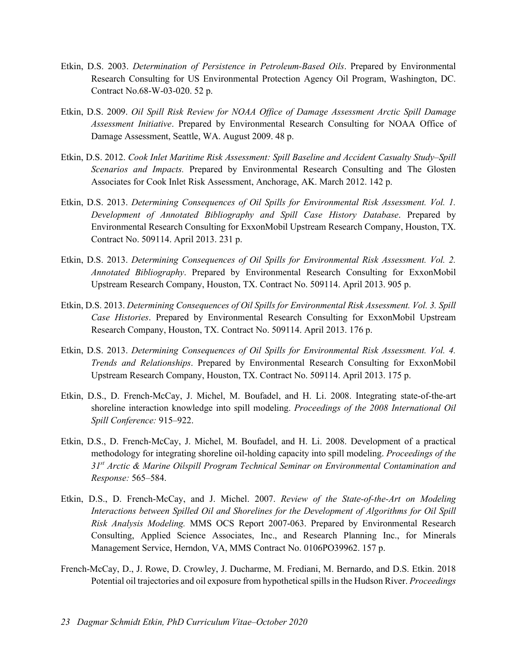- Etkin, D.S. 2003. *Determination of Persistence in Petroleum-Based Oils*. Prepared by Environmental Research Consulting for US Environmental Protection Agency Oil Program, Washington, DC. Contract No.68-W-03-020. 52 p.
- Etkin, D.S. 2009. *Oil Spill Risk Review for NOAA Office of Damage Assessment Arctic Spill Damage Assessment Initiative*. Prepared by Environmental Research Consulting for NOAA Office of Damage Assessment, Seattle, WA. August 2009. 48 p.
- Etkin, D.S. 2012. *Cook Inlet Maritime Risk Assessment: Spill Baseline and Accident Casualty Study–Spill Scenarios and Impacts.* Prepared by Environmental Research Consulting and The Glosten Associates for Cook Inlet Risk Assessment, Anchorage, AK. March 2012. 142 p.
- Etkin, D.S. 2013. *Determining Consequences of Oil Spills for Environmental Risk Assessment. Vol. 1. Development of Annotated Bibliography and Spill Case History Database*. Prepared by Environmental Research Consulting for ExxonMobil Upstream Research Company, Houston, TX. Contract No. 509114. April 2013. 231 p.
- Etkin, D.S. 2013. *Determining Consequences of Oil Spills for Environmental Risk Assessment. Vol. 2. Annotated Bibliography*. Prepared by Environmental Research Consulting for ExxonMobil Upstream Research Company, Houston, TX. Contract No. 509114. April 2013. 905 p.
- Etkin, D.S. 2013. *Determining Consequences of Oil Spills for Environmental Risk Assessment. Vol. 3. Spill Case Histories*. Prepared by Environmental Research Consulting for ExxonMobil Upstream Research Company, Houston, TX. Contract No. 509114. April 2013. 176 p.
- Etkin, D.S. 2013. *Determining Consequences of Oil Spills for Environmental Risk Assessment. Vol. 4. Trends and Relationships*. Prepared by Environmental Research Consulting for ExxonMobil Upstream Research Company, Houston, TX. Contract No. 509114. April 2013. 175 p.
- Etkin, D.S., D. French-McCay, J. Michel, M. Boufadel, and H. Li. 2008. Integrating state-of-the-art shoreline interaction knowledge into spill modeling. *Proceedings of the 2008 International Oil Spill Conference:* 915–922.
- Etkin, D.S., D. French-McCay, J. Michel, M. Boufadel, and H. Li. 2008. Development of a practical methodology for integrating shoreline oil-holding capacity into spill modeling. *Proceedings of the 31st Arctic & Marine Oilspill Program Technical Seminar on Environmental Contamination and Response:* 565–584.
- Etkin, D.S., D. French-McCay, and J. Michel. 2007. *Review of the State-of-the-Art on Modeling Interactions between Spilled Oil and Shorelines for the Development of Algorithms for Oil Spill Risk Analysis Modeling.* MMS OCS Report 2007-063. Prepared by Environmental Research Consulting, Applied Science Associates, Inc., and Research Planning Inc., for Minerals Management Service, Herndon, VA, MMS Contract No. 0106PO39962. 157 p.
- French-McCay, D., J. Rowe, D. Crowley, J. Ducharme, M. Frediani, M. Bernardo, and D.S. Etkin. 2018 Potential oil trajectories and oil exposure from hypothetical spills in the Hudson River. *Proceedings*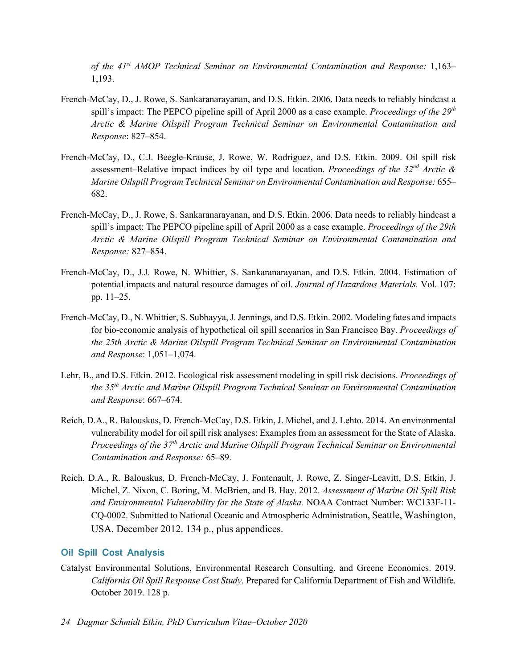*of the 41st AMOP Technical Seminar on Environmental Contamination and Response:* 1,163– 1,193.

- French-McCay, D., J. Rowe, S. Sankaranarayanan, and D.S. Etkin. 2006. Data needs to reliably hindcast a spill's impact: The PEPCO pipeline spill of April 2000 as a case example. *Proceedings of the 29th Arctic & Marine Oilspill Program Technical Seminar on Environmental Contamination and Response*: 827–854.
- French-McCay, D., C.J. Beegle-Krause, J. Rowe, W. Rodriguez, and D.S. Etkin. 2009. Oil spill risk assessment–Relative impact indices by oil type and location. *Proceedings of the 32nd Arctic & Marine Oilspill Program Technical Seminar on Environmental Contamination and Response:* 655– 682.
- French-McCay, D., J. Rowe, S. Sankaranarayanan, and D.S. Etkin. 2006. Data needs to reliably hindcast a spill's impact: The PEPCO pipeline spill of April 2000 as a case example. *Proceedings of the 29th Arctic & Marine Oilspill Program Technical Seminar on Environmental Contamination and Response:* 827–854.
- French-McCay, D., J.J. Rowe, N. Whittier, S. Sankaranarayanan, and D.S. Etkin. 2004. Estimation of potential impacts and natural resource damages of oil. *Journal of Hazardous Materials.* Vol. 107: pp. 11–25.
- French-McCay, D., N. Whittier, S. Subbayya, J. Jennings, and D.S. Etkin. 2002. Modeling fates and impacts for bio-economic analysis of hypothetical oil spill scenarios in San Francisco Bay. *Proceedings of the 25th Arctic & Marine Oilspill Program Technical Seminar on Environmental Contamination and Response*: 1,051–1,074.
- Lehr, B., and D.S. Etkin. 2012. Ecological risk assessment modeling in spill risk decisions. *Proceedings of the 35th Arctic and Marine Oilspill Program Technical Seminar on Environmental Contamination and Response*: 667–674.
- Reich, D.A., R. Balouskus, D. French-McCay, D.S. Etkin, J. Michel, and J. Lehto. 2014. An environmental vulnerability model for oil spill risk analyses: Examples from an assessment for the State of Alaska. *Proceedings of the 37th Arctic and Marine Oilspill Program Technical Seminar on Environmental Contamination and Response:* 65–89.
- Reich, D.A., R. Balouskus, D. French-McCay, J. Fontenault, J. Rowe, Z. Singer-Leavitt, D.S. Etkin, J. Michel, Z. Nixon, C. Boring, M. McBrien, and B. Hay. 2012. *Assessment of Marine Oil Spill Risk and Environmental Vulnerability for the State of Alaska.* NOAA Contract Number: WC133F-11- CQ-0002. Submitted to National Oceanic and Atmospheric Administration, Seattle, Washington, USA. December 2012. 134 p., plus appendices.

#### **Oil Spill Cost Analysis**

Catalyst Environmental Solutions, Environmental Research Consulting, and Greene Economics. 2019. *California Oil Spill Response Cost Study.* Prepared for California Department of Fish and Wildlife. October 2019. 128 p.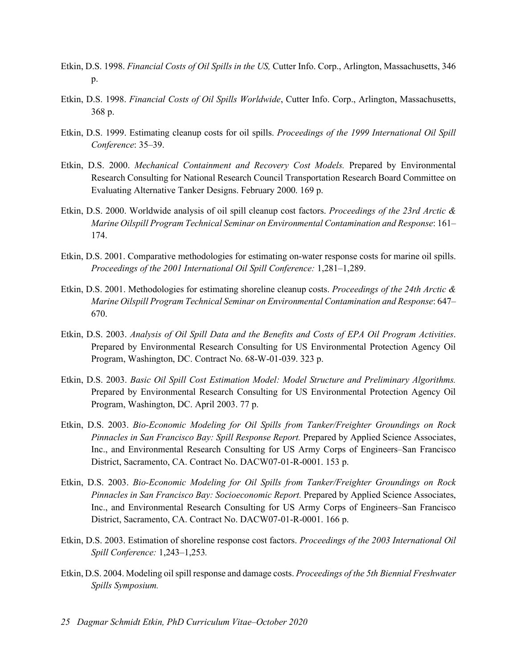- Etkin, D.S. 1998. *Financial Costs of Oil Spills in the US,* Cutter Info. Corp., Arlington, Massachusetts, 346 p.
- Etkin, D.S. 1998. *Financial Costs of Oil Spills Worldwide*, Cutter Info. Corp., Arlington, Massachusetts, 368 p.
- Etkin, D.S. 1999. Estimating cleanup costs for oil spills. *Proceedings of the 1999 International Oil Spill Conference*: 35–39.
- Etkin, D.S. 2000. *Mechanical Containment and Recovery Cost Models.* Prepared by Environmental Research Consulting for National Research Council Transportation Research Board Committee on Evaluating Alternative Tanker Designs. February 2000. 169 p.
- Etkin, D.S. 2000. Worldwide analysis of oil spill cleanup cost factors. *Proceedings of the 23rd Arctic & Marine Oilspill Program Technical Seminar on Environmental Contamination and Response*: 161– 174.
- Etkin, D.S. 2001. Comparative methodologies for estimating on-water response costs for marine oil spills. *Proceedings of the 2001 International Oil Spill Conference:* 1,281–1,289.
- Etkin, D.S. 2001. Methodologies for estimating shoreline cleanup costs. *Proceedings of the 24th Arctic & Marine Oilspill Program Technical Seminar on Environmental Contamination and Response*: 647– 670.
- Etkin, D.S. 2003. *Analysis of Oil Spill Data and the Benefits and Costs of EPA Oil Program Activities*. Prepared by Environmental Research Consulting for US Environmental Protection Agency Oil Program, Washington, DC. Contract No. 68-W-01-039. 323 p.
- Etkin, D.S. 2003. *Basic Oil Spill Cost Estimation Model: Model Structure and Preliminary Algorithms.* Prepared by Environmental Research Consulting for US Environmental Protection Agency Oil Program, Washington, DC. April 2003. 77 p.
- Etkin, D.S. 2003. *Bio-Economic Modeling for Oil Spills from Tanker/Freighter Groundings on Rock Pinnacles in San Francisco Bay: Spill Response Report.* Prepared by Applied Science Associates, Inc., and Environmental Research Consulting for US Army Corps of Engineers–San Francisco District, Sacramento, CA. Contract No. DACW07-01-R-0001. 153 p.
- Etkin, D.S. 2003. *Bio-Economic Modeling for Oil Spills from Tanker/Freighter Groundings on Rock Pinnacles in San Francisco Bay: Socioeconomic Report.* Prepared by Applied Science Associates, Inc., and Environmental Research Consulting for US Army Corps of Engineers–San Francisco District, Sacramento, CA. Contract No. DACW07-01-R-0001. 166 p.
- Etkin, D.S. 2003. Estimation of shoreline response cost factors. *Proceedings of the 2003 International Oil Spill Conference:* 1,243–1,253*.*
- Etkin, D.S. 2004. Modeling oil spill response and damage costs. *Proceedings of the 5th Biennial Freshwater Spills Symposium.*
- *25 Dagmar Schmidt Etkin, PhD Curriculum Vitae–October 2020*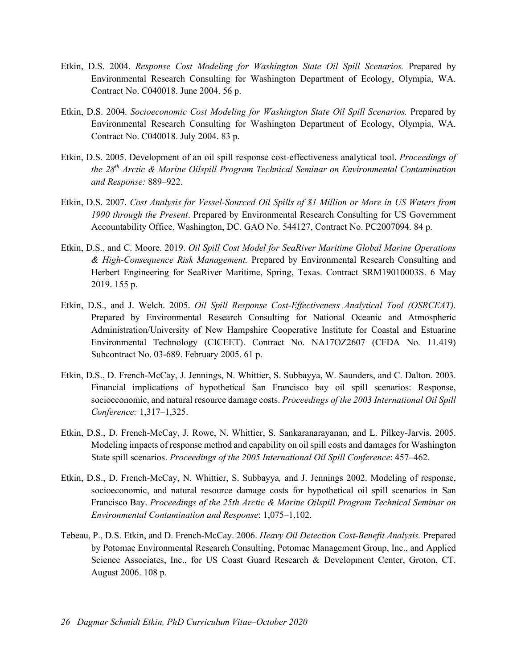- Etkin, D.S. 2004. *Response Cost Modeling for Washington State Oil Spill Scenarios.* Prepared by Environmental Research Consulting for Washington Department of Ecology, Olympia, WA. Contract No. C040018. June 2004. 56 p.
- Etkin, D.S. 2004. *Socioeconomic Cost Modeling for Washington State Oil Spill Scenarios.* Prepared by Environmental Research Consulting for Washington Department of Ecology, Olympia, WA. Contract No. C040018. July 2004. 83 p.
- Etkin, D.S. 2005. Development of an oil spill response cost-effectiveness analytical tool. *Proceedings of the 28th Arctic & Marine Oilspill Program Technical Seminar on Environmental Contamination and Response:* 889–922.
- Etkin, D.S. 2007. *Cost Analysis for Vessel-Sourced Oil Spills of \$1 Million or More in US Waters from 1990 through the Present*. Prepared by Environmental Research Consulting for US Government Accountability Office, Washington, DC. GAO No. 544127, Contract No. PC2007094. 84 p.
- Etkin, D.S., and C. Moore. 2019. *Oil Spill Cost Model for SeaRiver Maritime Global Marine Operations & High-Consequence Risk Management.* Prepared by Environmental Research Consulting and Herbert Engineering for SeaRiver Maritime, Spring, Texas. Contract SRM19010003S. 6 May 2019. 155 p.
- Etkin, D.S., and J. Welch. 2005. *Oil Spill Response Cost-Effectiveness Analytical Tool (OSRCEAT).* Prepared by Environmental Research Consulting for National Oceanic and Atmospheric Administration/University of New Hampshire Cooperative Institute for Coastal and Estuarine Environmental Technology (CICEET). Contract No. NA17OZ2607 (CFDA No. 11.419) Subcontract No. 03-689. February 2005. 61 p.
- Etkin, D.S., D. French-McCay, J. Jennings, N. Whittier, S. Subbayya, W. Saunders, and C. Dalton. 2003. Financial implications of hypothetical San Francisco bay oil spill scenarios: Response, socioeconomic, and natural resource damage costs. *Proceedings of the 2003 International Oil Spill Conference:* 1,317–1,325.
- Etkin, D.S., D. French-McCay, J. Rowe, N. Whittier, S. Sankaranarayanan, and L. Pilkey-Jarvis. 2005. Modeling impacts of response method and capability on oil spill costs and damages for Washington State spill scenarios. *Proceedings of the 2005 International Oil Spill Conference*: 457–462.
- Etkin, D.S., D. French-McCay, N. Whittier, S. Subbayya*,* and J. Jennings 2002. Modeling of response, socioeconomic, and natural resource damage costs for hypothetical oil spill scenarios in San Francisco Bay. *Proceedings of the 25th Arctic & Marine Oilspill Program Technical Seminar on Environmental Contamination and Response*: 1,075–1,102.
- Tebeau, P., D.S. Etkin, and D. French-McCay. 2006. *Heavy Oil Detection Cost-Benefit Analysis.* Prepared by Potomac Environmental Research Consulting, Potomac Management Group, Inc., and Applied Science Associates, Inc., for US Coast Guard Research & Development Center, Groton, CT. August 2006. 108 p.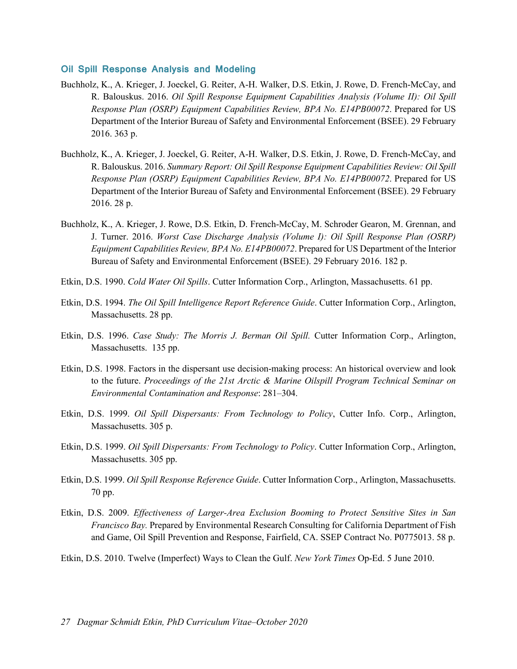#### **Oil Spill Response Analysis and Modeling**

- Buchholz, K., A. Krieger, J. Joeckel, G. Reiter, A-H. Walker, D.S. Etkin, J. Rowe, D. French-McCay, and R. Balouskus. 2016. *Oil Spill Response Equipment Capabilities Analysis (Volume II): Oil Spill Response Plan (OSRP) Equipment Capabilities Review, BPA No. E14PB00072*. Prepared for US Department of the Interior Bureau of Safety and Environmental Enforcement (BSEE). 29 February 2016. 363 p.
- Buchholz, K., A. Krieger, J. Joeckel, G. Reiter, A-H. Walker, D.S. Etkin, J. Rowe, D. French-McCay, and R. Balouskus. 2016. *Summary Report: Oil Spill Response Equipment Capabilities Review: Oil Spill Response Plan (OSRP) Equipment Capabilities Review, BPA No. E14PB00072*. Prepared for US Department of the Interior Bureau of Safety and Environmental Enforcement (BSEE). 29 February 2016. 28 p.
- Buchholz, K., A. Krieger, J. Rowe, D.S. Etkin, D. French-McCay, M. Schroder Gearon, M. Grennan, and J. Turner. 2016. *Worst Case Discharge Analysis (Volume I): Oil Spill Response Plan (OSRP) Equipment Capabilities Review, BPA No. E14PB00072*. Prepared for US Department of the Interior Bureau of Safety and Environmental Enforcement (BSEE). 29 February 2016. 182 p.
- Etkin, D.S. 1990. *Cold Water Oil Spills*. Cutter Information Corp., Arlington, Massachusetts. 61 pp.
- Etkin, D.S. 1994. *The Oil Spill Intelligence Report Reference Guide*. Cutter Information Corp., Arlington, Massachusetts. 28 pp.
- Etkin, D.S. 1996. *Case Study: The Morris J. Berman Oil Spill.* Cutter Information Corp., Arlington, Massachusetts. 135 pp.
- Etkin, D.S. 1998. Factors in the dispersant use decision-making process: An historical overview and look to the future. *Proceedings of the 21st Arctic & Marine Oilspill Program Technical Seminar on Environmental Contamination and Response*: 281–304.
- Etkin, D.S. 1999. *Oil Spill Dispersants: From Technology to Policy*, Cutter Info. Corp., Arlington, Massachusetts. 305 p.
- Etkin, D.S. 1999. *Oil Spill Dispersants: From Technology to Policy*. Cutter Information Corp., Arlington, Massachusetts. 305 pp.
- Etkin, D.S. 1999. *Oil Spill Response Reference Guide*. Cutter Information Corp., Arlington, Massachusetts. 70 pp.
- Etkin, D.S. 2009. *Effectiveness of Larger-Area Exclusion Booming to Protect Sensitive Sites in San Francisco Bay.* Prepared by Environmental Research Consulting for California Department of Fish and Game, Oil Spill Prevention and Response, Fairfield, CA. SSEP Contract No. P0775013. 58 p.
- Etkin, D.S. 2010. Twelve (Imperfect) Ways to Clean the Gulf. *New York Times* Op-Ed. 5 June 2010.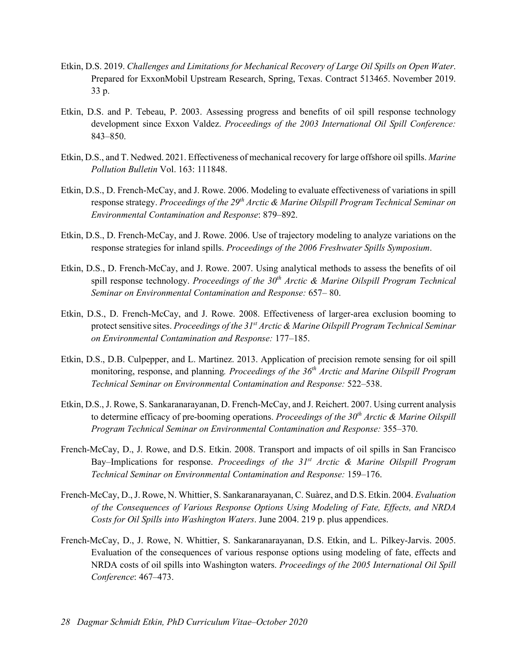- Etkin, D.S. 2019. *Challenges and Limitations for Mechanical Recovery of Large Oil Spills on Open Water*. Prepared for ExxonMobil Upstream Research, Spring, Texas. Contract 513465. November 2019. 33 p.
- Etkin, D.S. and P. Tebeau, P. 2003. Assessing progress and benefits of oil spill response technology development since Exxon Valdez. *Proceedings of the 2003 International Oil Spill Conference:*  843–850.
- Etkin, D.S., and T. Nedwed. 2021. Effectiveness of mechanical recovery for large offshore oil spills. *Marine Pollution Bulletin* Vol. 163: 111848.
- Etkin, D.S., D. French-McCay, and J. Rowe. 2006. Modeling to evaluate effectiveness of variations in spill response strategy. *Proceedings of the 29th Arctic & Marine Oilspill Program Technical Seminar on Environmental Contamination and Response*: 879–892.
- Etkin, D.S., D. French-McCay, and J. Rowe. 2006. Use of trajectory modeling to analyze variations on the response strategies for inland spills. *Proceedings of the 2006 Freshwater Spills Symposium*.
- Etkin, D.S., D. French-McCay, and J. Rowe. 2007. Using analytical methods to assess the benefits of oil spill response technology. *Proceedings of the 30th Arctic & Marine Oilspill Program Technical Seminar on Environmental Contamination and Response:* 657– 80.
- Etkin, D.S., D. French-McCay, and J. Rowe. 2008. Effectiveness of larger-area exclusion booming to protect sensitive sites. *Proceedings of the 31st Arctic & Marine Oilspill Program Technical Seminar on Environmental Contamination and Response:* 177–185.
- Etkin, D.S., D.B. Culpepper, and L. Martinez. 2013. Application of precision remote sensing for oil spill monitoring, response, and planning*. Proceedings of the 36th Arctic and Marine Oilspill Program Technical Seminar on Environmental Contamination and Response:* 522–538.
- Etkin, D.S., J. Rowe, S. Sankaranarayanan, D. French-McCay, and J. Reichert. 2007. Using current analysis to determine efficacy of pre-booming operations. *Proceedings of the 30th Arctic & Marine Oilspill Program Technical Seminar on Environmental Contamination and Response:* 355–370.
- French-McCay, D., J. Rowe, and D.S. Etkin. 2008. Transport and impacts of oil spills in San Francisco Bay–Implications for response. *Proceedings of the 31st Arctic & Marine Oilspill Program Technical Seminar on Environmental Contamination and Response:* 159–176.
- French-McCay, D., J. Rowe, N. Whittier, S. Sankaranarayanan, C. Suàrez, and D.S. Etkin. 2004. *Evaluation of the Consequences of Various Response Options Using Modeling of Fate, Effects, and NRDA Costs for Oil Spills into Washington Waters*. June 2004. 219 p. plus appendices.
- French-McCay, D., J. Rowe, N. Whittier, S. Sankaranarayanan, D.S. Etkin, and L. Pilkey-Jarvis. 2005. Evaluation of the consequences of various response options using modeling of fate, effects and NRDA costs of oil spills into Washington waters. *Proceedings of the 2005 International Oil Spill Conference*: 467–473.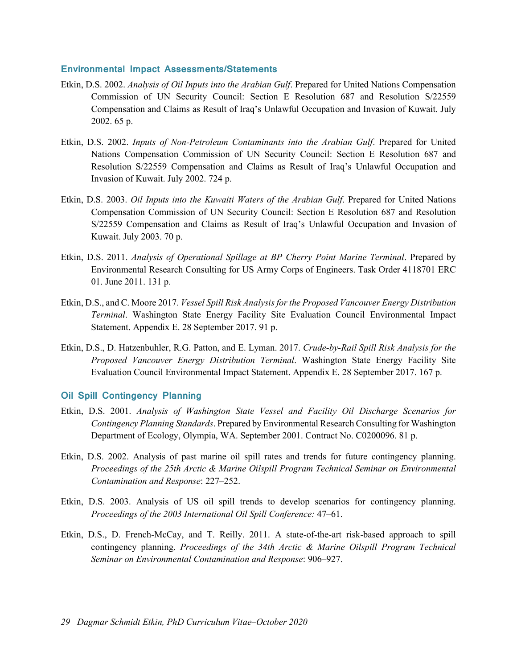#### **Environmental Impact Assessments/Statements**

- Etkin, D.S. 2002. *Analysis of Oil Inputs into the Arabian Gulf*. Prepared for United Nations Compensation Commission of UN Security Council: Section E Resolution 687 and Resolution S/22559 Compensation and Claims as Result of Iraq's Unlawful Occupation and Invasion of Kuwait. July 2002. 65 p.
- Etkin, D.S. 2002. *Inputs of Non-Petroleum Contaminants into the Arabian Gulf*. Prepared for United Nations Compensation Commission of UN Security Council: Section E Resolution 687 and Resolution S/22559 Compensation and Claims as Result of Iraq's Unlawful Occupation and Invasion of Kuwait. July 2002. 724 p.
- Etkin, D.S. 2003. *Oil Inputs into the Kuwaiti Waters of the Arabian Gulf*. Prepared for United Nations Compensation Commission of UN Security Council: Section E Resolution 687 and Resolution S/22559 Compensation and Claims as Result of Iraq's Unlawful Occupation and Invasion of Kuwait. July 2003. 70 p.
- Etkin, D.S. 2011. *Analysis of Operational Spillage at BP Cherry Point Marine Terminal*. Prepared by Environmental Research Consulting for US Army Corps of Engineers. Task Order 4118701 ERC 01. June 2011. 131 p.
- Etkin, D.S., and C. Moore 2017. *Vessel Spill Risk Analysis for the Proposed Vancouver Energy Distribution Terminal*. Washington State Energy Facility Site Evaluation Council Environmental Impact Statement. Appendix E. 28 September 2017. 91 p.
- Etkin, D.S., D. Hatzenbuhler, R.G. Patton, and E. Lyman. 2017. *Crude-by-Rail Spill Risk Analysis for the Proposed Vancouver Energy Distribution Terminal*. Washington State Energy Facility Site Evaluation Council Environmental Impact Statement. Appendix E. 28 September 2017. 167 p.

#### **Oil Spill Contingency Planning**

- Etkin, D.S. 2001. *Analysis of Washington State Vessel and Facility Oil Discharge Scenarios for Contingency Planning Standards*. Prepared by Environmental Research Consulting for Washington Department of Ecology, Olympia, WA. September 2001. Contract No. C0200096. 81 p.
- Etkin, D.S. 2002. Analysis of past marine oil spill rates and trends for future contingency planning. *Proceedings of the 25th Arctic & Marine Oilspill Program Technical Seminar on Environmental Contamination and Response*: 227–252.
- Etkin, D.S. 2003. Analysis of US oil spill trends to develop scenarios for contingency planning. *Proceedings of the 2003 International Oil Spill Conference:* 47–61.
- Etkin, D.S., D. French-McCay, and T. Reilly. 2011. A state-of-the-art risk-based approach to spill contingency planning. *Proceedings of the 34th Arctic & Marine Oilspill Program Technical Seminar on Environmental Contamination and Response*: 906–927.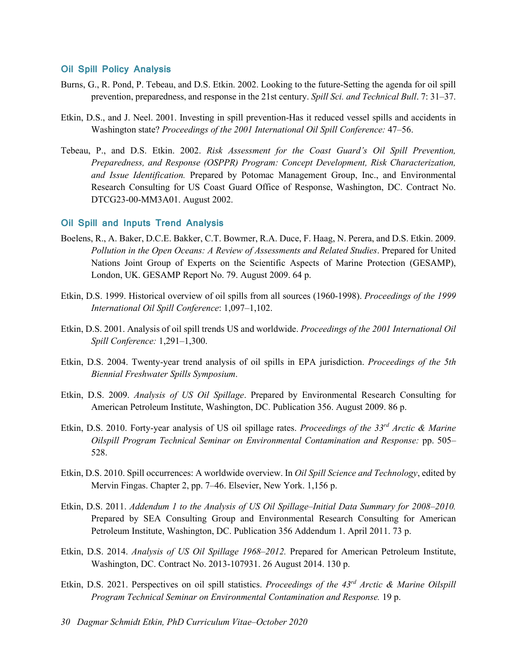#### **Oil Spill Policy Analysis**

- Burns, G., R. Pond, P. Tebeau, and D.S. Etkin. 2002. Looking to the future-Setting the agenda for oil spill prevention, preparedness, and response in the 21st century. *Spill Sci. and Technical Bull*. 7: 31–37.
- Etkin, D.S., and J. Neel. 2001. Investing in spill prevention-Has it reduced vessel spills and accidents in Washington state? *Proceedings of the 2001 International Oil Spill Conference:* 47–56.
- Tebeau, P., and D.S. Etkin. 2002. *Risk Assessment for the Coast Guard's Oil Spill Prevention, Preparedness, and Response (OSPPR) Program: Concept Development, Risk Characterization, and Issue Identification.* Prepared by Potomac Management Group, Inc., and Environmental Research Consulting for US Coast Guard Office of Response, Washington, DC. Contract No. DTCG23-00-MM3A01. August 2002.

#### **Oil Spill and Inputs Trend Analysis**

- Boelens, R., A. Baker, D.C.E. Bakker, C.T. Bowmer, R.A. Duce, F. Haag, N. Perera, and D.S. Etkin. 2009. *Pollution in the Open Oceans: A Review of Assessments and Related Studies*. Prepared for United Nations Joint Group of Experts on the Scientific Aspects of Marine Protection (GESAMP), London, UK. GESAMP Report No. 79. August 2009. 64 p.
- Etkin, D.S. 1999. Historical overview of oil spills from all sources (1960-1998). *Proceedings of the 1999 International Oil Spill Conference*: 1,097–1,102.
- Etkin, D.S. 2001. Analysis of oil spill trends US and worldwide. *Proceedings of the 2001 International Oil Spill Conference:* 1,291–1,300.
- Etkin, D.S. 2004. Twenty-year trend analysis of oil spills in EPA jurisdiction. *Proceedings of the 5th Biennial Freshwater Spills Symposium*.
- Etkin, D.S. 2009. *Analysis of US Oil Spillage*. Prepared by Environmental Research Consulting for American Petroleum Institute, Washington, DC. Publication 356. August 2009. 86 p.
- Etkin, D.S. 2010. Forty-year analysis of US oil spillage rates. *Proceedings of the 33rd Arctic & Marine Oilspill Program Technical Seminar on Environmental Contamination and Response:* pp. 505– 528.
- Etkin, D.S. 2010. Spill occurrences: A worldwide overview. In *Oil Spill Science and Technology*, edited by Mervin Fingas. Chapter 2, pp. 7–46. Elsevier, New York. 1,156 p.
- Etkin, D.S. 2011. *Addendum 1 to the Analysis of US Oil Spillage–Initial Data Summary for 2008–2010.* Prepared by SEA Consulting Group and Environmental Research Consulting for American Petroleum Institute, Washington, DC. Publication 356 Addendum 1. April 2011. 73 p.
- Etkin, D.S. 2014. *Analysis of US Oil Spillage 1968–2012.* Prepared for American Petroleum Institute, Washington, DC. Contract No. 2013-107931. 26 August 2014. 130 p.
- Etkin, D.S. 2021. Perspectives on oil spill statistics. *Proceedings of the 43rd Arctic & Marine Oilspill Program Technical Seminar on Environmental Contamination and Response.* 19 p.
- *30 Dagmar Schmidt Etkin, PhD Curriculum Vitae–October 2020*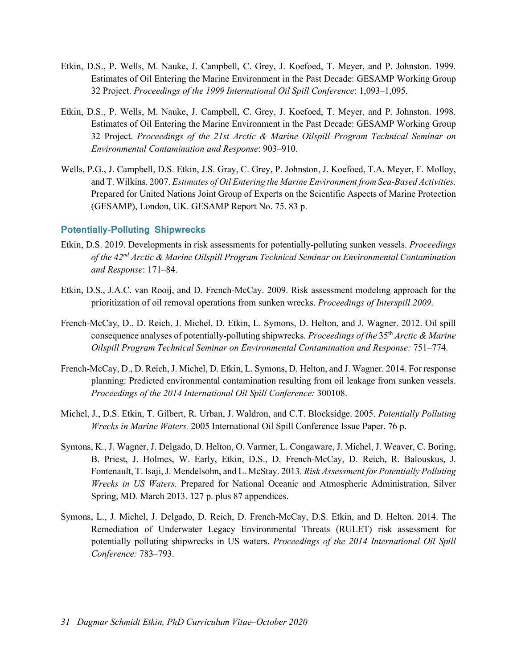- Etkin, D.S., P. Wells, M. Nauke, J. Campbell, C. Grey, J. Koefoed, T. Meyer, and P. Johnston. 1999. Estimates of Oil Entering the Marine Environment in the Past Decade: GESAMP Working Group 32 Project. *Proceedings of the 1999 International Oil Spill Conference*: 1,093–1,095.
- Etkin, D.S., P. Wells, M. Nauke, J. Campbell, C. Grey, J. Koefoed, T. Meyer, and P. Johnston. 1998. Estimates of Oil Entering the Marine Environment in the Past Decade: GESAMP Working Group 32 Project. *Proceedings of the 21st Arctic & Marine Oilspill Program Technical Seminar on Environmental Contamination and Response*: 903–910.
- Wells, P.G., J. Campbell, D.S. Etkin, J.S. Gray, C. Grey, P. Johnston, J. Koefoed, T.A. Meyer, F. Molloy, and T. Wilkins. 2007. *Estimates of Oil Entering the Marine Environment from Sea-Based Activities.*  Prepared for United Nations Joint Group of Experts on the Scientific Aspects of Marine Protection (GESAMP), London, UK. GESAMP Report No. 75. 83 p.

#### **Potentially-Polluting Shipwrecks**

- Etkin, D.S. 2019. Developments in risk assessments for potentially-polluting sunken vessels. *Proceedings of the 42nd Arctic & Marine Oilspill Program Technical Seminar on Environmental Contamination and Response*: 171–84.
- Etkin, D.S., J.A.C. van Rooij, and D. French-McCay. 2009. Risk assessment modeling approach for the prioritization of oil removal operations from sunken wrecks. *Proceedings of Interspill 2009*.
- French-McCay, D., D. Reich, J. Michel, D. Etkin, L. Symons, D. Helton, and J. Wagner. 2012. Oil spill consequence analyses of potentially-polluting shipwrecks*. Proceedings of the* 35th *Arctic & Marine Oilspill Program Technical Seminar on Environmental Contamination and Response:* 751–774.
- French-McCay, D., D. Reich, J. Michel, D. Etkin, L. Symons, D. Helton, and J. Wagner. 2014. For response planning: Predicted environmental contamination resulting from oil leakage from sunken vessels. *Proceedings of the 2014 International Oil Spill Conference:* 300108.
- Michel, J., D.S. Etkin, T. Gilbert, R. Urban, J. Waldron, and C.T. Blocksidge. 2005. *Potentially Polluting Wrecks in Marine Waters.* 2005 International Oil Spill Conference Issue Paper. 76 p.
- Symons, K., J. Wagner, J. Delgado, D. Helton, O. Varmer, L. Congaware, J. Michel, J. Weaver, C. Boring, B. Priest, J. Holmes, W. Early, Etkin, D.S., D. French-McCay, D. Reich, R. Balouskus, J. Fontenault, T. Isaji, J. Mendelsohn, and L. McStay. 2013*. Risk Assessment for Potentially Polluting Wrecks in US Waters.* Prepared for National Oceanic and Atmospheric Administration, Silver Spring, MD. March 2013. 127 p. plus 87 appendices.
- Symons, L., J. Michel, J. Delgado, D. Reich, D. French-McCay, D.S. Etkin, and D. Helton. 2014. The Remediation of Underwater Legacy Environmental Threats (RULET) risk assessment for potentially polluting shipwrecks in US waters. *Proceedings of the 2014 International Oil Spill Conference:* 783–793.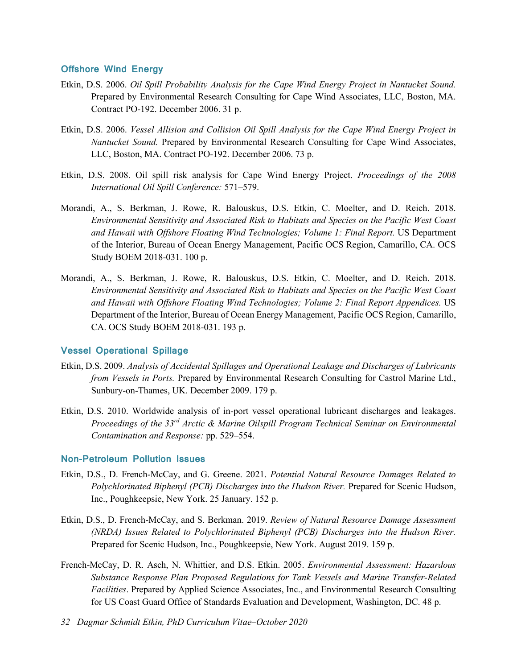#### **Offshore Wind Energy**

- Etkin, D.S. 2006. *Oil Spill Probability Analysis for the Cape Wind Energy Project in Nantucket Sound.* Prepared by Environmental Research Consulting for Cape Wind Associates, LLC, Boston, MA. Contract PO-192. December 2006. 31 p.
- Etkin, D.S. 2006. *Vessel Allision and Collision Oil Spill Analysis for the Cape Wind Energy Project in Nantucket Sound.* Prepared by Environmental Research Consulting for Cape Wind Associates, LLC, Boston, MA. Contract PO-192. December 2006. 73 p.
- Etkin, D.S. 2008. Oil spill risk analysis for Cape Wind Energy Project. *Proceedings of the 2008 International Oil Spill Conference:* 571–579.
- Morandi, A., S. Berkman, J. Rowe, R. Balouskus, D.S. Etkin, C. Moelter, and D. Reich. 2018. *Environmental Sensitivity and Associated Risk to Habitats and Species on the Pacific West Coast and Hawaii with Offshore Floating Wind Technologies; Volume 1: Final Report.* US Department of the Interior, Bureau of Ocean Energy Management, Pacific OCS Region, Camarillo, CA. OCS Study BOEM 2018-031. 100 p.
- Morandi, A., S. Berkman, J. Rowe, R. Balouskus, D.S. Etkin, C. Moelter, and D. Reich. 2018. *Environmental Sensitivity and Associated Risk to Habitats and Species on the Pacific West Coast and Hawaii with Offshore Floating Wind Technologies; Volume 2: Final Report Appendices.* US Department of the Interior, Bureau of Ocean Energy Management, Pacific OCS Region, Camarillo, CA. OCS Study BOEM 2018-031. 193 p.

#### **Vessel Operational Spillage**

- Etkin, D.S. 2009. *Analysis of Accidental Spillages and Operational Leakage and Discharges of Lubricants from Vessels in Ports.* Prepared by Environmental Research Consulting for Castrol Marine Ltd., Sunbury-on-Thames, UK. December 2009. 179 p.
- Etkin, D.S. 2010. Worldwide analysis of in-port vessel operational lubricant discharges and leakages. *Proceedings of the 33rd Arctic & Marine Oilspill Program Technical Seminar on Environmental Contamination and Response:* pp. 529–554.

#### **Non-Petroleum Pollution Issues**

- Etkin, D.S., D. French-McCay, and G. Greene. 2021. *Potential Natural Resource Damages Related to Polychlorinated Biphenyl (PCB) Discharges into the Hudson River.* Prepared for Scenic Hudson, Inc., Poughkeepsie, New York. 25 January. 152 p.
- Etkin, D.S., D. French-McCay, and S. Berkman. 2019. *Review of Natural Resource Damage Assessment (NRDA) Issues Related to Polychlorinated Biphenyl (PCB) Discharges into the Hudson River.*  Prepared for Scenic Hudson, Inc., Poughkeepsie, New York. August 2019. 159 p.
- French-McCay, D. R. Asch, N. Whittier, and D.S. Etkin. 2005. *Environmental Assessment: Hazardous Substance Response Plan Proposed Regulations for Tank Vessels and Marine Transfer-Related Facilities*. Prepared by Applied Science Associates, Inc., and Environmental Research Consulting for US Coast Guard Office of Standards Evaluation and Development, Washington, DC. 48 p.
- *32 Dagmar Schmidt Etkin, PhD Curriculum Vitae–October 2020*